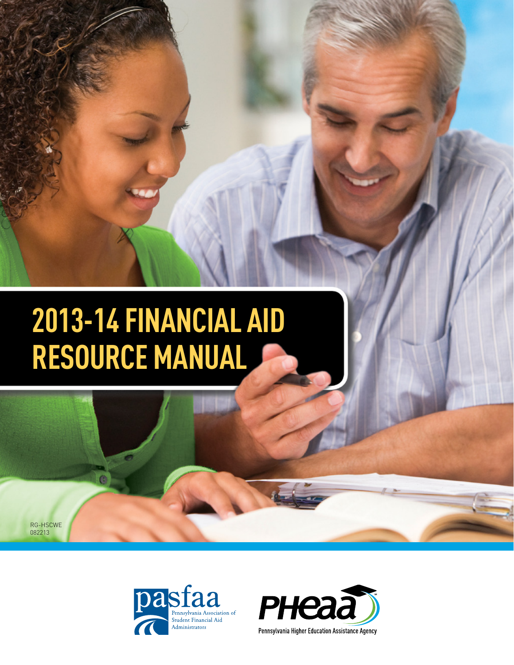# **2013-14 FINANCIAL AID RESOURCE MANUAL**

RG-HSCWE 082213



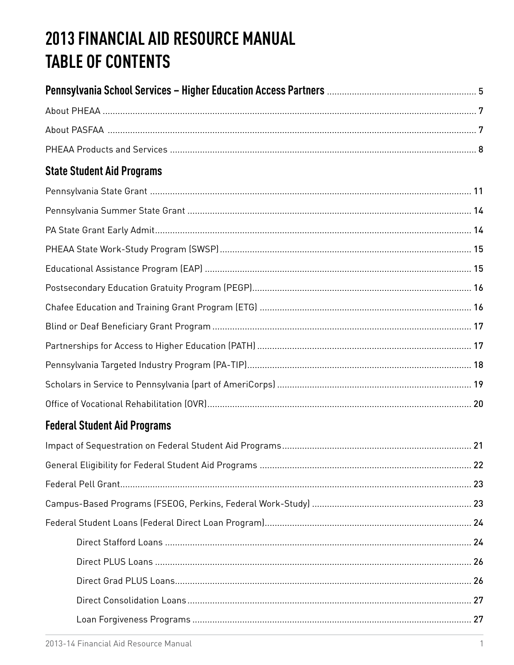# 2013 FINANCIAL AID RESOURCE MANUAL **TABLE OF CONTENTS**

| <b>State Student Aid Programs</b> |
|-----------------------------------|
|                                   |
|                                   |
|                                   |
|                                   |
|                                   |
|                                   |
|                                   |
|                                   |
|                                   |
|                                   |
|                                   |
|                                   |

# **Federal Student Aid Programs**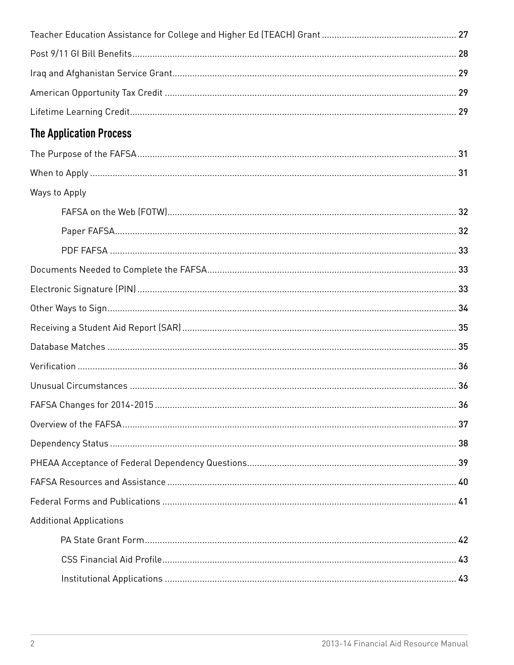| <b>The Application Process</b> |  |
|--------------------------------|--|
|                                |  |
|                                |  |
| Ways to Apply                  |  |
|                                |  |
|                                |  |
|                                |  |
|                                |  |
|                                |  |
|                                |  |
|                                |  |
|                                |  |
|                                |  |
|                                |  |
|                                |  |
|                                |  |
|                                |  |
|                                |  |
|                                |  |
|                                |  |
| <b>Additional Applications</b> |  |
|                                |  |
|                                |  |
|                                |  |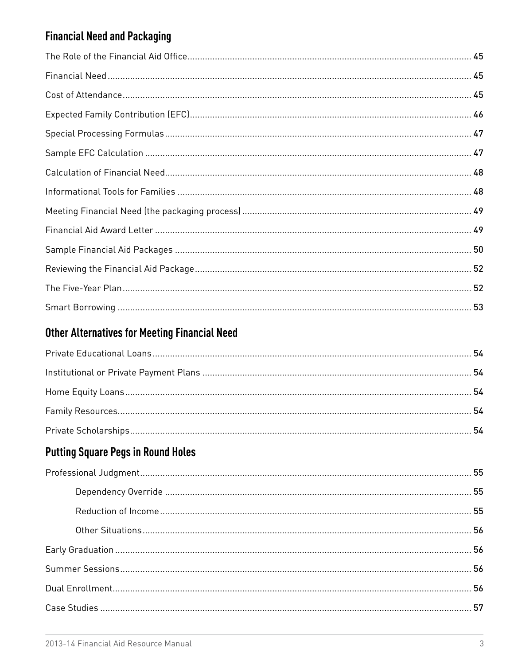# **Financial Need and Packaging**

# **Other Alternatives for Meeting Financial Need**

# **Putting Square Pegs in Round Holes**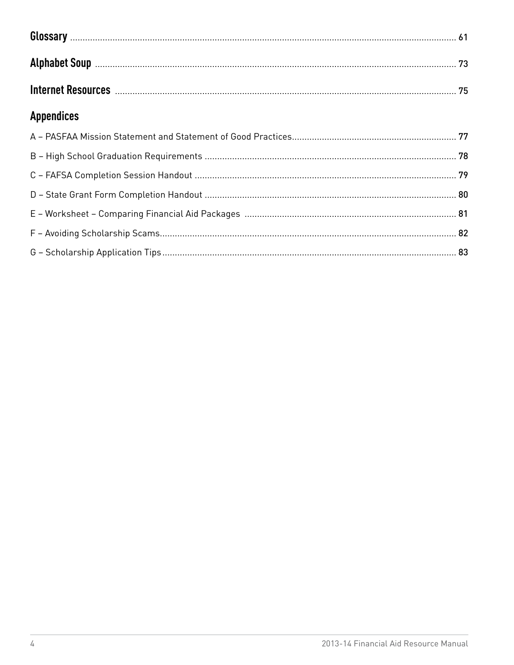| Internet Resources <b>Manual Manual Communities</b> 75 |  |
|--------------------------------------------------------|--|
| <b>Appendices</b>                                      |  |
|                                                        |  |
|                                                        |  |
|                                                        |  |
|                                                        |  |
|                                                        |  |
|                                                        |  |
|                                                        |  |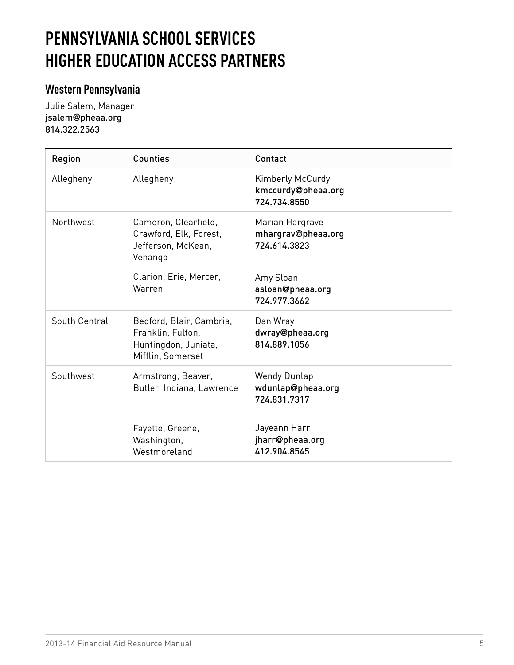# <span id="page-6-0"></span>**PENNSYLVANIA SCHOOL SERVICES HIGHER EDUCATION ACCESS PARTNERS**

# **Western Pennsylvania**

Julie Salem, Manager jsalem**@**[pheaa.org](mailto:jsalem@pheaa.org) 814.322.2563

| Region        | <b>Counties</b>                                                                                                     | Contact                                                                                                |
|---------------|---------------------------------------------------------------------------------------------------------------------|--------------------------------------------------------------------------------------------------------|
| Allegheny     | Allegheny                                                                                                           | Kimberly McCurdy<br>kmccurdy@pheaa.org<br>724.734.8550                                                 |
| Northwest     | Cameron, Clearfield,<br>Crawford, Elk, Forest,<br>Jefferson, McKean,<br>Venango<br>Clarion, Erie, Mercer,<br>Warren | Marian Hargrave<br>mhargrav@pheaa.org<br>724.614.3823<br>Amy Sloan<br>asloan@pheaa.org<br>724.977.3662 |
| South Central | Bedford, Blair, Cambria,<br>Franklin, Fulton,<br>Huntingdon, Juniata,<br>Mifflin, Somerset                          | Dan Wray<br>dwray@pheaa.org<br>814.889.1056                                                            |
| Southwest     | Armstrong, Beaver,<br>Butler, Indiana, Lawrence                                                                     | <b>Wendy Dunlap</b><br>wdunlap@pheaa.org<br>724.831.7317                                               |
|               | Fayette, Greene,<br>Washington,<br>Westmoreland                                                                     | Jayeann Harr<br>jharr@pheaa.org<br>412.904.8545                                                        |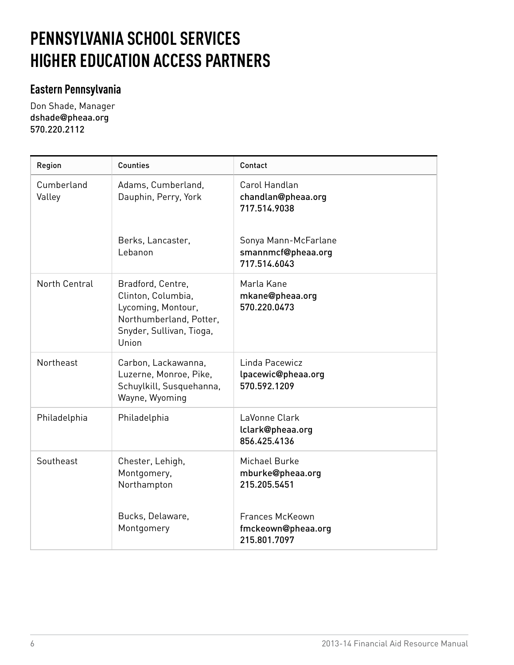# **PENNSYLVANIA SCHOOL SERVICES HIGHER EDUCATION ACCESS PARTNERS**

# **Eastern Pennsylvania**

Don Shade, Manager dshade**@**[pheaa.org](mailto:dshade@pheaa.org) 570.220.2112

| Region               | <b>Counties</b>                                                                                                               | Contact                                                                                                           |
|----------------------|-------------------------------------------------------------------------------------------------------------------------------|-------------------------------------------------------------------------------------------------------------------|
| Cumberland<br>Valley | Adams, Cumberland,<br>Dauphin, Perry, York<br>Berks, Lancaster,<br>Lebanon                                                    | Carol Handlan<br>chandlan@pheaa.org<br>717.514.9038<br>Sonya Mann-McFarlane<br>smannmcf@pheaa.org<br>717.514.6043 |
| North Central        | Bradford, Centre,<br>Clinton, Columbia,<br>Lycoming, Montour,<br>Northumberland, Potter,<br>Snyder, Sullivan, Tioga,<br>Union | Marla Kane<br>mkane@pheaa.org<br>570.220.0473                                                                     |
| Northeast            | Carbon, Lackawanna,<br>Luzerne, Monroe, Pike,<br>Schuylkill, Susquehanna,<br>Wayne, Wyoming                                   | Linda Pacewicz<br>lpacewic@pheaa.org<br>570.592.1209                                                              |
| Philadelphia         | Philadelphia                                                                                                                  | LaVonne Clark<br>lclark@pheaa.org<br>856.425.4136                                                                 |
| Southeast            | Chester, Lehigh,<br>Montgomery,<br>Northampton                                                                                | Michael Burke<br>mburke@pheaa.org<br>215.205.5451                                                                 |
|                      | Bucks, Delaware,<br>Montgomery                                                                                                | <b>Frances McKeown</b><br>fmckeown@pheaa.org<br>215.801.7097                                                      |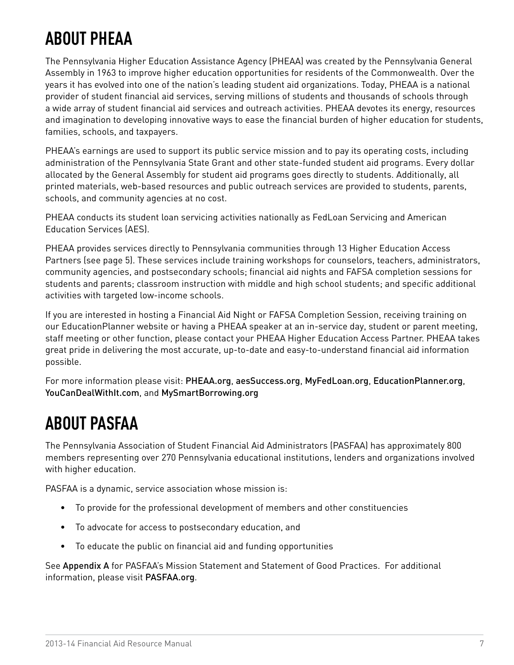# <span id="page-8-0"></span>**ABOUT PHEAA**

The Pennsylvania Higher Education Assistance Agency (PHEAA) was created by the Pennsylvania General Assembly in 1963 to improve higher education opportunities for residents of the Commonwealth. Over the years it has evolved into one of the nation's leading student aid organizations. Today, PHEAA is a national provider of student financial aid services, serving millions of students and thousands of schools through a wide array of student financial aid services and outreach activities. PHEAA devotes its energy, resources and imagination to developing innovative ways to ease the financial burden of higher education for students, families, schools, and taxpayers.

PHEAA's earnings are used to support its public service mission and to pay its operating costs, including administration of the Pennsylvania State Grant and other state-funded student aid programs. Every dollar allocated by the General Assembly for student aid programs goes directly to students. Additionally, all printed materials, web-based resources and public outreach services are provided to students, parents, schools, and community agencies at no cost.

PHEAA conducts its student loan servicing activities nationally as FedLoan Servicing and American Education Services (AES).

PHEAA provides services directly to Pennsylvania communities through 13 Higher Education Access Partners (see page 5). These services include training workshops for counselors, teachers, administrators, community agencies, and postsecondary schools; financial aid nights and FAFSA completion sessions for students and parents; classroom instruction with middle and high school students; and specific additional activities with targeted low-income schools.

If you are interested in hosting a Financial Aid Night or FAFSA Completion Session, receiving training on our EducationPlanner website or having a PHEAA speaker at an in-service day, student or parent meeting, staff meeting or other function, please contact your PHEAA Higher Education Access Partner. PHEAA takes great pride in delivering the most accurate, up-to-date and easy-to-understand financial aid information possible.

For more information please visit: [PHEAA.org](http://www.PHEAA.org), [aesSuccess.org](http://aesSuccess.org), [MyFedLoan.org](http://MyFedLoan.org), [EducationPlanner.org](http://EducationPlanner.org), [YouCanDealWithIt.com](http://www.YouCanDealWithIt.com), and [MySmartBorrowing.org](http://www.MySmartBorrowing.org)

# **ABOUT PASFAA**

The Pennsylvania Association of Student Financial Aid Administrators (PASFAA) has approximately 800 members representing over 270 Pennsylvania educational institutions, lenders and organizations involved with higher education.

PASFAA is a dynamic, service association whose mission is:

- • To provide for the professional development of members and other constituencies
- • To advocate for access to postsecondary education, and
- • To educate the public on financial aid and funding opportunities

See [Appendix A](#page-78-0) for PASFAA's Mission Statement and Statement of Good Practices. For additional information, please visit [PASFAA.org](http://www.pasfaa.org).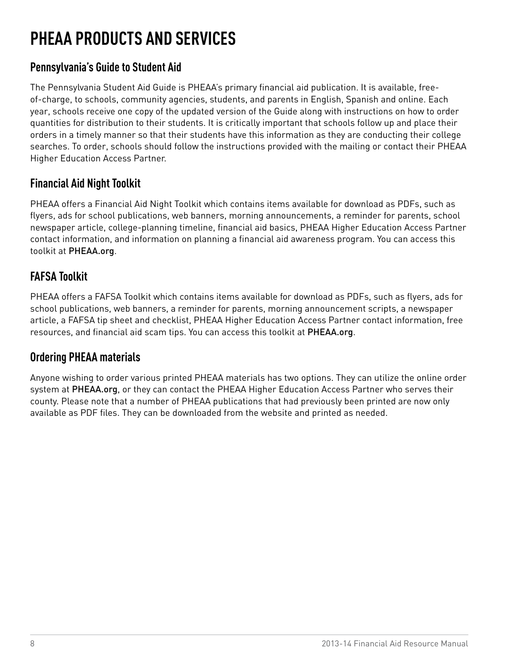# <span id="page-9-0"></span>**PHEAA PRODUCTS AND SERVICES**

# **Pennsylvania's Guide to Student Aid**

The Pennsylvania Student Aid Guide is PHEAA's primary financial aid publication. It is available, freeof-charge, to schools, community agencies, students, and parents in English, Spanish and online. Each year, schools receive one copy of the updated version of the Guide along with instructions on how to order quantities for distribution to their students. It is critically important that schools follow up and place their orders in a timely manner so that their students have this information as they are conducting their college searches. To order, schools should follow the instructions provided with the mailing or contact their PHEAA Higher Education Access Partner.

# **Financial Aid Night Toolkit**

PHEAA offers a Financial Aid Night Toolkit which contains items available for download as PDFs, such as flyers, ads for school publications, web banners, morning announcements, a reminder for parents, school newspaper article, college-planning timeline, financial aid basics, PHEAA Higher Education Access Partner contact information, and information on planning a financial aid awareness program. You can access this toolkit at [PHEAA.org](http://www.pheaa.org).

# **FAFSA Toolkit**

PHEAA offers a FAFSA Toolkit which contains items available for download as PDFs, such as flyers, ads for school publications, web banners, a reminder for parents, morning announcement scripts, a newspaper article, a FAFSA tip sheet and checklist, PHEAA Higher Education Access Partner contact information, free resources, and financial aid scam tips. You can access this toolkit at [PHEAA.org](http://www.pheaa.org).

# **Ordering PHEAA materials**

Anyone wishing to order various printed PHEAA materials has two options. They can utilize the online order system at [PHEAA.org](http://www.pheaa.org), or they can contact the PHEAA Higher Education Access Partner who serves their county. Please note that a number of PHEAA publications that had previously been printed are now only available as PDF files. They can be downloaded from the website and printed as needed.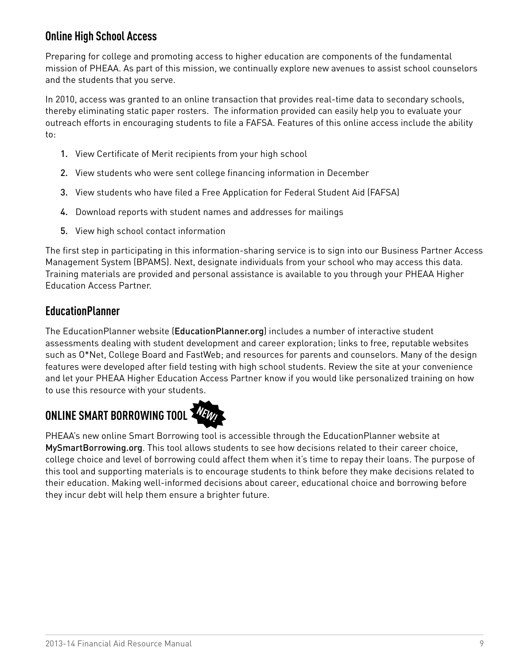# **Online High School Access**

Preparing for college and promoting access to higher education are components of the fundamental mission of PHEAA. As part of this mission, we continually explore new avenues to assist school counselors and the students that you serve.

In 2010, access was granted to an online transaction that provides real-time data to secondary schools, thereby eliminating static paper rosters. The information provided can easily help you to evaluate your outreach efforts in encouraging students to file a FAFSA. Features of this online access include the ability to:

- 1. View Certificate of Merit recipients from your high school
- 2. View students who were sent college financing information in December
- 3. View students who have filed a Free Application for Federal Student Aid (FAFSA)
- 4. Download reports with student names and addresses for mailings
- 5. View high school contact information

The first step in participating in this information-sharing service is to sign into our Business Partner Access Management System (BPAMS). Next, designate individuals from your school who may access this data. Training materials are provided and personal assistance is available to you through your PHEAA Higher Education Access Partner.

### **EducationPlanner**

The EducationPlanner website ([EducationPlanner.org](http://www.EducationPlanner.org)) includes a number of interactive student assessments dealing with student development and career exploration; links to free, reputable websites such as O\*Net, College Board and FastWeb; and resources for parents and counselors. Many of the design features were developed after field testing with high school students. Review the site at your convenience and let your PHEAA Higher Education Access Partner know if you would like personalized training on how to use this resource with your students.

# **ONLINE SMART BORROWING TOOL**



PHEAA's new online Smart Borrowing tool is accessible through the EducationPlanner website at [MySmartBorrowing.org](http://www.educationplanner.org/mysmartborrowing). This tool allows students to see how decisions related to their career choice, college choice and level of borrowing could affect them when it's time to repay their loans. The purpose of this tool and supporting materials is to encourage students to think before they make decisions related to their education. Making well-informed decisions about career, educational choice and borrowing before they incur debt will help them ensure a brighter future.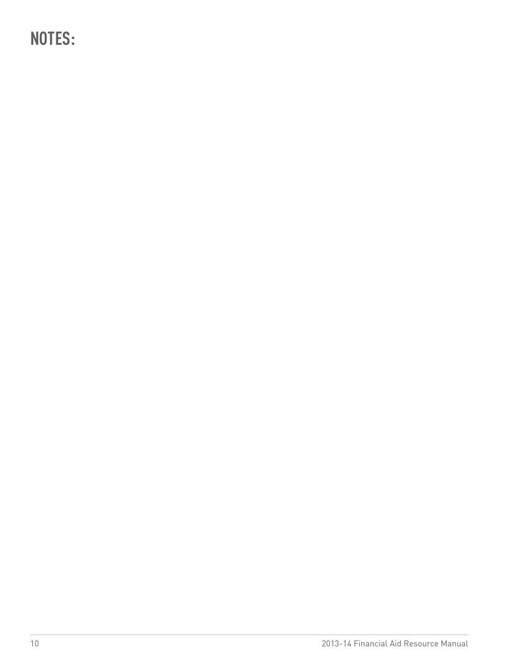<span id="page-11-0"></span>**NOTES:**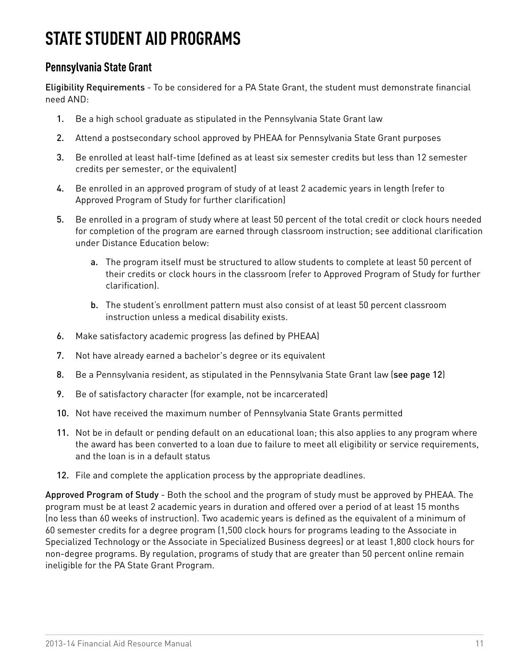# <span id="page-12-0"></span>**STATE STUDENT AID PROGRAMS**

# **Pennsylvania State Grant**

Eligibility Requirements - To be considered for a PA State Grant, the student must demonstrate financial need AND:

- 1. Be a high school graduate as stipulated in the Pennsylvania State Grant law
- 2. Attend a postsecondary school approved by PHEAA for Pennsylvania State Grant purposes
- 3. Be enrolled at least half-time (defined as at least six semester credits but less than 12 semester credits per semester, or the equivalent)
- 4. Be enrolled in an approved program of study of at least 2 academic years in length (refer to Approved Program of Study for further clarification)
- 5. Be enrolled in a program of study where at least 50 percent of the total credit or clock hours needed for completion of the program are earned through classroom instruction; see additional clarification under Distance Education below:
	- a. The program itself must be structured to allow students to complete at least 50 percent of their credits or clock hours in the classroom (refer to Approved Program of Study for further clarification).
	- b. The student's enrollment pattern must also consist of at least 50 percent classroom instruction unless a medical disability exists.
- 6. Make satisfactory academic progress (as defined by PHEAA)
- 7. Not have already earned a bachelor's degree or its equivalent
- 8. Be a Pennsylvania resident, as stipulated in the Pennsylvania State Grant law ([see page 12](#page-11-0))
- 9. Be of satisfactory character (for example, not be incarcerated)
- 10. Not have received the maximum number of Pennsylvania State Grants permitted
- 11. Not be in default or pending default on an educational loan; this also applies to any program where the award has been converted to a loan due to failure to meet all eligibility or service requirements, and the loan is in a default status
- 12. File and complete the application process by the appropriate deadlines.

Approved Program of Study - Both the school and the program of study must be approved by PHEAA. The program must be at least 2 academic years in duration and offered over a period of at least 15 months (no less than 60 weeks of instruction). Two academic years is defined as the equivalent of a minimum of 60 semester credits for a degree program (1,500 clock hours for programs leading to the Associate in Specialized Technology or the Associate in Specialized Business degrees) or at least 1,800 clock hours for non-degree programs. By regulation, programs of study that are greater than 50 percent online remain ineligible for the PA State Grant Program.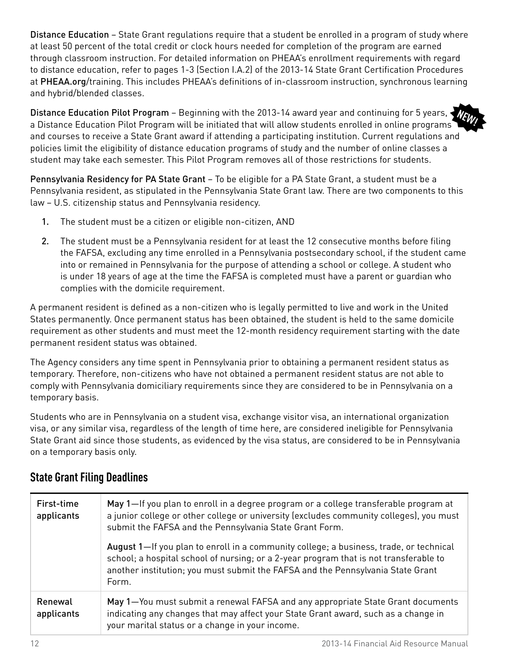Distance Education – State Grant regulations require that a student be enrolled in a program of study where at least 50 percent of the total credit or clock hours needed for completion of the program are earned through classroom instruction. For detailed information on PHEAA's enrollment requirements with regard to distance education, refer to pages 1-3 (Section I.A.2) of the 2013-14 State Grant Certification Procedures at [PHEAA.org](http://www.pheaa.org/training)/training. This includes PHEAA's definitions of in-classroom instruction, synchronous learning and hybrid/blended classes.

Distance Education Pilot Program – Beginning with the 2013-14 award year and continuing for 5 years, a Distance Education Pilot Program will be initiated that will allow students enrolled in online programs and courses to receive a State Grant award if attending a participating institution. Current regulations and policies limit the eligibility of distance education programs of study and the number of online classes a student may take each semester. This Pilot Program removes all of those restrictions for students. **NEW!**

Pennsylvania Residency for PA State Grant - To be eligible for a PA State Grant, a student must be a Pennsylvania resident, as stipulated in the Pennsylvania State Grant law. There are two components to this law – U.S. citizenship status and Pennsylvania residency.

- 1. The student must be a citizen or eligible non-citizen, AND
- 2. The student must be a Pennsylvania resident for at least the 12 consecutive months before filing the FAFSA, excluding any time enrolled in a Pennsylvania postsecondary school, if the student came into or remained in Pennsylvania for the purpose of attending a school or college. A student who is under 18 years of age at the time the FAFSA is completed must have a parent or guardian who complies with the domicile requirement.

A permanent resident is defined as a non-citizen who is legally permitted to live and work in the United States permanently. Once permanent status has been obtained, the student is held to the same domicile requirement as other students and must meet the 12-month residency requirement starting with the date permanent resident status was obtained.

The Agency considers any time spent in Pennsylvania prior to obtaining a permanent resident status as temporary. Therefore, non-citizens who have not obtained a permanent resident status are not able to comply with Pennsylvania domiciliary requirements since they are considered to be in Pennsylvania on a temporary basis.

Students who are in Pennsylvania on a student visa, exchange visitor visa, an international organization visa, or any similar visa, regardless of the length of time here, are considered ineligible for Pennsylvania State Grant aid since those students, as evidenced by the visa status, are considered to be in Pennsylvania on a temporary basis only.

| First-time<br>applicants | May 1-If you plan to enroll in a degree program or a college transferable program at<br>a junior college or other college or university (excludes community colleges), you must<br>submit the FAFSA and the Pennsylvania State Grant Form.                                  |
|--------------------------|-----------------------------------------------------------------------------------------------------------------------------------------------------------------------------------------------------------------------------------------------------------------------------|
|                          | August 1—If you plan to enroll in a community college; a business, trade, or technical<br>school; a hospital school of nursing; or a 2-year program that is not transferable to<br>another institution; you must submit the FAFSA and the Pennsylvania State Grant<br>Form. |
| Renewal<br>applicants    | May 1-You must submit a renewal FAFSA and any appropriate State Grant documents<br>indicating any changes that may affect your State Grant award, such as a change in<br>your marital status or a change in your income.                                                    |

### **State Grant Filing Deadlines**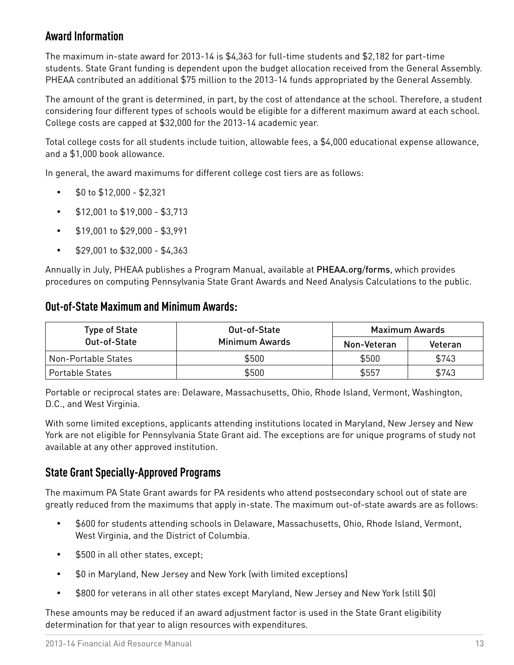### **Award Information**

The maximum in-state award for 2013-14 is \$4,363 for full-time students and \$2,182 for part-time students. State Grant funding is dependent upon the budget allocation received from the General Assembly. PHEAA contributed an additional \$75 million to the 2013-14 funds appropriated by the General Assembly.

The amount of the grant is determined, in part, by the cost of attendance at the school. Therefore, a student considering four different types of schools would be eligible for a different maximum award at each school. College costs are capped at \$32,000 for the 2013-14 academic year.

Total college costs for all students include tuition, allowable fees, a \$4,000 educational expense allowance, and a \$1,000 book allowance.

In general, the award maximums for different college cost tiers are as follows:

- $\cdot$  \$0 to \$12,000 \$2,321
- • \$12,001 to \$19,000 \$3,713
- \$19,001 to \$29,000 \$3,991
- $\cdot$  \$29,001 to \$32,000 \$4,363

Annually in July, PHEAA publishes a Program Manual, available at [PHEAA.org](http://www.pheaa.org/forms)/forms, which provides procedures on computing Pennsylvania State Grant Awards and Need Analysis Calculations to the public.

### **Out-of-State Maximum and Minimum Awards:**

| <b>Type of State</b>   | Out-of-State   | Maximum Awards |         |
|------------------------|----------------|----------------|---------|
| Out-of-State           | Minimum Awards | Non-Veteran    | Veteran |
| Non-Portable States    | \$500          | \$500          | \$743   |
| <b>Portable States</b> | \$500          | \$557          | \$743   |

Portable or reciprocal states are: Delaware, Massachusetts, Ohio, Rhode Island, Vermont, Washington, D.C., and West Virginia.

With some limited exceptions, applicants attending institutions located in Maryland, New Jersey and New York are not eligible for Pennsylvania State Grant aid. The exceptions are for unique programs of study not available at any other approved institution.

### **State Grant Specially-Approved Programs**

The maximum PA State Grant awards for PA residents who attend postsecondary school out of state are greatly reduced from the maximums that apply in-state. The maximum out-of-state awards are as follows:

- \$600 for students attending schools in Delaware, Massachusetts, Ohio, Rhode Island, Vermont, West Virginia, and the District of Columbia.
- \$500 in all other states, except;
- \$0 in Maryland, New Jersey and New York (with limited exceptions)
- • \$800 for veterans in all other states except Maryland, New Jersey and New York (still \$0)

These amounts may be reduced if an award adjustment factor is used in the State Grant eligibility determination for that year to align resources with expenditures.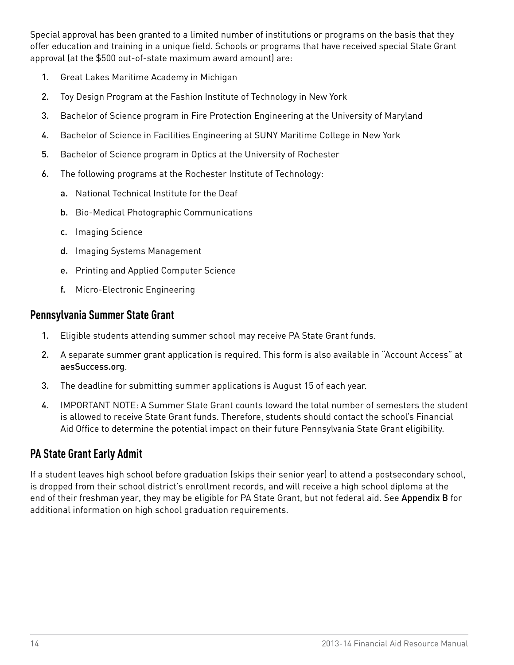<span id="page-15-0"></span>Special approval has been granted to a limited number of institutions or programs on the basis that they offer education and training in a unique field. Schools or programs that have received special State Grant approval (at the \$500 out-of-state maximum award amount) are:

- 1. Great Lakes Maritime Academy in Michigan
- 2. Toy Design Program at the Fashion Institute of Technology in New York
- 3. Bachelor of Science program in Fire Protection Engineering at the University of Maryland
- 4. Bachelor of Science in Facilities Engineering at SUNY Maritime College in New York
- 5. Bachelor of Science program in Optics at the University of Rochester
- 6. The following programs at the Rochester Institute of Technology:
	- a. National Technical Institute for the Deaf
	- b. Bio-Medical Photographic Communications
	- c. Imaging Science
	- d. Imaging Systems Management
	- e. Printing and Applied Computer Science
	- f. Micro-Electronic Engineering

### **Pennsylvania Summer State Grant**

- 1. Eligible students attending summer school may receive PA State Grant funds.
- 2. A separate summer grant application is required. This form is also available in "Account Access" at [aesSuccess.org](http://www.aessuccess.org).
- 3. The deadline for submitting summer applications is August 15 of each year.
- 4. IMPORTANT NOTE: A Summer State Grant counts toward the total number of semesters the student is allowed to receive State Grant funds. Therefore, students should contact the school's Financial Aid Office to determine the potential impact on their future Pennsylvania State Grant eligibility.

# **PA State Grant Early Admit**

If a student leaves high school before graduation (skips their senior year) to attend a postsecondary school, is dropped from their school district's enrollment records, and will receive a high school diploma at the end of their freshman year, they may be eligible for PA State Grant, but not federal aid. See [Appendix B](#page-79-0) for additional information on high school graduation requirements.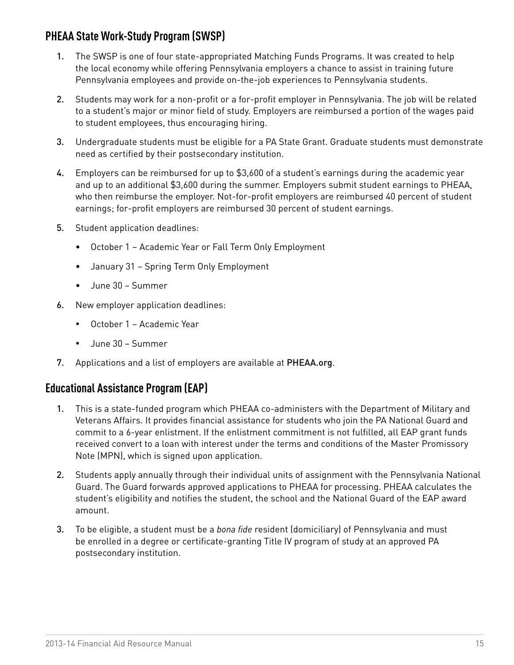# <span id="page-16-0"></span>**PHEAA State Work-Study Program (SWSP)**

- 1. The SWSP is one of four state-appropriated Matching Funds Programs. It was created to help the local economy while offering Pennsylvania employers a chance to assist in training future Pennsylvania employees and provide on-the-job experiences to Pennsylvania students.
- 2. Students may work for a non-profit or a for-profit employer in Pennsylvania. The job will be related to a student's major or minor field of study. Employers are reimbursed a portion of the wages paid to student employees, thus encouraging hiring.
- 3. Undergraduate students must be eligible for a PA State Grant. Graduate students must demonstrate need as certified by their postsecondary institution.
- 4. Employers can be reimbursed for up to \$3,600 of a student's earnings during the academic year and up to an additional \$3,600 during the summer. Employers submit student earnings to PHEAA, who then reimburse the employer. Not-for-profit employers are reimbursed 40 percent of student earnings; for-profit employers are reimbursed 30 percent of student earnings.
- 5. Student application deadlines:
	- • October 1 Academic Year or Fall Term Only Employment
	- • January 31 Spring Term Only Employment
	- • June 30 Summer
- 6. New employer application deadlines:
	- • October 1 Academic Year
	- • June 30 Summer
- 7. Applications and a list of employers are available at [PHEAA.org](http://www.pheaa.org).

### **Educational Assistance Program (EAP)**

- 1. This is a state-funded program which PHEAA co-administers with the Department of Military and Veterans Affairs. It provides financial assistance for students who join the PA National Guard and commit to a 6-year enlistment. If the enlistment commitment is not fulfilled, all EAP grant funds received convert to a loan with interest under the terms and conditions of the Master Promissory Note (MPN), which is signed upon application.
- 2. Students apply annually through their individual units of assignment with the Pennsylvania National Guard. The Guard forwards approved applications to PHEAA for processing. PHEAA calculates the student's eligibility and notifies the student, the school and the National Guard of the EAP award amount.
- 3. To be eligible, a student must be a *bona fide* resident (domiciliary) of Pennsylvania and must be enrolled in a degree or certificate-granting Title IV program of study at an approved PA postsecondary institution.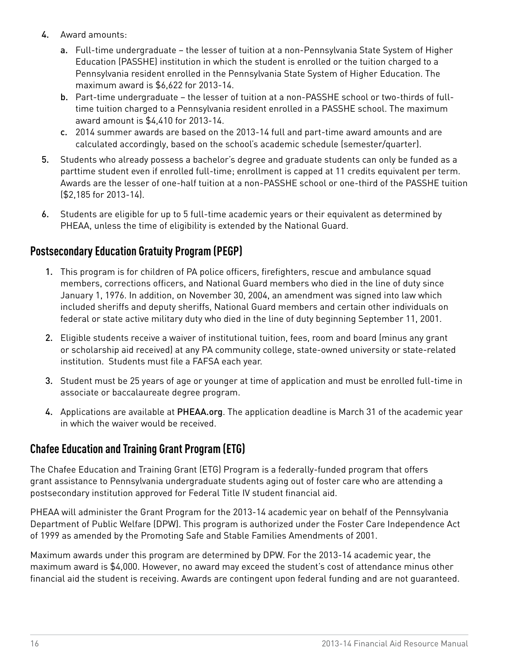- <span id="page-17-0"></span>4. Award amounts:
	- a. Full-time undergraduate the lesser of tuition at a non-Pennsylvania State System of Higher Education (PASSHE) institution in which the student is enrolled or the tuition charged to a Pennsylvania resident enrolled in the Pennsylvania State System of Higher Education. The maximum award is \$6,622 for 2013-14.
	- b. Part-time undergraduate the lesser of tuition at a non-PASSHE school or two-thirds of fulltime tuition charged to a Pennsylvania resident enrolled in a PASSHE school. The maximum award amount is \$4,410 for 2013-14.
	- c. 2014 summer awards are based on the 2013-14 full and part-time award amounts and are calculated accordingly, based on the school's academic schedule (semester/quarter).
- 5. Students who already possess a bachelor's degree and graduate students can only be funded as a parttime student even if enrolled full-time; enrollment is capped at 11 credits equivalent per term. Awards are the lesser of one-half tuition at a non-PASSHE school or one-third of the PASSHE tuition (\$2,185 for 2013-14).
- 6. Students are eligible for up to 5 full-time academic years or their equivalent as determined by PHEAA, unless the time of eligibility is extended by the National Guard.

# **Postsecondary Education Gratuity Program (PEGP)**

- 1. This program is for children of PA police officers, firefighters, rescue and ambulance squad members, corrections officers, and National Guard members who died in the line of duty since January 1, 1976. In addition, on November 30, 2004, an amendment was signed into law which included sheriffs and deputy sheriffs, National Guard members and certain other individuals on federal or state active military duty who died in the line of duty beginning September 11, 2001.
- 2. Eligible students receive a waiver of institutional tuition, fees, room and board (minus any grant or scholarship aid received) at any PA community college, state-owned university or state-related institution. Students must file a FAFSA each year.
- 3. Student must be 25 years of age or younger at time of application and must be enrolled full-time in associate or baccalaureate degree program.
- 4. Applications are available at [PHEAA.org](http://www.pheaa.org). The application deadline is March 31 of the academic year in which the waiver would be received.

# **Chafee Education and Training Grant Program (ETG)**

The Chafee Education and Training Grant (ETG) Program is a federally-funded program that offers grant assistance to Pennsylvania undergraduate students aging out of foster care who are attending a postsecondary institution approved for Federal Title IV student financial aid.

PHEAA will administer the Grant Program for the 2013-14 academic year on behalf of the Pennsylvania Department of Public Welfare (DPW). This program is authorized under the Foster Care Independence Act of 1999 as amended by the Promoting Safe and Stable Families Amendments of 2001.

Maximum awards under this program are determined by DPW. For the 2013-14 academic year, the maximum award is \$4,000. However, no award may exceed the student's cost of attendance minus other financial aid the student is receiving. Awards are contingent upon federal funding and are not guaranteed.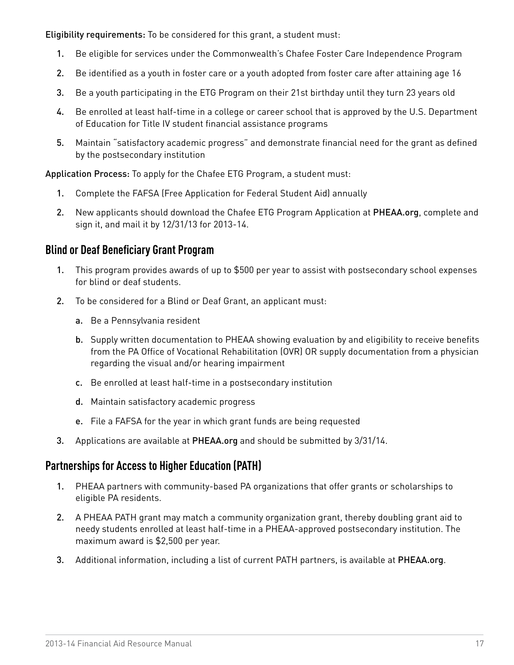<span id="page-18-0"></span>Eligibility requirements: To be considered for this grant, a student must:

- 1. Be eligible for services under the Commonwealth's Chafee Foster Care Independence Program
- 2. Be identified as a youth in foster care or a youth adopted from foster care after attaining age 16
- 3. Be a youth participating in the ETG Program on their 21st birthday until they turn 23 years old
- 4. Be enrolled at least half-time in a college or career school that is approved by the U.S. Department of Education for Title IV student financial assistance programs
- 5. Maintain "satisfactory academic progress" and demonstrate financial need for the grant as defined by the postsecondary institution

Application Process: To apply for the Chafee ETG Program, a student must:

- 1. Complete the FAFSA (Free Application for Federal Student Aid) annually
- 2. New applicants should download the Chafee ETG Program Application at [PHEAA.org](http://www.pheaa.org), complete and sign it, and mail it by 12/31/13 for 2013-14.

#### **Blind or Deaf Beneficiary Grant Program**

- 1. This program provides awards of up to \$500 per year to assist with postsecondary school expenses for blind or deaf students.
- 2. To be considered for a Blind or Deaf Grant, an applicant must:
	- a. Be a Pennsylvania resident
	- b. Supply written documentation to PHEAA showing evaluation by and eligibility to receive benefits from the PA Office of Vocational Rehabilitation (OVR) OR supply documentation from a physician regarding the visual and/or hearing impairment
	- c. Be enrolled at least half-time in a postsecondary institution
	- d. Maintain satisfactory academic progress
	- e. File a FAFSA for the year in which grant funds are being requested
- 3. Applications are available at [PHEAA.org](http://www.pheaa.org) and should be submitted by 3/31/14.

### **Partnerships for Access to Higher Education (PATH)**

- 1. PHEAA partners with community-based PA organizations that offer grants or scholarships to eligible PA residents.
- 2. A PHEAA PATH grant may match a community organization grant, thereby doubling grant aid to needy students enrolled at least half-time in a PHEAA-approved postsecondary institution. The maximum award is \$2,500 per year.
- 3. Additional information, including a list of current PATH partners, is available at [PHEAA.org](http://www.pheaa.org).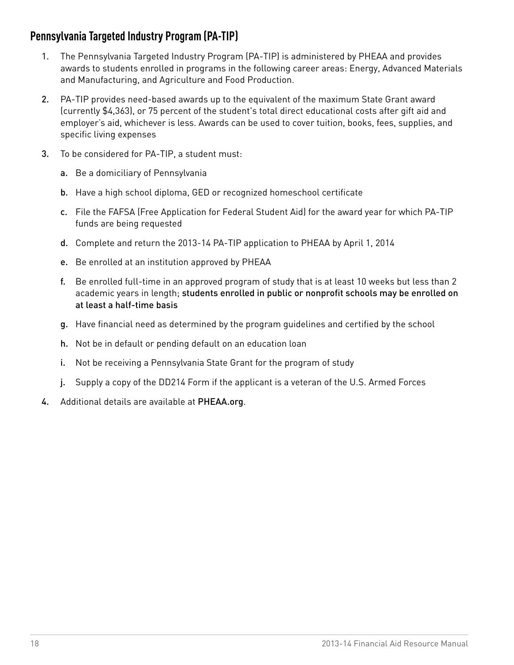# <span id="page-19-0"></span>**Pennsylvania Targeted Industry Program (PA-TIP)**

- 1. The Pennsylvania Targeted Industry Program (PA-TIP) is administered by PHEAA and provides awards to students enrolled in programs in the following career areas: Energy, Advanced Materials and Manufacturing, and Agriculture and Food Production.
- 2. PA-TIP provides need-based awards up to the equivalent of the maximum State Grant award (currently \$4,363), or 75 percent of the student's total direct educational costs after gift aid and employer's aid, whichever is less. Awards can be used to cover tuition, books, fees, supplies, and specific living expenses
- 3. To be considered for PA-TIP, a student must:
	- a. Be a domiciliary of Pennsylvania
	- b. Have a high school diploma, GED or recognized homeschool certificate
	- c. File the FAFSA (Free Application for Federal Student Aid) for the award year for which PA-TIP funds are being requested
	- d. Complete and return the 2013-14 PA-TIP application to PHEAA by April 1, 2014
	- e. Be enrolled at an institution approved by PHEAA
	- f. Be enrolled full-time in an approved program of study that is at least 10 weeks but less than 2 academic years in length; students enrolled in public or nonprofit schools may be enrolled on at least a half-time basis
	- g. Have financial need as determined by the program guidelines and certified by the school
	- h. Not be in default or pending default on an education loan
	- i. Not be receiving a Pennsylvania State Grant for the program of study
	- j. Supply a copy of the DD214 Form if the applicant is a veteran of the U.S. Armed Forces
- 4. Additional details are available at [PHEAA.org](http://www.PHEAA.org).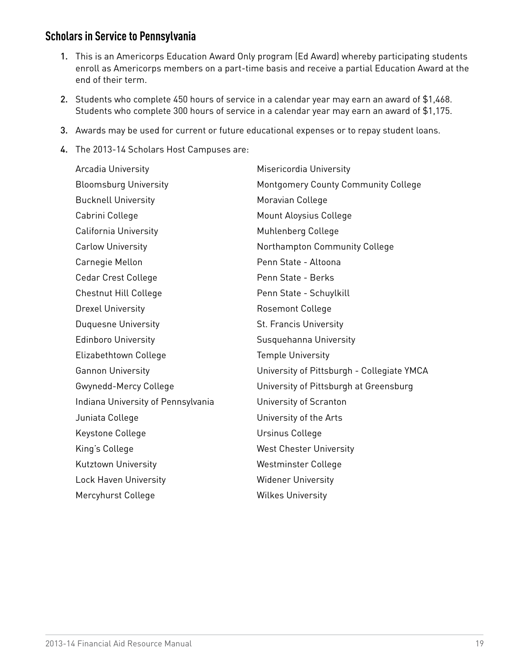### <span id="page-20-0"></span>**Scholars in Service to Pennsylvania**

- 1. This is an Americorps Education Award Only program (Ed Award) whereby participating students enroll as Americorps members on a part-time basis and receive a partial Education Award at the end of their term.
- 2. Students who complete 450 hours of service in a calendar year may earn an award of \$1,468. Students who complete 300 hours of service in a calendar year may earn an award of \$1,175.
- 3. Awards may be used for current or future educational expenses or to repay student loans.
- 4. The 2013-14 Scholars Host Campuses are:

| Arcadia University                 | Misericordia University                    |
|------------------------------------|--------------------------------------------|
| <b>Bloomsburg University</b>       | Montgomery County Community College        |
| <b>Bucknell University</b>         | Moravian College                           |
| Cabrini College                    | Mount Aloysius College                     |
| <b>California University</b>       | Muhlenberg College                         |
| <b>Carlow University</b>           | Northampton Community College              |
| Carnegie Mellon                    | Penn State - Altoona                       |
| Cedar Crest College                | Penn State - Berks                         |
| Chestnut Hill College              | Penn State - Schuylkill                    |
| <b>Drexel University</b>           | <b>Rosemont College</b>                    |
| <b>Duquesne University</b>         | St. Francis University                     |
| <b>Edinboro University</b>         | Susquehanna University                     |
| Elizabethtown College              | <b>Temple University</b>                   |
| <b>Gannon University</b>           | University of Pittsburgh - Collegiate YMCA |
| Gwynedd-Mercy College              | University of Pittsburgh at Greensburg     |
| Indiana University of Pennsylvania | University of Scranton                     |
| Juniata College                    | University of the Arts                     |
| Keystone College                   | Ursinus College                            |
| King's College                     | <b>West Chester University</b>             |
| Kutztown University                | Westminster College                        |
| <b>Lock Haven University</b>       | <b>Widener University</b>                  |
| Mercyhurst College                 | <b>Wilkes University</b>                   |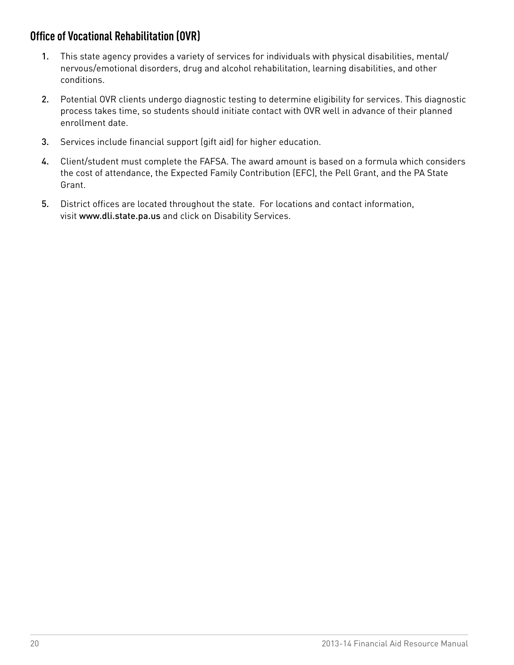# <span id="page-21-0"></span>**Office of Vocational Rehabilitation (OVR)**

- 1. This state agency provides a variety of services for individuals with physical disabilities, mental/ nervous/emotional disorders, drug and alcohol rehabilitation, learning disabilities, and other conditions.
- 2. Potential OVR clients undergo diagnostic testing to determine eligibility for services. This diagnostic process takes time, so students should initiate contact with OVR well in advance of their planned enrollment date.
- 3. Services include financial support (gift aid) for higher education.
- 4. Client/student must complete the FAFSA. The award amount is based on a formula which considers the cost of attendance, the Expected Family Contribution (EFC), the Pell Grant, and the PA State Grant.
- 5. District offices are located throughout the state. For locations and contact information, visit [www.dli.state.pa.us](http://www.dli.state.pa.us) and click on Disability Services.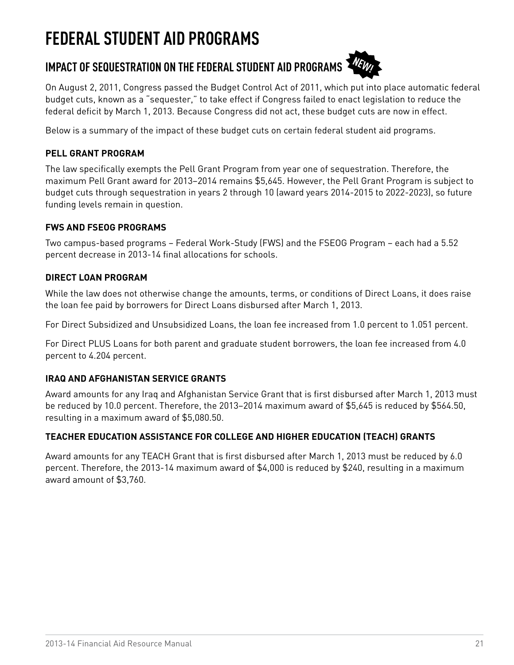# <span id="page-22-0"></span>**FEDERAL STUDENT AID PROGRAMS**

# IMPACT OF SEQUESTRATION ON THE FEDERAL STUDENT AID PROGRAMS  $\mathcal{H}_{W}$



On August 2, 2011, Congress passed the Budget Control Act of 2011, which put into place automatic federal budget cuts, known as a "sequester," to take effect if Congress failed to enact legislation to reduce the federal deficit by March 1, 2013. Because Congress did not act, these budget cuts are now in effect.

Below is a summary of the impact of these budget cuts on certain federal student aid programs.

#### **PELL GRANT PROGRAM**

The law specifically exempts the Pell Grant Program from year one of sequestration. Therefore, the maximum Pell Grant award for 2013–2014 remains \$5,645. However, the Pell Grant Program is subject to budget cuts through sequestration in years 2 through 10 (award years 2014-2015 to 2022-2023), so future funding levels remain in question.

#### **FWS AND FSEOG PROGRAMS**

Two campus-based programs – Federal Work-Study (FWS) and the FSEOG Program – each had a 5.52 percent decrease in 2013-14 final allocations for schools.

#### **DIRECT LOAN PROGRAM**

While the law does not otherwise change the amounts, terms, or conditions of Direct Loans, it does raise the loan fee paid by borrowers for Direct Loans disbursed after March 1, 2013.

For Direct Subsidized and Unsubsidized Loans, the loan fee increased from 1.0 percent to 1.051 percent.

For Direct PLUS Loans for both parent and graduate student borrowers, the loan fee increased from 4.0 percent to 4.204 percent.

#### **IRAQ AND AFGHANISTAN SERVICE GRANTS**

Award amounts for any Iraq and Afghanistan Service Grant that is first disbursed after March 1, 2013 must be reduced by 10.0 percent. Therefore, the 2013–2014 maximum award of \$5,645 is reduced by \$564.50, resulting in a maximum award of \$5,080.50.

#### **TEACHER EDUCATION ASSISTANCE FOR COLLEGE AND HIGHER EDUCATION (TEACH) GRANTS**

Award amounts for any TEACH Grant that is first disbursed after March 1, 2013 must be reduced by 6.0 percent. Therefore, the 2013-14 maximum award of \$4,000 is reduced by \$240, resulting in a maximum award amount of \$3,760.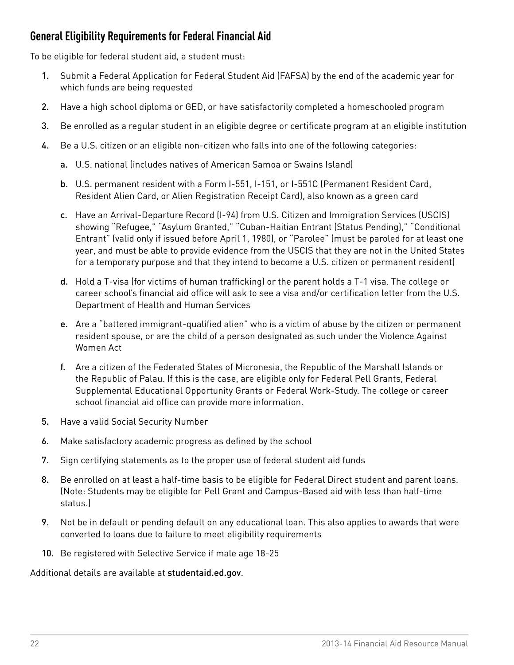# <span id="page-23-0"></span>**General Eligibility Requirements for Federal Financial Aid**

To be eligible for federal student aid, a student must:

- 1. Submit a Federal Application for Federal Student Aid (FAFSA) by the end of the academic year for which funds are being requested
- 2. Have a high school diploma or GED, or have satisfactorily completed a homeschooled program
- 3. Be enrolled as a regular student in an eligible degree or certificate program at an eligible institution
- 4. Be a U.S. citizen or an eligible non-citizen who falls into one of the following categories:
	- a. U.S. national (includes natives of American Samoa or Swains Island)
	- b. U.S. permanent resident with a Form I-551, I-151, or I-551C (Permanent Resident Card, Resident Alien Card, or Alien Registration Receipt Card), also known as a green card
	- c. Have an Arrival-Departure Record (I-94) from U.S. Citizen and Immigration Services (USCIS) showing "Refugee," "Asylum Granted," "Cuban-Haitian Entrant (Status Pending)," "Conditional Entrant" (valid only if issued before April 1, 1980), or "Parolee" (must be paroled for at least one year, and must be able to provide evidence from the USCIS that they are not in the United States for a temporary purpose and that they intend to become a U.S. citizen or permanent resident)
	- d. Hold a T-visa (for victims of human trafficking) or the parent holds a T-1 visa. The college or career school's financial aid office will ask to see a visa and/or certification letter from the U.S. Department of Health and Human Services
	- e. Are a "battered immigrant-qualified alien" who is a victim of abuse by the citizen or permanent resident spouse, or are the child of a person designated as such under the Violence Against Women Act
	- f. Are a citizen of the Federated States of Micronesia, the Republic of the Marshall Islands or the Republic of Palau. If this is the case, are eligible only for Federal Pell Grants, Federal Supplemental Educational Opportunity Grants or Federal Work-Study. The college or career school financial aid office can provide more information.
- 5. Have a valid Social Security Number
- 6. Make satisfactory academic progress as defined by the school
- 7. Sign certifying statements as to the proper use of federal student aid funds
- 8. Be enrolled on at least a half-time basis to be eligible for Federal Direct student and parent loans. (Note: Students may be eligible for Pell Grant and Campus-Based aid with less than half-time status.)
- 9. Not be in default or pending default on any educational loan. This also applies to awards that were converted to loans due to failure to meet eligibility requirements
- 10. Be registered with Selective Service if male age 18-25

Additional details are available at [studentaid.ed.gov](http://www.ifap.ed.gov).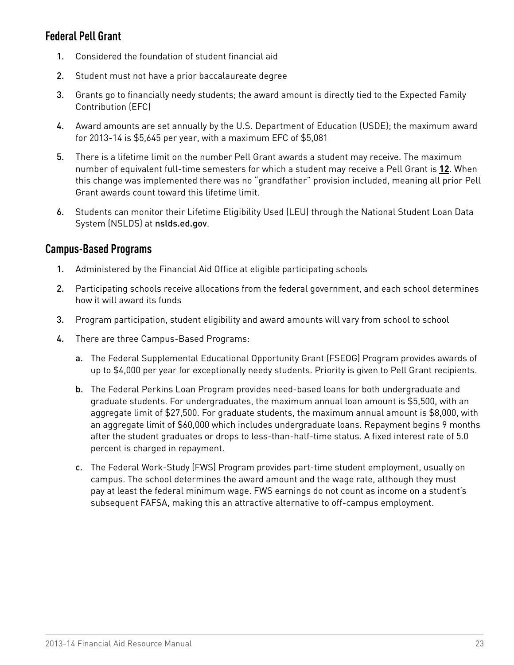# <span id="page-24-0"></span>**Federal Pell Grant**

- 1. Considered the foundation of student financial aid
- 2. Student must not have a prior baccalaureate degree
- 3. Grants go to financially needy students; the award amount is directly tied to the Expected Family Contribution (EFC)
- 4. Award amounts are set annually by the U.S. Department of Education (USDE); the maximum award for 2013-14 is \$5,645 per year, with a maximum EFC of \$5,081
- 5. There is a lifetime limit on the number Pell Grant awards a student may receive. The maximum number of equivalent full-time semesters for which a student may receive a Pell Grant is **12**. When this change was implemented there was no "grandfather" provision included, meaning all prior Pell Grant awards count toward this lifetime limit.
- 6. Students can monitor their Lifetime Eligibility Used (LEU) through the National Student Loan Data System (NSLDS) at [nslds.ed.gov](http://www.nslds.ed.gov).

### **Campus-Based Programs**

- 1. Administered by the Financial Aid Office at eligible participating schools
- 2. Participating schools receive allocations from the federal government, and each school determines how it will award its funds
- 3. Program participation, student eligibility and award amounts will vary from school to school
- 4. There are three Campus-Based Programs:
	- a. The Federal Supplemental Educational Opportunity Grant (FSEOG) Program provides awards of up to \$4,000 per year for exceptionally needy students. Priority is given to Pell Grant recipients.
	- b. The Federal Perkins Loan Program provides need-based loans for both undergraduate and graduate students. For undergraduates, the maximum annual loan amount is \$5,500, with an aggregate limit of \$27,500. For graduate students, the maximum annual amount is \$8,000, with an aggregate limit of \$60,000 which includes undergraduate loans. Repayment begins 9 months after the student graduates or drops to less-than-half-time status. A fixed interest rate of 5.0 percent is charged in repayment.
	- c. The Federal Work-Study (FWS) Program provides part-time student employment, usually on campus. The school determines the award amount and the wage rate, although they must pay at least the federal minimum wage. FWS earnings do not count as income on a student's subsequent FAFSA, making this an attractive alternative to off-campus employment.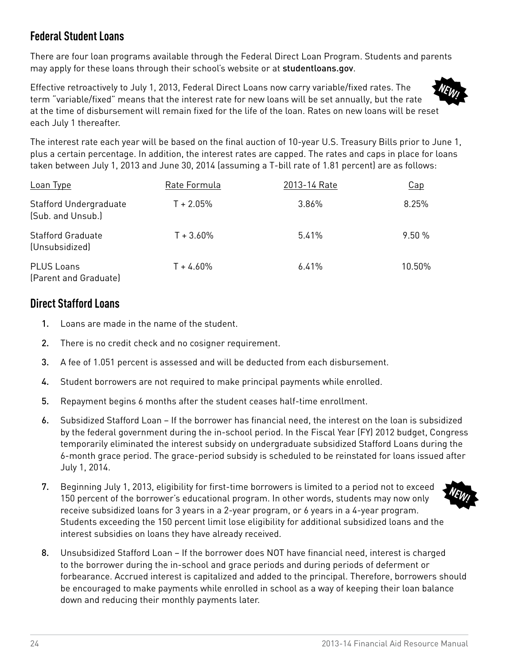# <span id="page-25-0"></span>**Federal Student Loans**

There are four loan programs available through the Federal Direct Loan Program. Students and parents may apply for these loans through their school's website or at [studentloans.gov](http://www.studentloans.gov).

Effective retroactively to July 1, 2013, Federal Direct Loans now carry variable/fixed rates. The term "variable/fixed" means that the interest rate for new loans will be set annually, but the rate at the time of disbursement will remain fixed for the life of the loan. Rates on new loans will be reset each July 1 thereafter.

The interest rate each year will be based on the final auction of 10-year U.S. Treasury Bills prior to June 1, plus a certain percentage. In addition, the interest rates are capped. The rates and caps in place for loans taken between July 1, 2013 and June 30, 2014 (assuming a T-bill rate of 1.81 percent) are as follows:

| Loan Type                                          | Rate Formula | 2013-14 Rate | Cap    |
|----------------------------------------------------|--------------|--------------|--------|
| <b>Stafford Undergraduate</b><br>(Sub. and Unsub.) | $T + 2.05%$  | 3.86%        | 8.25%  |
| <b>Stafford Graduate</b><br>(Unsubsidized)         | $T + 3.60\%$ | 5.41%        | 9.50%  |
| <b>PLUS Loans</b><br>(Parent and Graduate)         | $T + 4.60\%$ | 6.41%        | 10.50% |

# **Direct Stafford Loans**

- 1. Loans are made in the name of the student.
- 2. There is no credit check and no cosigner requirement.
- 3. A fee of 1.051 percent is assessed and will be deducted from each disbursement.
- 4. Student borrowers are not required to make principal payments while enrolled.
- 5. Repayment begins 6 months after the student ceases half-time enrollment.
- 6. Subsidized Stafford Loan If the borrower has financial need, the interest on the loan is subsidized by the federal government during the in-school period. In the Fiscal Year (FY) 2012 budget, Congress temporarily eliminated the interest subsidy on undergraduate subsidized Stafford Loans during the 6-month grace period. The grace-period subsidy is scheduled to be reinstated for loans issued after July 1, 2014.
- 7. Beginning July 1, 2013, eligibility for first-time borrowers is limited to a period not to exceed 150 percent of the borrower's educational program. In other words, students may now only receive subsidized loans for 3 years in a 2-year program, or 6 years in a 4-year program. Students exceeding the 150 percent limit lose eligibility for additional subsidized loans and the interest subsidies on loans they have already received.
- 8. Unsubsidized Stafford Loan If the borrower does NOT have financial need, interest is charged to the borrower during the in-school and grace periods and during periods of deferment or forbearance. Accrued interest is capitalized and added to the principal. Therefore, borrowers should be encouraged to make payments while enrolled in school as a way of keeping their loan balance down and reducing their monthly payments later.





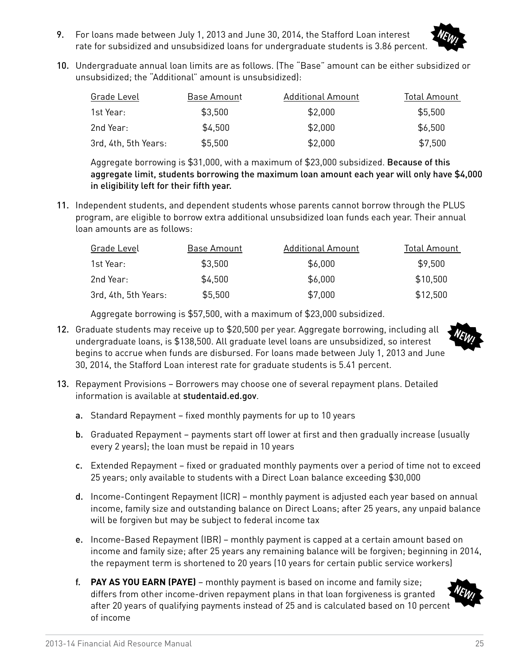9. For loans made between July 1, 2013 and June 30, 2014, the Stafford Loan interest rate for subsidized and unsubsidized loans for undergraduate students is 3.86 percent.



10. Undergraduate annual loan limits are as follows. (The "Base" amount can be either subsidized or unsubsidized; the "Additional" amount is unsubsidized):

| Grade Level          | Base Amount | Additional Amount | Total Amount |
|----------------------|-------------|-------------------|--------------|
| 1st Year:            | \$3,500     | \$2,000           | \$5,500      |
| 2nd Year:            | \$4,500     | \$2,000           | \$6,500      |
| 3rd, 4th, 5th Years: | \$5,500     | \$2,000           | \$7,500      |

Aggregate borrowing is \$31,000, with a maximum of \$23,000 subsidized. Because of this aggregate limit, students borrowing the maximum loan amount each year will only have \$4,000 in eligibility left for their fifth year.

11. Independent students, and dependent students whose parents cannot borrow through the PLUS program, are eligible to borrow extra additional unsubsidized loan funds each year. Their annual loan amounts are as follows:

| Grade Level          | Base Amount | Additional Amount | Total Amount |
|----------------------|-------------|-------------------|--------------|
| 1st Year:            | \$3,500     | \$6,000           | \$9,500      |
| 2nd Year:            | \$4,500     | \$6,000           | \$10,500     |
| 3rd, 4th, 5th Years: | \$5,500     | \$7,000           | \$12,500     |

Aggregate borrowing is \$57,500, with a maximum of \$23,000 subsidized.

12. Graduate students may receive up to \$20,500 per year. Aggregate borrowing, including all undergraduate loans, is \$138,500. All graduate level loans are unsubsidized, so interest begins to accrue when funds are disbursed. For loans made between July 1, 2013 and June 30, 2014, the Stafford Loan interest rate for graduate students is 5.41 percent.



- 13. Repayment Provisions Borrowers may choose one of several repayment plans. Detailed information is available at [studentaid.ed.gov](http://www.studentaid.ed.gov).
	- a. Standard Repayment fixed monthly payments for up to 10 years
	- b. Graduated Repayment payments start off lower at first and then gradually increase (usually every 2 years); the loan must be repaid in 10 years
	- c. Extended Repayment fixed or graduated monthly payments over a period of time not to exceed 25 years; only available to students with a Direct Loan balance exceeding \$30,000
	- d. Income-Contingent Repayment (ICR) monthly payment is adjusted each year based on annual income, family size and outstanding balance on Direct Loans; after 25 years, any unpaid balance will be forgiven but may be subject to federal income tax
	- e. Income-Based Repayment (IBR) monthly payment is capped at a certain amount based on income and family size; after 25 years any remaining balance will be forgiven; beginning in 2014, the repayment term is shortened to 20 years (10 years for certain public service workers)
	- f. **PAY AS YOU EARN (PAYE)** monthly payment is based on income and family size; differs from other income-driven repayment plans in that loan forgiveness is granted after 20 years of qualifying payments instead of 25 and is calculated based on 10 percent of income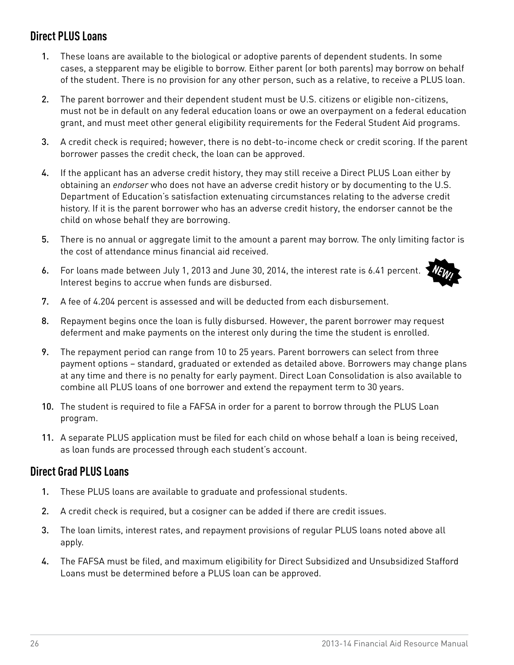# <span id="page-27-0"></span>**Direct PLUS Loans**

- 1. These loans are available to the biological or adoptive parents of dependent students. In some cases, a stepparent may be eligible to borrow. Either parent (or both parents) may borrow on behalf of the student. There is no provision for any other person, such as a relative, to receive a PLUS loan.
- 2. The parent borrower and their dependent student must be U.S. citizens or eligible non-citizens, must not be in default on any federal education loans or owe an overpayment on a federal education grant, and must meet other general eligibility requirements for the Federal Student Aid programs.
- 3. A credit check is required; however, there is no debt-to-income check or credit scoring. If the parent borrower passes the credit check, the loan can be approved.
- 4. If the applicant has an adverse credit history, they may still receive a Direct PLUS Loan either by obtaining an *endorser* who does not have an adverse credit history or by documenting to the U.S. Department of Education's satisfaction extenuating circumstances relating to the adverse credit history. If it is the parent borrower who has an adverse credit history, the endorser cannot be the child on whose behalf they are borrowing.
- 5. There is no annual or aggregate limit to the amount a parent may borrow. The only limiting factor is the cost of attendance minus financial aid received.
- 6. For loans made between July 1, 2013 and June 30, 2014, the interest rate is 6.41 percent. Interest begins to accrue when funds are disbursed.



- 7. A fee of 4.204 percent is assessed and will be deducted from each disbursement.
- 8. Repayment begins once the loan is fully disbursed. However, the parent borrower may request deferment and make payments on the interest only during the time the student is enrolled.
- 9. The repayment period can range from 10 to 25 years. Parent borrowers can select from three payment options – standard, graduated or extended as detailed above. Borrowers may change plans at any time and there is no penalty for early payment. Direct Loan Consolidation is also available to combine all PLUS loans of one borrower and extend the repayment term to 30 years.
- 10. The student is required to file a FAFSA in order for a parent to borrow through the PLUS Loan program.
- 11. A separate PLUS application must be filed for each child on whose behalf a loan is being received, as loan funds are processed through each student's account.

### **Direct Grad PLUS Loans**

- 1. These PLUS loans are available to graduate and professional students.
- 2. A credit check is required, but a cosigner can be added if there are credit issues.
- 3. The loan limits, interest rates, and repayment provisions of regular PLUS loans noted above all apply.
- 4. The FAFSA must be filed, and maximum eligibility for Direct Subsidized and Unsubsidized Stafford Loans must be determined before a PLUS loan can be approved.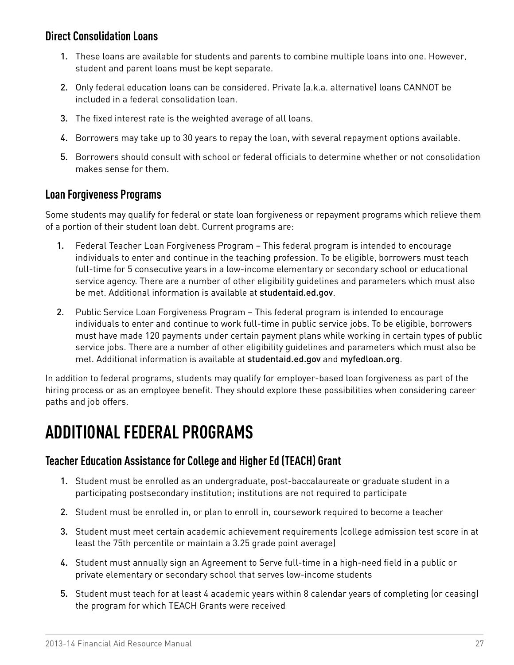### <span id="page-28-0"></span>**Direct Consolidation Loans**

- 1. These loans are available for students and parents to combine multiple loans into one. However, student and parent loans must be kept separate.
- 2. Only federal education loans can be considered. Private (a.k.a. alternative) loans CANNOT be included in a federal consolidation loan.
- 3. The fixed interest rate is the weighted average of all loans.
- 4. Borrowers may take up to 30 years to repay the loan, with several repayment options available.
- 5. Borrowers should consult with school or federal officials to determine whether or not consolidation makes sense for them.

### **Loan Forgiveness Programs**

Some students may qualify for federal or state loan forgiveness or repayment programs which relieve them of a portion of their student loan debt. Current programs are:

- 1. Federal Teacher Loan Forgiveness Program This federal program is intended to encourage individuals to enter and continue in the teaching profession. To be eligible, borrowers must teach full-time for 5 consecutive years in a low-income elementary or secondary school or educational service agency. There are a number of other eligibility guidelines and parameters which must also be met. Additional information is available at [studentaid.ed.gov](http://www.studentaid.ed.gov).
- 2. Public Service Loan Forgiveness Program This federal program is intended to encourage individuals to enter and continue to work full-time in public service jobs. To be eligible, borrowers must have made 120 payments under certain payment plans while working in certain types of public service jobs. There are a number of other eligibility guidelines and parameters which must also be met. Additional information is available at [studentaid.ed.gov](http://www.studentaid.ed.gov) and [myfedloan.org](http://www.myfedloan.org).

In addition to federal programs, students may qualify for employer-based loan forgiveness as part of the hiring process or as an employee benefit. They should explore these possibilities when considering career paths and job offers.

# **ADDITIONAL FEDERAL PROGRAMS**

### **Teacher Education Assistance for College and Higher Ed (TEACH) Grant**

- 1. Student must be enrolled as an undergraduate, post-baccalaureate or graduate student in a participating postsecondary institution; institutions are not required to participate
- 2. Student must be enrolled in, or plan to enroll in, coursework required to become a teacher
- 3. Student must meet certain academic achievement requirements (college admission test score in at least the 75th percentile or maintain a 3.25 grade point average)
- 4. Student must annually sign an Agreement to Serve full-time in a high-need field in a public or private elementary or secondary school that serves low-income students
- 5. Student must teach for at least 4 academic years within 8 calendar years of completing (or ceasing) the program for which TEACH Grants were received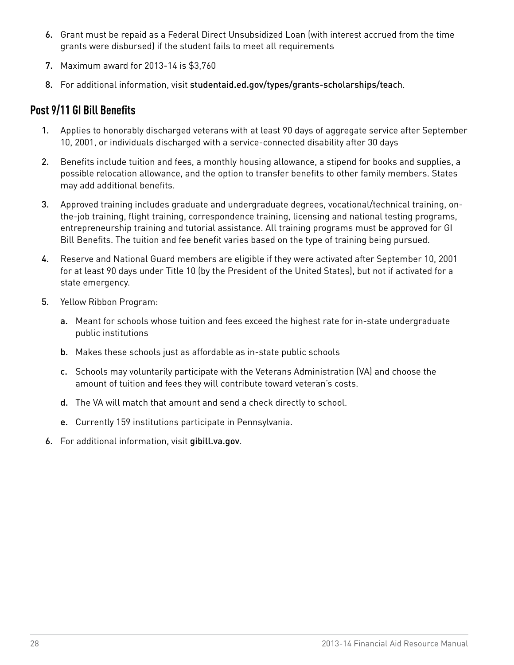- <span id="page-29-0"></span>6. Grant must be repaid as a Federal Direct Unsubsidized Loan (with interest accrued from the time grants were disbursed) if the student fails to meet all requirements
- 7. Maximum award for 2013-14 is \$3,760
- 8. For additional information, visit [studentaid.ed.gov/types/grants-scholarships/teac](http://www.studentaid.ed.gov/types/grants-scholarships/teach)h.

# **Post 9/11 GI Bill Benefits**

- 1. Applies to honorably discharged veterans with at least 90 days of aggregate service after September 10, 2001, or individuals discharged with a service-connected disability after 30 days
- 2. Benefits include tuition and fees, a monthly housing allowance, a stipend for books and supplies, a possible relocation allowance, and the option to transfer benefits to other family members. States may add additional benefits.
- 3. Approved training includes graduate and undergraduate degrees, vocational/technical training, onthe-job training, flight training, correspondence training, licensing and national testing programs, entrepreneurship training and tutorial assistance. All training programs must be approved for GI Bill Benefits. The tuition and fee benefit varies based on the type of training being pursued.
- 4. Reserve and National Guard members are eligible if they were activated after September 10, 2001 for at least 90 days under Title 10 (by the President of the United States), but not if activated for a state emergency.
- 5. Yellow Ribbon Program:
	- a. Meant for schools whose tuition and fees exceed the highest rate for in-state undergraduate public institutions
	- b. Makes these schools just as affordable as in-state public schools
	- c. Schools may voluntarily participate with the Veterans Administration (VA) and choose the amount of tuition and fees they will contribute toward veteran's costs.
	- d. The VA will match that amount and send a check directly to school.
	- e. Currently 159 institutions participate in Pennsylvania.
- 6. For additional information, visit [gibill.va.gov](http://gibill.va.gov).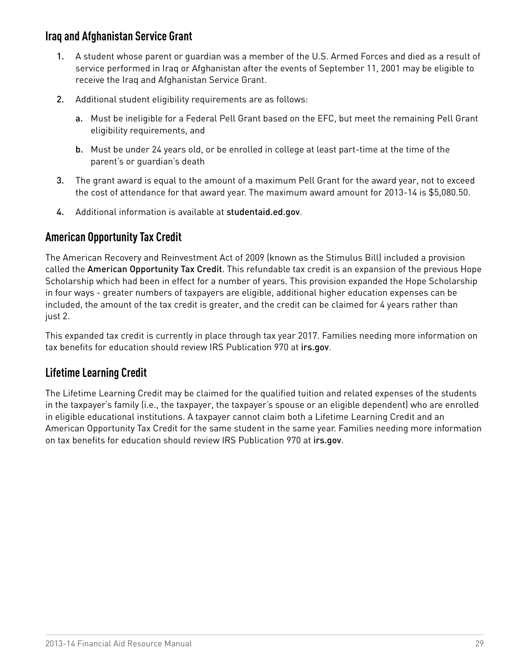### <span id="page-30-0"></span>**Iraq and Afghanistan Service Grant**

- 1. A student whose parent or guardian was a member of the U.S. Armed Forces and died as a result of service performed in Iraq or Afghanistan after the events of September 11, 2001 may be eligible to receive the Iraq and Afghanistan Service Grant.
- 2. Additional student eligibility requirements are as follows:
	- a. Must be ineligible for a Federal Pell Grant based on the EFC, but meet the remaining Pell Grant eligibility requirements, and
	- b. Must be under 24 years old, or be enrolled in college at least part-time at the time of the parent's or guardian's death
- 3. The grant award is equal to the amount of a maximum Pell Grant for the award year, not to exceed the cost of attendance for that award year. The maximum award amount for 2013-14 is \$5,080.50.
- 4. Additional information is available at [studentaid.ed.gov](http://www.studentaid.ed.gov).

# **American Opportunity Tax Credit**

The American Recovery and Reinvestment Act of 2009 (known as the Stimulus Bill) included a provision called the American Opportunity Tax Credit. This refundable tax credit is an expansion of the previous Hope Scholarship which had been in effect for a number of years. This provision expanded the Hope Scholarship in four ways - greater numbers of taxpayers are eligible, additional higher education expenses can be included, the amount of the tax credit is greater, and the credit can be claimed for 4 years rather than just 2.

This expanded tax credit is currently in place through tax year 2017. Families needing more information on tax benefits for education should review IRS Publication 970 at [irs.gov](http://www.irs.gov).

# **Lifetime Learning Credit**

The Lifetime Learning Credit may be claimed for the qualified tuition and related expenses of the students in the taxpayer's family (i.e., the taxpayer, the taxpayer's spouse or an eligible dependent) who are enrolled in eligible educational institutions. A taxpayer cannot claim both a Lifetime Learning Credit and an American Opportunity Tax Credit for the same student in the same year. Families needing more information on tax benefits for education should review IRS Publication 970 at [irs.gov](http://www.irs.gov).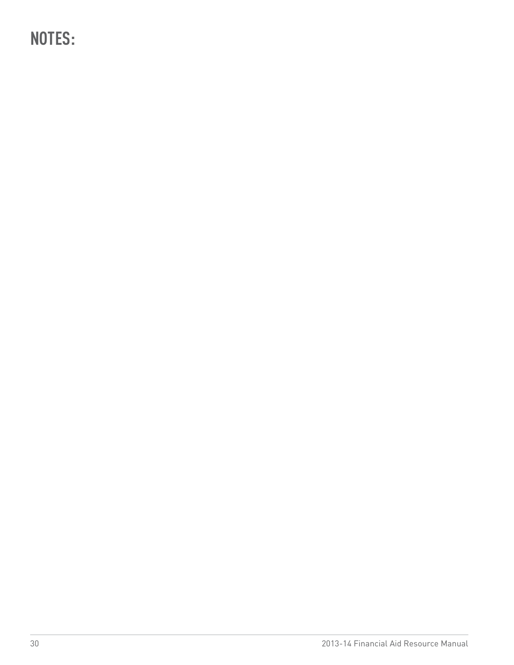**NOTES:**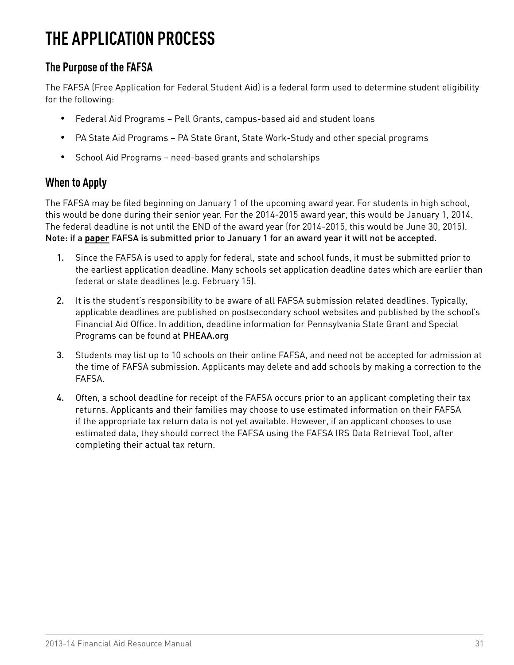# <span id="page-32-0"></span>**THE APPLICATION PROCESS**

# **The Purpose of the FAFSA**

The FAFSA (Free Application for Federal Student Aid) is a federal form used to determine student eligibility for the following:

- Federal Aid Programs Pell Grants, campus-based aid and student loans
- PA State Aid Programs PA State Grant, State Work-Study and other special programs
- • School Aid Programs need-based grants and scholarships

# **When to Apply**

The FAFSA may be filed beginning on January 1 of the upcoming award year. For students in high school, this would be done during their senior year. For the 2014-2015 award year, this would be January 1, 2014. The federal deadline is not until the END of the award year (for 2014-2015, this would be June 30, 2015). Note: if a **paper** FAFSA is submitted prior to January 1 for an award year it will not be accepted.

- 1. Since the FAFSA is used to apply for federal, state and school funds, it must be submitted prior to the earliest application deadline. Many schools set application deadline dates which are earlier than federal or state deadlines (e.g. February 15).
- 2. It is the student's responsibility to be aware of all FAFSA submission related deadlines. Typically, applicable deadlines are published on postsecondary school websites and published by the school's Financial Aid Office. In addition, deadline information for Pennsylvania State Grant and Special Programs can be found at [PHEAA.org](http://www.PHEAA.org)
- 3. Students may list up to 10 schools on their online FAFSA, and need not be accepted for admission at the time of FAFSA submission. Applicants may delete and add schools by making a correction to the FAFSA.
- 4. Often, a school deadline for receipt of the FAFSA occurs prior to an applicant completing their tax returns. Applicants and their families may choose to use estimated information on their FAFSA if the appropriate tax return data is not yet available. However, if an applicant chooses to use estimated data, they should correct the FAFSA using the FAFSA IRS Data Retrieval Tool, after completing their actual tax return.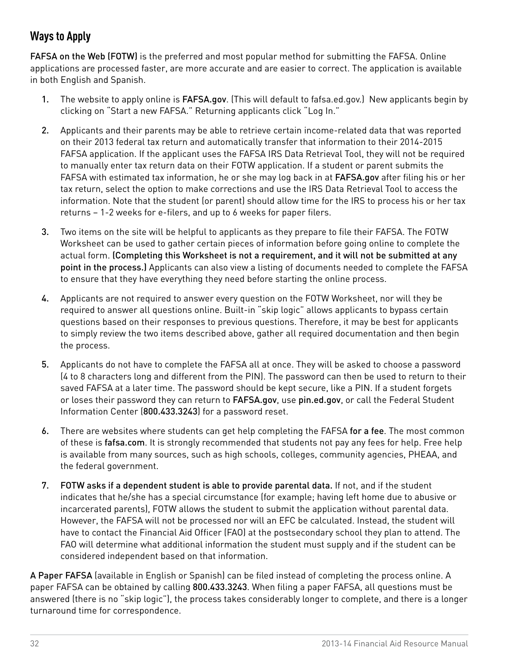# <span id="page-33-0"></span>**Ways to Apply**

FAFSA on the Web (FOTW) is the preferred and most popular method for submitting the FAFSA. Online applications are processed faster, are more accurate and are easier to correct. The application is available in both English and Spanish.

- 1. The website to apply online is [FAFSA.gov](http://www.fafsa.gov). (This will default to fafsa.ed.gov.) New applicants begin by clicking on "Start a new FAFSA." Returning applicants click "Log In."
- 2. Applicants and their parents may be able to retrieve certain income-related data that was reported on their 2013 federal tax return and automatically transfer that information to their 2014-2015 FAFSA application. If the applicant uses the FAFSA IRS Data Retrieval Tool, they will not be required to manually enter tax return data on their FOTW application. If a student or parent submits the FAFSA with estimated tax information, he or she may log back in at [FAFSA.gov](http://www.fafsa.gov) after filing his or her tax return, select the option to make corrections and use the IRS Data Retrieval Tool to access the information. Note that the student (or parent) should allow time for the IRS to process his or her tax returns – 1-2 weeks for e-filers, and up to 6 weeks for paper filers.
- 3. Two items on the site will be helpful to applicants as they prepare to file their FAFSA. The FOTW Worksheet can be used to gather certain pieces of information before going online to complete the actual form. (Completing this Worksheet is not a requirement, and it will not be submitted at any point in the process.) Applicants can also view a listing of documents needed to complete the FAFSA to ensure that they have everything they need before starting the online process.
- 4. Applicants are not required to answer every question on the FOTW Worksheet, nor will they be required to answer all questions online. Built-in "skip logic" allows applicants to bypass certain questions based on their responses to previous questions. Therefore, it may be best for applicants to simply review the two items described above, gather all required documentation and then begin the process.
- 5. Applicants do not have to complete the FAFSA all at once. They will be asked to choose a password (4 to 8 characters long and different from the PIN). The password can then be used to return to their saved FAFSA at a later time. The password should be kept secure, like a PIN. If a student forgets or loses their password they can return to [FAFSA.gov](http://www.fafsa.gov), use [pin.ed.gov](http://www.pin.ed.gov), or call the Federal Student Information Center (800.433.3243) for a password reset.
- 6. There are websites where students can get help completing the FAFSA for a fee. The most common of these is [fafsa.com](http://www.fafsa.com). It is strongly recommended that students not pay any fees for help. Free help is available from many sources, such as high schools, colleges, community agencies, PHEAA, and the federal government.
- 7. FOTW asks if a dependent student is able to provide parental data. If not, and if the student indicates that he/she has a special circumstance (for example; having left home due to abusive or incarcerated parents), FOTW allows the student to submit the application without parental data. However, the FAFSA will not be processed nor will an EFC be calculated. Instead, the student will have to contact the Financial Aid Officer (FAO) at the postsecondary school they plan to attend. The FAO will determine what additional information the student must supply and if the student can be considered independent based on that information.

A Paper FAFSA (available in English or Spanish) can be filed instead of completing the process online. A paper FAFSA can be obtained by calling 800.433.3243. When filing a paper FAFSA, all questions must be answered (there is no "skip logic"), the process takes considerably longer to complete, and there is a longer turnaround time for correspondence.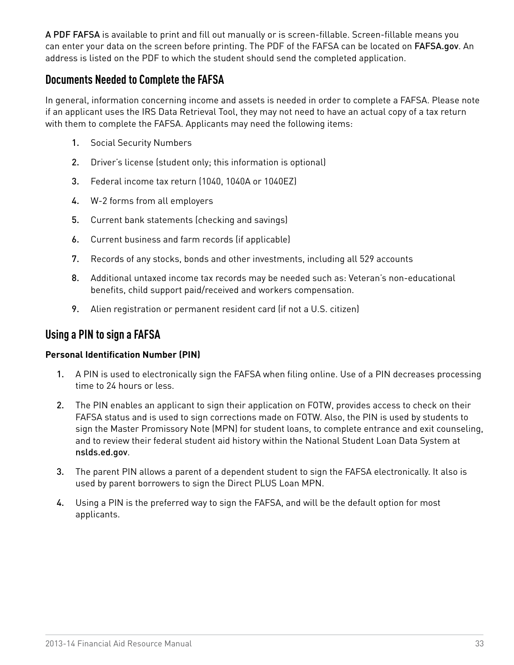<span id="page-34-0"></span>A PDF FAFSA is available to print and fill out manually or is screen-fillable. Screen-fillable means you can enter your data on the screen before printing. The PDF of the FAFSA can be located on [FAFSA.gov](http://www.fafsa.gov). An address is listed on the PDF to which the student should send the completed application.

### **Documents Needed to Complete the FAFSA**

In general, information concerning income and assets is needed in order to complete a FAFSA. Please note if an applicant uses the IRS Data Retrieval Tool, they may not need to have an actual copy of a tax return with them to complete the FAFSA. Applicants may need the following items:

- 1. Social Security Numbers
- 2. Driver's license (student only; this information is optional)
- 3. Federal income tax return (1040, 1040A or 1040EZ)
- 4. W-2 forms from all employers
- 5. Current bank statements (checking and savings)
- 6. Current business and farm records (if applicable)
- 7. Records of any stocks, bonds and other investments, including all 529 accounts
- 8. Additional untaxed income tax records may be needed such as: Veteran's non-educational benefits, child support paid/received and workers compensation.
- 9. Alien registration or permanent resident card (if not a U.S. citizen)

### **Using a PIN to sign a FAFSA**

#### **Personal Identification Number (PIN)**

- 1. A PIN is used to electronically sign the FAFSA when filing online. Use of a PIN decreases processing time to 24 hours or less.
- 2. The PIN enables an applicant to sign their application on FOTW, provides access to check on their FAFSA status and is used to sign corrections made on FOTW. Also, the PIN is used by students to sign the Master Promissory Note (MPN) for student loans, to complete entrance and exit counseling, and to review their federal student aid history within the National Student Loan Data System at [nslds.ed.gov](http://www.nslds.ed.gov).
- 3. The parent PIN allows a parent of a dependent student to sign the FAFSA electronically. It also is used by parent borrowers to sign the Direct PLUS Loan MPN.
- 4. Using a PIN is the preferred way to sign the FAFSA, and will be the default option for most applicants.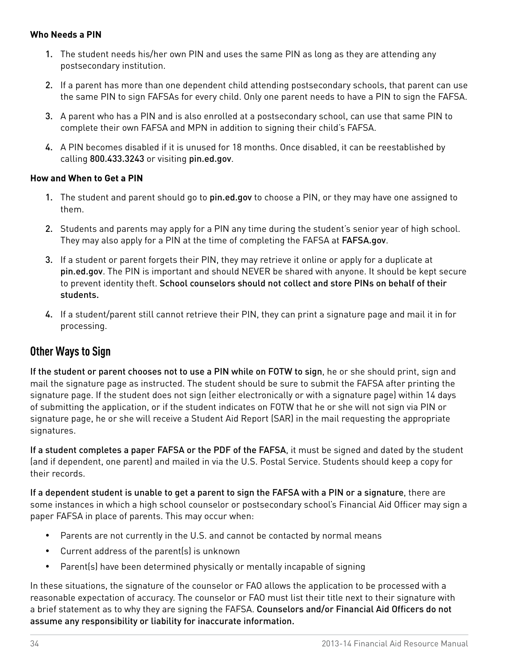#### <span id="page-35-0"></span>**Who Needs a PIN**

- 1. The student needs his/her own PIN and uses the same PIN as long as they are attending any postsecondary institution.
- 2. If a parent has more than one dependent child attending postsecondary schools, that parent can use the same PIN to sign FAFSAs for every child. Only one parent needs to have a PIN to sign the FAFSA.
- 3. A parent who has a PIN and is also enrolled at a postsecondary school, can use that same PIN to complete their own FAFSA and MPN in addition to signing their child's FAFSA.
- 4. A PIN becomes disabled if it is unused for 18 months. Once disabled, it can be reestablished by calling 800.433.3243 or visiting [pin.ed.gov](http://www.pin.ed.gov).

#### **How and When to Get a PIN**

- 1. The student and parent should go to [pin.ed.gov](http://www.pin.ed.gov) to choose a PIN, or they may have one assigned to them.
- 2. Students and parents may apply for a PIN any time during the student's senior year of high school. They may also apply for a PIN at the time of completing the FAFSA at [FAFSA.gov](http://www.fafsa.gov).
- 3. If a student or parent forgets their PIN, they may retrieve it online or apply for a duplicate at [pin.ed.gov](http://www.pin.ed.gov). The PIN is important and should NEVER be shared with anyone. It should be kept secure to prevent identity theft. School counselors should not collect and store PINs on behalf of their students.
- 4. If a student/parent still cannot retrieve their PIN, they can print a signature page and mail it in for processing.

### **Other Ways to Sign**

If the student or parent chooses not to use a PIN while on FOTW to sign, he or she should print, sign and mail the signature page as instructed. The student should be sure to submit the FAFSA after printing the signature page. If the student does not sign (either electronically or with a signature page) within 14 days of submitting the application, or if the student indicates on FOTW that he or she will not sign via PIN or signature page, he or she will receive a Student Aid Report (SAR) in the mail requesting the appropriate signatures.

If a student completes a paper FAFSA or the PDF of the FAFSA, it must be signed and dated by the student (and if dependent, one parent) and mailed in via the U.S. Postal Service. Students should keep a copy for their records.

If a dependent student is unable to get a parent to sign the FAFSA with a PIN or a signature, there are some instances in which a high school counselor or postsecondary school's Financial Aid Officer may sign a paper FAFSA in place of parents. This may occur when:

- Parents are not currently in the U.S. and cannot be contacted by normal means
- • Current address of the parent(s) is unknown
- • Parent(s) have been determined physically or mentally incapable of signing

In these situations, the signature of the counselor or FAO allows the application to be processed with a reasonable expectation of accuracy. The counselor or FAO must list their title next to their signature with a brief statement as to why they are signing the FAFSA. Counselors and/or Financial Aid Officers do not assume any responsibility or liability for inaccurate information.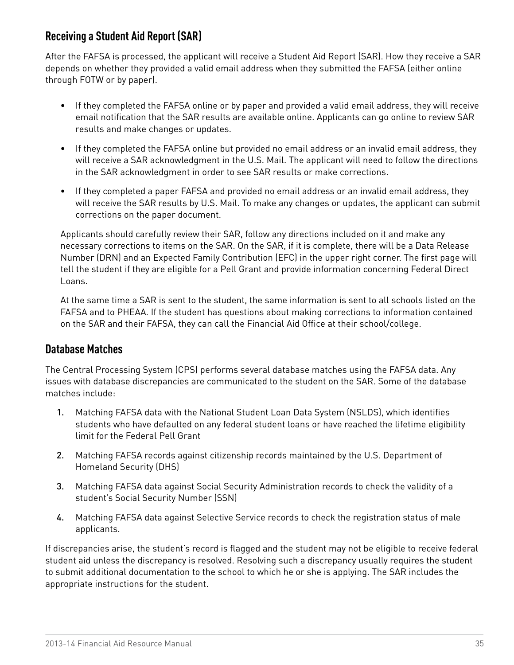## **Receiving a Student Aid Report (SAR)**

After the FAFSA is processed, the applicant will receive a Student Aid Report (SAR). How they receive a SAR depends on whether they provided a valid email address when they submitted the FAFSA (either online through FOTW or by paper).

- If they completed the FAFSA online or by paper and provided a valid email address, they will receive email notification that the SAR results are available online. Applicants can go online to review SAR results and make changes or updates.
- If they completed the FAFSA online but provided no email address or an invalid email address, they will receive a SAR acknowledgment in the U.S. Mail. The applicant will need to follow the directions in the SAR acknowledgment in order to see SAR results or make corrections.
- If they completed a paper FAFSA and provided no email address or an invalid email address, they will receive the SAR results by U.S. Mail. To make any changes or updates, the applicant can submit corrections on the paper document.

Applicants should carefully review their SAR, follow any directions included on it and make any necessary corrections to items on the SAR. On the SAR, if it is complete, there will be a Data Release Number (DRN) and an Expected Family Contribution (EFC) in the upper right corner. The first page will tell the student if they are eligible for a Pell Grant and provide information concerning Federal Direct Loans.

At the same time a SAR is sent to the student, the same information is sent to all schools listed on the FAFSA and to PHEAA. If the student has questions about making corrections to information contained on the SAR and their FAFSA, they can call the Financial Aid Office at their school/college.

#### **Database Matches**

The Central Processing System (CPS) performs several database matches using the FAFSA data. Any issues with database discrepancies are communicated to the student on the SAR. Some of the database matches include:

- 1. Matching FAFSA data with the National Student Loan Data System (NSLDS), which identifies students who have defaulted on any federal student loans or have reached the lifetime eligibility limit for the Federal Pell Grant
- 2. Matching FAFSA records against citizenship records maintained by the U.S. Department of Homeland Security (DHS)
- 3. Matching FAFSA data against Social Security Administration records to check the validity of a student's Social Security Number (SSN)
- 4. Matching FAFSA data against Selective Service records to check the registration status of male applicants.

If discrepancies arise, the student's record is flagged and the student may not be eligible to receive federal student aid unless the discrepancy is resolved. Resolving such a discrepancy usually requires the student to submit additional documentation to the school to which he or she is applying. The SAR includes the appropriate instructions for the student.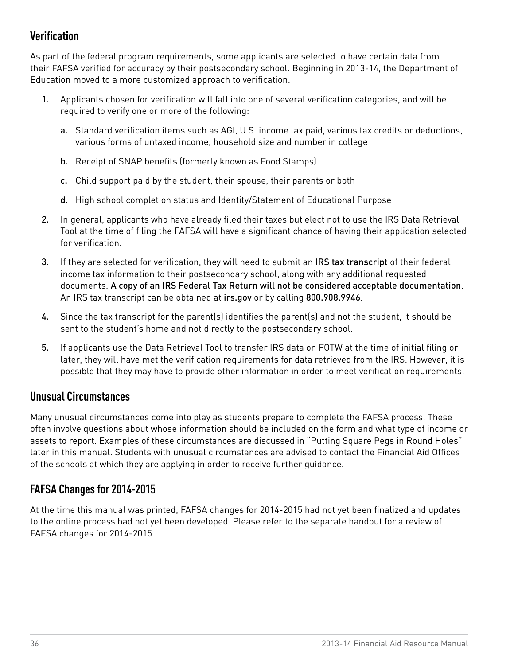## **Verification**

As part of the federal program requirements, some applicants are selected to have certain data from their FAFSA verified for accuracy by their postsecondary school. Beginning in 2013-14, the Department of Education moved to a more customized approach to verification.

- 1. Applicants chosen for verification will fall into one of several verification categories, and will be required to verify one or more of the following:
	- a. Standard verification items such as AGI, U.S. income tax paid, various tax credits or deductions, various forms of untaxed income, household size and number in college
	- b. Receipt of SNAP benefits (formerly known as Food Stamps)
	- c. Child support paid by the student, their spouse, their parents or both
	- d. High school completion status and Identity/Statement of Educational Purpose
- 2. In general, applicants who have already filed their taxes but elect not to use the IRS Data Retrieval Tool at the time of filing the FAFSA will have a significant chance of having their application selected for verification.
- 3. If they are selected for verification, they will need to submit an IRS tax transcript of their federal income tax information to their postsecondary school, along with any additional requested documents. A copy of an IRS Federal Tax Return will not be considered acceptable documentation. An IRS tax transcript can be obtained at [irs.gov](http://irs.gov) or by calling 800.908.9946.
- 4. Since the tax transcript for the parent(s) identifies the parent(s) and not the student, it should be sent to the student's home and not directly to the postsecondary school.
- 5. If applicants use the Data Retrieval Tool to transfer IRS data on FOTW at the time of initial filing or later, they will have met the verification requirements for data retrieved from the IRS. However, it is possible that they may have to provide other information in order to meet verification requirements.

#### **Unusual Circumstances**

Many unusual circumstances come into play as students prepare to complete the FAFSA process. These often involve questions about whose information should be included on the form and what type of income or assets to report. Examples of these circumstances are discussed in "Putting Square Pegs in Round Holes" later in this manual. Students with unusual circumstances are advised to contact the Financial Aid Offices of the schools at which they are applying in order to receive further guidance.

### **FAFSA Changes for 2014-2015**

At the time this manual was printed, FAFSA changes for 2014-2015 had not yet been finalized and updates to the online process had not yet been developed. Please refer to the separate handout for a review of FAFSA changes for 2014-2015.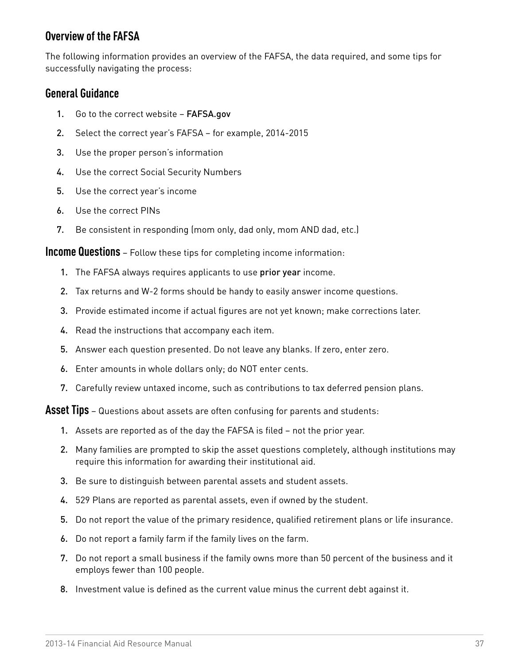### **Overview of the FAFSA**

The following information provides an overview of the FAFSA, the data required, and some tips for successfully navigating the process:

#### **General Guidance**

- 1. Go to the correct website [FAFSA.gov](http://www.fafsa.gov)
- 2. Select the correct year's FAFSA for example, 2014-2015
- 3. Use the proper person's information
- 4. Use the correct Social Security Numbers
- 5. Use the correct year's income
- 6. Use the correct PINs
- 7. Be consistent in responding (mom only, dad only, mom AND dad, etc.)

**Income Questions** – Follow these tips for completing income information:

- 1. The FAFSA always requires applicants to use prior year income.
- 2. Tax returns and W-2 forms should be handy to easily answer income questions.
- 3. Provide estimated income if actual figures are not yet known; make corrections later.
- 4. Read the instructions that accompany each item.
- 5. Answer each question presented. Do not leave any blanks. If zero, enter zero.
- 6. Enter amounts in whole dollars only; do NOT enter cents.
- 7. Carefully review untaxed income, such as contributions to tax deferred pension plans.

**Asset Tips** – Questions about assets are often confusing for parents and students:

- 1. Assets are reported as of the day the FAFSA is filed not the prior year.
- 2. Many families are prompted to skip the asset questions completely, although institutions may require this information for awarding their institutional aid.
- 3. Be sure to distinguish between parental assets and student assets.
- 4. 529 Plans are reported as parental assets, even if owned by the student.
- 5. Do not report the value of the primary residence, qualified retirement plans or life insurance.
- 6. Do not report a family farm if the family lives on the farm.
- 7. Do not report a small business if the family owns more than 50 percent of the business and it employs fewer than 100 people.
- 8. Investment value is defined as the current value minus the current debt against it.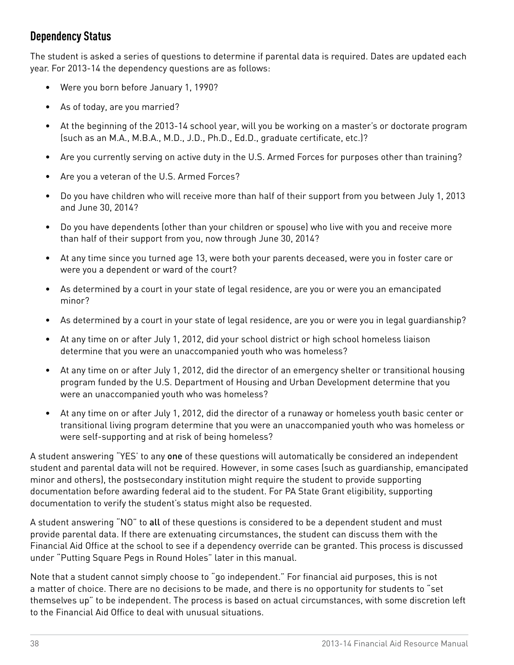## **Dependency Status**

The student is asked a series of questions to determine if parental data is required. Dates are updated each year. For 2013-14 the dependency questions are as follows:

- • Were you born before January 1, 1990?
- As of today, are you married?
- • At the beginning of the 2013-14 school year, will you be working on a master's or doctorate program (such as an M.A., M.B.A., M.D., J.D., Ph.D., Ed.D., graduate certificate, etc.)?
- Are you currently serving on active duty in the U.S. Armed Forces for purposes other than training?
- • Are you a veteran of the U.S. Armed Forces?
- Do you have children who will receive more than half of their support from you between July 1, 2013 and June 30, 2014?
- Do you have dependents (other than your children or spouse) who live with you and receive more than half of their support from you, now through June 30, 2014?
- At any time since you turned age 13, were both your parents deceased, were you in foster care or were you a dependent or ward of the court?
- As determined by a court in your state of legal residence, are you or were you an emancipated minor?
- As determined by a court in your state of legal residence, are you or were you in legal guardianship?
- At any time on or after July 1, 2012, did your school district or high school homeless liaison determine that you were an unaccompanied youth who was homeless?
- • At any time on or after July 1, 2012, did the director of an emergency shelter or transitional housing program funded by the U.S. Department of Housing and Urban Development determine that you were an unaccompanied youth who was homeless?
- • At any time on or after July 1, 2012, did the director of a runaway or homeless youth basic center or transitional living program determine that you were an unaccompanied youth who was homeless or were self-supporting and at risk of being homeless?

A student answering "YES' to any one of these questions will automatically be considered an independent student and parental data will not be required. However, in some cases (such as guardianship, emancipated minor and others), the postsecondary institution might require the student to provide supporting documentation before awarding federal aid to the student. For PA State Grant eligibility, supporting documentation to verify the student's status might also be requested.

A student answering "NO" to all of these questions is considered to be a dependent student and must provide parental data. If there are extenuating circumstances, the student can discuss them with the Financial Aid Office at the school to see if a dependency override can be granted. This process is discussed under "Putting Square Pegs in Round Holes" later in this manual.

Note that a student cannot simply choose to "go independent." For financial aid purposes, this is not a matter of choice. There are no decisions to be made, and there is no opportunity for students to "set themselves up" to be independent. The process is based on actual circumstances, with some discretion left to the Financial Aid Office to deal with unusual situations.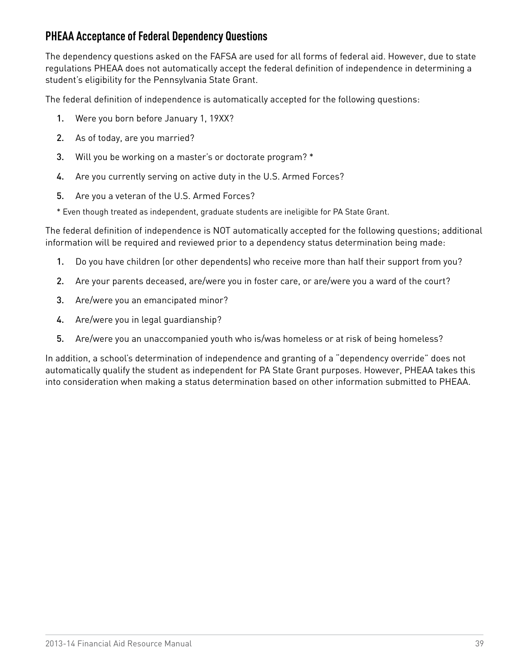## **PHEAA Acceptance of Federal Dependency Questions**

The dependency questions asked on the FAFSA are used for all forms of federal aid. However, due to state regulations PHEAA does not automatically accept the federal definition of independence in determining a student's eligibility for the Pennsylvania State Grant.

The federal definition of independence is automatically accepted for the following questions:

- 1. Were you born before January 1, 19XX?
- 2. As of today, are you married?
- 3. Will you be working on a master's or doctorate program? \*
- 4. Are you currently serving on active duty in the U.S. Armed Forces?
- 5. Are you a veteran of the U.S. Armed Forces?

\* Even though treated as independent, graduate students are ineligible for PA State Grant.

The federal definition of independence is NOT automatically accepted for the following questions; additional information will be required and reviewed prior to a dependency status determination being made:

- 1. Do you have children (or other dependents) who receive more than half their support from you?
- 2. Are your parents deceased, are/were you in foster care, or are/were you a ward of the court?
- 3. Are/were you an emancipated minor?
- 4. Are/were you in legal guardianship?
- 5. Are/were you an unaccompanied youth who is/was homeless or at risk of being homeless?

In addition, a school's determination of independence and granting of a "dependency override" does not automatically qualify the student as independent for PA State Grant purposes. However, PHEAA takes this into consideration when making a status determination based on other information submitted to PHEAA.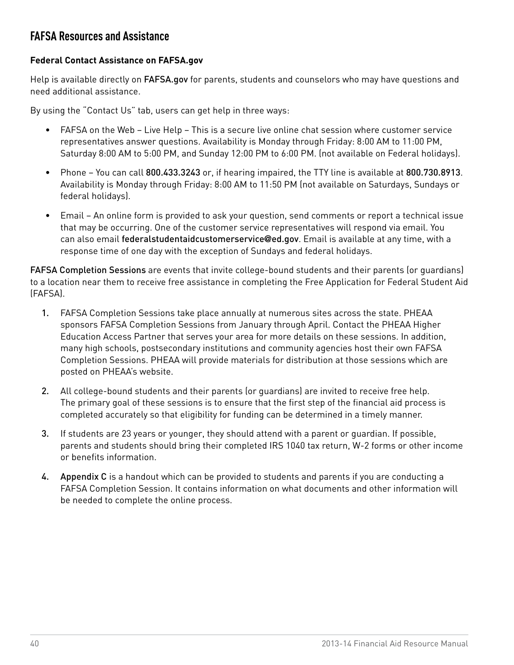### **FAFSA Resources and Assistance**

#### **Federal Contact Assistance on [FAFSA.gov](http://www.FAFSA.gov)**

Help is available directly on [FAFSA.gov](http://www.FAFSA.gov) for parents, students and counselors who may have questions and need additional assistance.

By using the "Contact Us" tab, users can get help in three ways:

- FAFSA on the Web Live Help This is a secure live online chat session where customer service representatives answer questions. Availability is Monday through Friday: 8:00 AM to 11:00 PM, Saturday 8:00 AM to 5:00 PM, and Sunday 12:00 PM to 6:00 PM. (not available on Federal holidays).
- Phone You can call 800.433.3243 or, if hearing impaired, the TTY line is available at 800.730.8913. Availability is Monday through Friday: 8:00 AM to 11:50 PM (not available on Saturdays, Sundays or federal holidays).
- Email An online form is provided to ask your question, send comments or report a technical issue that may be occurring. One of the customer service representatives will respond via email. You can also email federalstudentaidcustomerservice**@**ed.gov. Email is available at any time, with a response time of one day with the exception of Sundays and federal holidays.

FAFSA Completion Sessions are events that invite college-bound students and their parents (or guardians) to a location near them to receive free assistance in completing the Free Application for Federal Student Aid (FAFSA).

- 1. FAFSA Completion Sessions take place annually at numerous sites across the state. PHEAA sponsors FAFSA Completion Sessions from January through April. Contact the PHEAA Higher Education Access Partner that serves your area for more details on these sessions. In addition, many high schools, postsecondary institutions and community agencies host their own FAFSA Completion Sessions. PHEAA will provide materials for distribution at those sessions which are posted on PHEAA's website.
- 2. All college-bound students and their parents (or guardians) are invited to receive free help. The primary goal of these sessions is to ensure that the first step of the financial aid process is completed accurately so that eligibility for funding can be determined in a timely manner.
- 3. If students are 23 years or younger, they should attend with a parent or guardian. If possible, parents and students should bring their completed IRS 1040 tax return, W-2 forms or other income or benefits information.
- 4. [Appendix C](#page-80-0) is a handout which can be provided to students and parents if you are conducting a FAFSA Completion Session. It contains information on what documents and other information will be needed to complete the online process.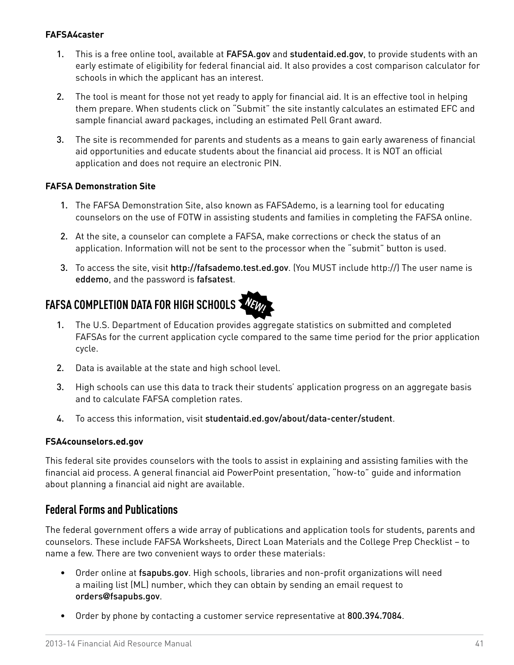#### **FAFSA4caster**

- 1. This is a free online tool, available at [FAFSA.gov](http://www.fafsa.gov) and [studentaid.ed.gov](http://www.studentaid.ed.gov), to provide students with an early estimate of eligibility for federal financial aid. It also provides a cost comparison calculator for schools in which the applicant has an interest.
- 2. The tool is meant for those not yet ready to apply for financial aid. It is an effective tool in helping them prepare. When students click on "Submit" the site instantly calculates an estimated EFC and sample financial award packages, including an estimated Pell Grant award.
- 3. The site is recommended for parents and students as a means to gain early awareness of financial aid opportunities and educate students about the financial aid process. It is NOT an official application and does not require an electronic PIN.

#### **FAFSA Demonstration Site**

- 1. The FAFSA Demonstration Site, also known as FAFSAdemo, is a learning tool for educating counselors on the use of FOTW in assisting students and families in completing the FAFSA online.
- 2. At the site, a counselor can complete a FAFSA, make corrections or check the status of an application. Information will not be sent to the processor when the "submit" button is used.
- 3. To access the site, visit <http://fafsademo.test.ed.gov>. (You MUST include http://) The user name is eddemo, and the password is fafsatest.

#### **NEW! FAFSA COMPLETION DATA FOR HIGH SCHOOLS**

- 1. The U.S. Department of Education provides aggregate statistics on submitted and completed FAFSAs for the current application cycle compared to the same time period for the prior application cycle.
- 2. Data is available at the state and high school level.
- 3. High schools can use this data to track their students' application progress on an aggregate basis and to calculate FAFSA completion rates.
- 4. To access this information, visit [studentaid.ed.gov/about/data-center/student](http://studentaid.ed.gov/about/data-center/student).

#### **FSA4counselors.ed.gov**

This federal site provides counselors with the tools to assist in explaining and assisting families with the financial aid process. A general financial aid PowerPoint presentation, "how-to" guide and information about planning a financial aid night are available.

#### **Federal Forms and Publications**

The federal government offers a wide array of publications and application tools for students, parents and counselors. These include FAFSA Worksheets, Direct Loan Materials and the College Prep Checklist – to name a few. There are two convenient ways to order these materials:

- Order online at [fsapubs.gov](http://www.fsapubs.gov). High schools, libraries and non-profit organizations will need a mailing list (ML) number, which they can obtain by sending an email request to orders**@**[fsapubs.gov](mailto:orders@fsapubs.gov).
- Order by phone by contacting a customer service representative at 800.394.7084.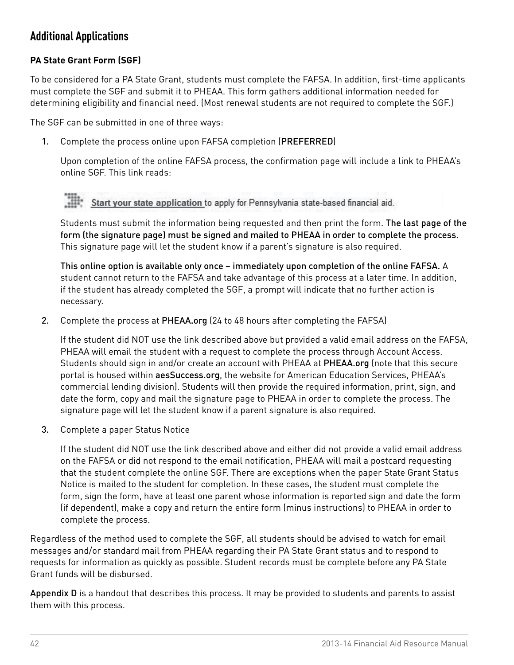## **Additional Applications**

#### **PA State Grant Form (SGF)**

To be considered for a PA State Grant, students must complete the FAFSA. In addition, first-time applicants must complete the SGF and submit it to PHEAA. This form gathers additional information needed for determining eligibility and financial need. (Most renewal students are not required to complete the SGF.)

The SGF can be submitted in one of three ways:

1. Complete the process online upon FAFSA completion (PREFERRED)

Upon completion of the online FAFSA process, the confirmation page will include a link to PHEAA's online SGF. This link reads:

*>>> "Optional feature – Start your state application – Click here if you want to apply for Pennsylvania*  Start your state application to apply for Pennsylvania state-based financial aid.

Students must submit the information being requested and then print the form. The last page of the form (the signature page) must be signed and mailed to PHEAA in order to complete the process. This signature page will let the student know if a parent's signature is also required.

This online option is available only once – immediately upon completion of the online FAFSA. A student cannot return to the FAFSA and take advantage of this process at a later time. In addition, if the student has already completed the SGF, a prompt will indicate that no further action is necessary.

2. Complete the process at [PHEAA.org](http://www.pheaa.org) (24 to 48 hours after completing the FAFSA)

If the student did NOT use the link described above but provided a valid email address on the FAFSA, PHEAA will email the student with a request to complete the process through Account Access. Students should sign in and/or create an account with PHEAA at [PHEAA.org](http://PHEAA.org) (note that this secure portal is housed within [aesSuccess.org](http://www.aessuccess.org), the website for American Education Services, PHEAA's commercial lending division). Students will then provide the required information, print, sign, and date the form, copy and mail the signature page to PHEAA in order to complete the process. The signature page will let the student know if a parent signature is also required.

3. Complete a paper Status Notice

If the student did NOT use the link described above and either did not provide a valid email address on the FAFSA or did not respond to the email notification, PHEAA will mail a postcard requesting that the student complete the online SGF. There are exceptions when the paper State Grant Status Notice is mailed to the student for completion. In these cases, the student must complete the form, sign the form, have at least one parent whose information is reported sign and date the form (if dependent), make a copy and return the entire form (minus instructions) to PHEAA in order to complete the process.

Regardless of the method used to complete the SGF, all students should be advised to watch for email messages and/or standard mail from PHEAA regarding their PA State Grant status and to respond to requests for information as quickly as possible. Student records must be complete before any PA State Grant funds will be disbursed.

[Appendix D](#page-81-0) is a handout that describes this process. It may be provided to students and parents to assist them with this process.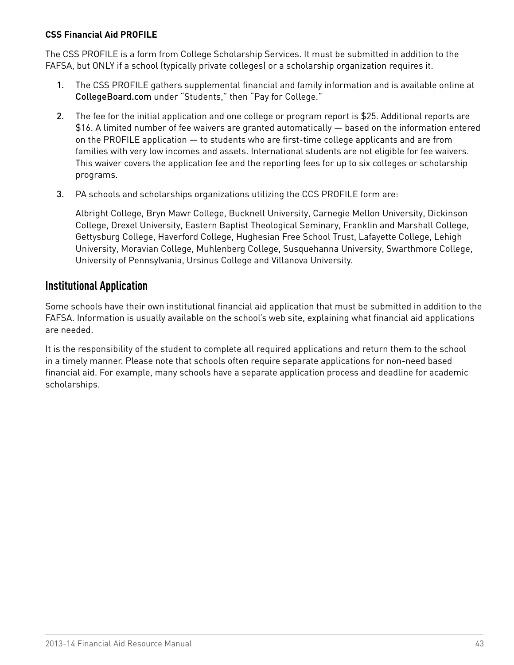#### **CSS Financial Aid PROFILE**

The CSS PROFILE is a form from College Scholarship Services. It must be submitted in addition to the FAFSA, but ONLY if a school (typically private colleges) or a scholarship organization requires it.

- 1. The CSS PROFILE gathers supplemental financial and family information and is available online at [CollegeBoard.com](http://www.CollegeBoard.com) under "Students," then "Pay for College."
- 2. The fee for the initial application and one college or program report is \$25. Additional reports are \$16. A limited number of fee waivers are granted automatically — based on the information entered on the PROFILE application — to students who are first-time college applicants and are from families with very low incomes and assets. International students are not eligible for fee waivers. This waiver covers the application fee and the reporting fees for up to six colleges or scholarship programs.
- 3. PA schools and scholarships organizations utilizing the CCS PROFILE form are:

Albright College, Bryn Mawr College, Bucknell University, Carnegie Mellon University, Dickinson College, Drexel University, Eastern Baptist Theological Seminary, Franklin and Marshall College, Gettysburg College, Haverford College, Hughesian Free School Trust, Lafayette College, Lehigh University, Moravian College, Muhlenberg College, Susquehanna University, Swarthmore College, University of Pennsylvania, Ursinus College and Villanova University.

#### **Institutional Application**

Some schools have their own institutional financial aid application that must be submitted in addition to the FAFSA. Information is usually available on the school's web site, explaining what financial aid applications are needed.

It is the responsibility of the student to complete all required applications and return them to the school in a timely manner. Please note that schools often require separate applications for non-need based financial aid. For example, many schools have a separate application process and deadline for academic scholarships.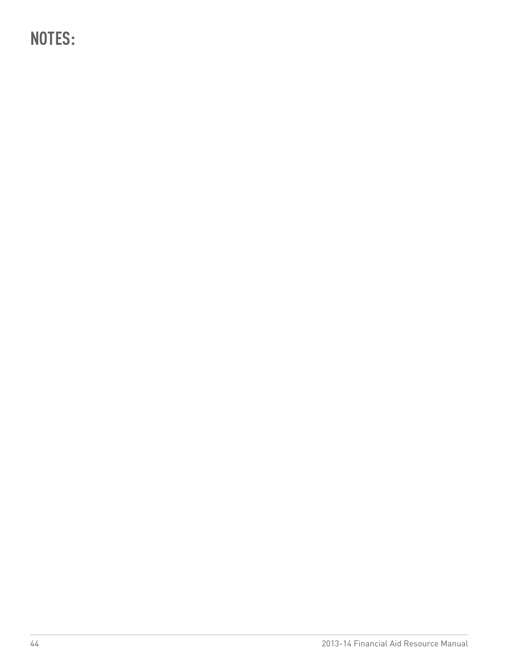**NOTES:**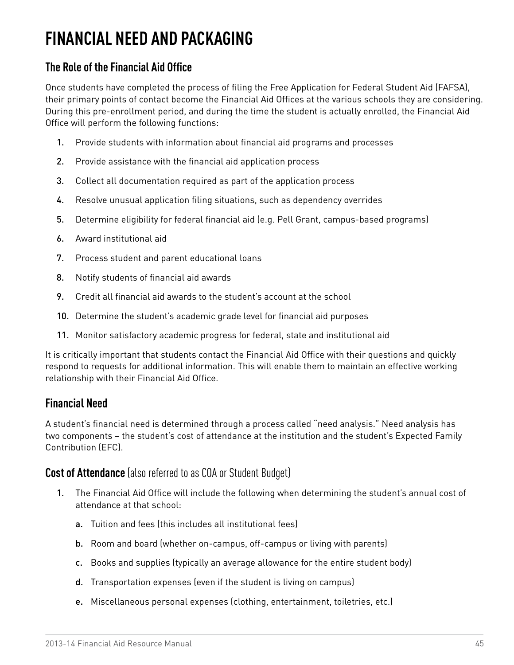# **FINANCIAL NEED AND PACKAGING**

## **The Role of the Financial Aid Office**

Once students have completed the process of filing the Free Application for Federal Student Aid (FAFSA), their primary points of contact become the Financial Aid Offices at the various schools they are considering. During this pre-enrollment period, and during the time the student is actually enrolled, the Financial Aid Office will perform the following functions:

- 1. Provide students with information about financial aid programs and processes
- 2. Provide assistance with the financial aid application process
- 3. Collect all documentation required as part of the application process
- 4. Resolve unusual application filing situations, such as dependency overrides
- 5. Determine eligibility for federal financial aid (e.g. Pell Grant, campus-based programs)
- 6. Award institutional aid
- 7. Process student and parent educational loans
- 8. Notify students of financial aid awards
- 9. Credit all financial aid awards to the student's account at the school
- 10. Determine the student's academic grade level for financial aid purposes
- 11. Monitor satisfactory academic progress for federal, state and institutional aid

It is critically important that students contact the Financial Aid Office with their questions and quickly respond to requests for additional information. This will enable them to maintain an effective working relationship with their Financial Aid Office.

#### **Financial Need**

A student's financial need is determined through a process called "need analysis." Need analysis has two components – the student's cost of attendance at the institution and the student's Expected Family Contribution (EFC).

#### **Cost of Attendance** (also referred to as COA or Student Budget)

- 1. The Financial Aid Office will include the following when determining the student's annual cost of attendance at that school:
	- a. Tuition and fees (this includes all institutional fees)
	- b. Room and board (whether on-campus, off-campus or living with parents)
	- c. Books and supplies (typically an average allowance for the entire student body)
	- d. Transportation expenses (even if the student is living on campus)
	- e. Miscellaneous personal expenses (clothing, entertainment, toiletries, etc.)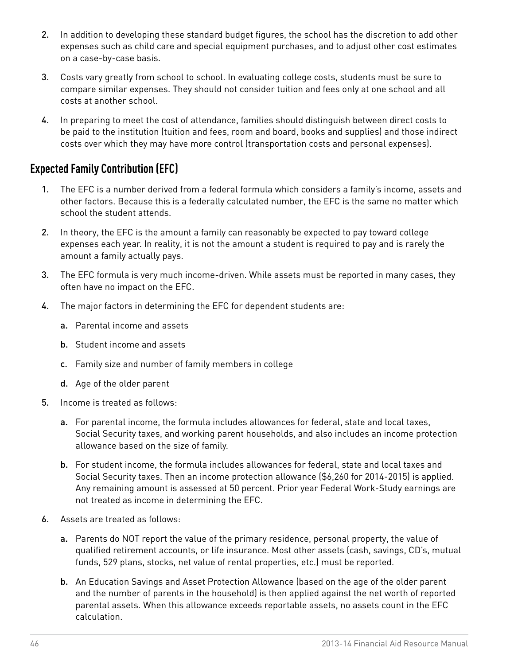- 2. In addition to developing these standard budget figures, the school has the discretion to add other expenses such as child care and special equipment purchases, and to adjust other cost estimates on a case-by-case basis.
- 3. Costs vary greatly from school to school. In evaluating college costs, students must be sure to compare similar expenses. They should not consider tuition and fees only at one school and all costs at another school.
- 4. In preparing to meet the cost of attendance, families should distinguish between direct costs to be paid to the institution (tuition and fees, room and board, books and supplies) and those indirect costs over which they may have more control (transportation costs and personal expenses).

## **Expected Family Contribution (EFC)**

- 1. The EFC is a number derived from a federal formula which considers a family's income, assets and other factors. Because this is a federally calculated number, the EFC is the same no matter which school the student attends.
- 2. In theory, the EFC is the amount a family can reasonably be expected to pay toward college expenses each year. In reality, it is not the amount a student is required to pay and is rarely the amount a family actually pays.
- 3. The EFC formula is very much income-driven. While assets must be reported in many cases, they often have no impact on the EFC.
- 4. The major factors in determining the EFC for dependent students are:
	- a. Parental income and assets
	- b. Student income and assets
	- c. Family size and number of family members in college
	- d. Age of the older parent
- 5. Income is treated as follows:
	- a. For parental income, the formula includes allowances for federal, state and local taxes, Social Security taxes, and working parent households, and also includes an income protection allowance based on the size of family.
	- b. For student income, the formula includes allowances for federal, state and local taxes and Social Security taxes. Then an income protection allowance (\$6,260 for 2014-2015) is applied. Any remaining amount is assessed at 50 percent. Prior year Federal Work-Study earnings are not treated as income in determining the EFC.
- 6. Assets are treated as follows:
	- a. Parents do NOT report the value of the primary residence, personal property, the value of qualified retirement accounts, or life insurance. Most other assets (cash, savings, CD's, mutual funds, 529 plans, stocks, net value of rental properties, etc.) must be reported.
	- b. An Education Savings and Asset Protection Allowance (based on the age of the older parent and the number of parents in the household) is then applied against the net worth of reported parental assets. When this allowance exceeds reportable assets, no assets count in the EFC calculation.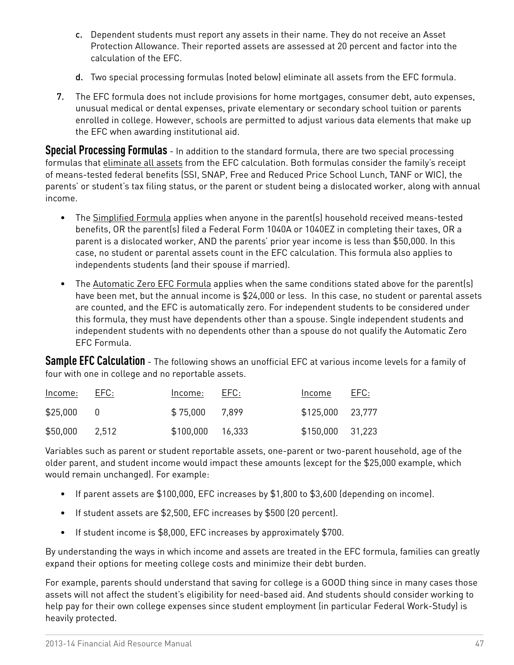- c. Dependent students must report any assets in their name. They do not receive an Asset Protection Allowance. Their reported assets are assessed at 20 percent and factor into the calculation of the EFC.
- d. Two special processing formulas (noted below) eliminate all assets from the EFC formula.
- 7. The EFC formula does not include provisions for home mortgages, consumer debt, auto expenses, unusual medical or dental expenses, private elementary or secondary school tuition or parents enrolled in college. However, schools are permitted to adjust various data elements that make up the EFC when awarding institutional aid.

**Special Processing Formulas** - In addition to the standard formula, there are two special processing formulas that eliminate all assets from the EFC calculation. Both formulas consider the family's receipt of means-tested federal benefits (SSI, SNAP, Free and Reduced Price School Lunch, TANF or WIC), the parents' or student's tax filing status, or the parent or student being a dislocated worker, along with annual income.

- The Simplified Formula applies when anyone in the parent(s) household received means-tested benefits, OR the parent(s) filed a Federal Form 1040A or 1040EZ in completing their taxes, OR a parent is a dislocated worker, AND the parents' prior year income is less than \$50,000. In this case, no student or parental assets count in the EFC calculation. This formula also applies to independents students (and their spouse if married).
- The Automatic Zero EFC Formula applies when the same conditions stated above for the parent(s) have been met, but the annual income is \$24,000 or less. In this case, no student or parental assets are counted, and the EFC is automatically zero. For independent students to be considered under this formula, they must have dependents other than a spouse. Single independent students and independent students with no dependents other than a spouse do not qualify the Automatic Zero EFC Formula.

**Sample EFC Calculation** - The following shows an unofficial EFC at various income levels for a family of four with one in college and no reportable assets.

| Income:     | EFC:  | Income: EFC:     | Income           | EFC: |
|-------------|-------|------------------|------------------|------|
| $$25,000$ 0 |       | \$75,000 7,899   | \$125,000 23,777 |      |
| \$50,000    | 2.512 | \$100,000 16,333 | \$150,000 31,223 |      |

Variables such as parent or student reportable assets, one-parent or two-parent household, age of the older parent, and student income would impact these amounts (except for the \$25,000 example, which would remain unchanged). For example:

- If parent assets are \$100,000, EFC increases by \$1,800 to \$3,600 (depending on income).
- If student assets are \$2,500, EFC increases by \$500 (20 percent).
- If student income is \$8,000, EFC increases by approximately \$700.

By understanding the ways in which income and assets are treated in the EFC formula, families can greatly expand their options for meeting college costs and minimize their debt burden.

For example, parents should understand that saving for college is a GOOD thing since in many cases those assets will not affect the student's eligibility for need-based aid. And students should consider working to help pay for their own college expenses since student employment (in particular Federal Work-Study) is heavily protected.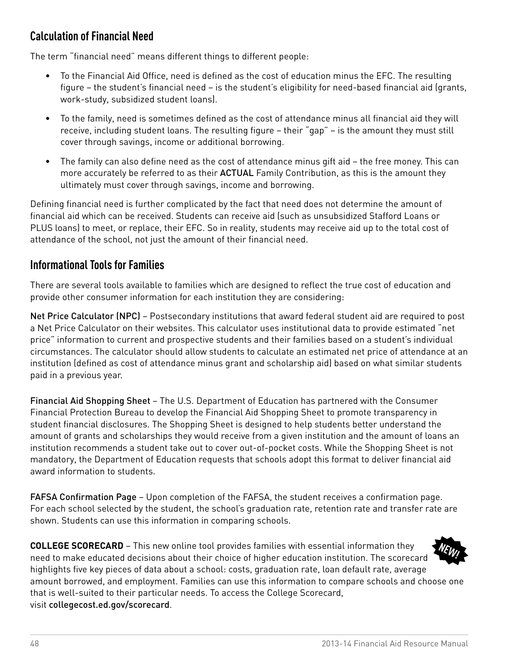## **Calculation of Financial Need**

The term "financial need" means different things to different people:

- • To the Financial Aid Office, need is defined as the cost of education minus the EFC. The resulting figure – the student's financial need – is the student's eligibility for need-based financial aid (grants, work-study, subsidized student loans).
- • To the family, need is sometimes defined as the cost of attendance minus all financial aid they will receive, including student loans. The resulting figure – their "gap" – is the amount they must still cover through savings, income or additional borrowing.
- The family can also define need as the cost of attendance minus gift aid the free money. This can more accurately be referred to as their ACTUAL Family Contribution, as this is the amount they ultimately must cover through savings, income and borrowing.

Defining financial need is further complicated by the fact that need does not determine the amount of financial aid which can be received. Students can receive aid (such as unsubsidized Stafford Loans or PLUS loans) to meet, or replace, their EFC. So in reality, students may receive aid up to the total cost of attendance of the school, not just the amount of their financial need.

### **Informational Tools for Families**

There are several tools available to families which are designed to reflect the true cost of education and provide other consumer information for each institution they are considering:

Net Price Calculator (NPC) – Postsecondary institutions that award federal student aid are required to post a Net Price Calculator on their websites. This calculator uses institutional data to provide estimated "net price" information to current and prospective students and their families based on a student's individual circumstances. The calculator should allow students to calculate an estimated net price of attendance at an institution (defined as cost of attendance minus grant and scholarship aid) based on what similar students paid in a previous year.

Financial Aid Shopping Sheet – The U.S. Department of Education has partnered with the Consumer Financial Protection Bureau to develop the Financial Aid Shopping Sheet to promote transparency in student financial disclosures. The Shopping Sheet is designed to help students better understand the amount of grants and scholarships they would receive from a given institution and the amount of loans an institution recommends a student take out to cover out-of-pocket costs. While the Shopping Sheet is not mandatory, the Department of Education requests that schools adopt this format to deliver financial aid award information to students.

FAFSA Confirmation Page – Upon completion of the FAFSA, the student receives a confirmation page. For each school selected by the student, the school's graduation rate, retention rate and transfer rate are shown. Students can use this information in comparing schools.

**COLLEGE SCORECARD** – This new online tool provides families with essential information they need to make educated decisions about their choice of higher education institution. The scorecard highlights five key pieces of data about a school: costs, graduation rate, loan default rate, average amount borrowed, and employment. Families can use this information to compare schools and choose one that is well-suited to their particular needs. To access the College Scorecard, visit [collegecost.ed.gov/scorecard](http://collegecost.ed.gov/scorecard). **NEW!**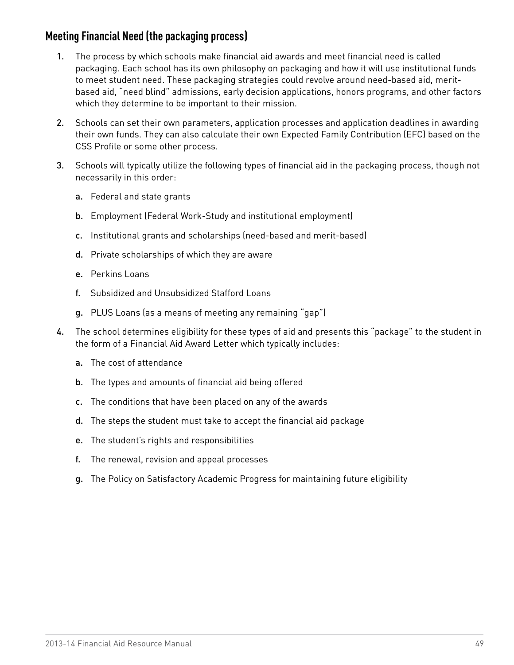### **Meeting Financial Need (the packaging process)**

- 1. The process by which schools make financial aid awards and meet financial need is called packaging. Each school has its own philosophy on packaging and how it will use institutional funds to meet student need. These packaging strategies could revolve around need-based aid, meritbased aid, "need blind" admissions, early decision applications, honors programs, and other factors which they determine to be important to their mission.
- 2. Schools can set their own parameters, application processes and application deadlines in awarding their own funds. They can also calculate their own Expected Family Contribution (EFC) based on the CSS Profile or some other process.
- 3. Schools will typically utilize the following types of financial aid in the packaging process, though not necessarily in this order:
	- a. Federal and state grants
	- b. Employment (Federal Work-Study and institutional employment)
	- c. Institutional grants and scholarships (need-based and merit-based)
	- d. Private scholarships of which they are aware
	- e. Perkins Loans
	- f. Subsidized and Unsubsidized Stafford Loans
	- g. PLUS Loans (as a means of meeting any remaining "gap")
- 4. The school determines eligibility for these types of aid and presents this "package" to the student in the form of a Financial Aid Award Letter which typically includes:
	- a. The cost of attendance
	- b. The types and amounts of financial aid being offered
	- c. The conditions that have been placed on any of the awards
	- d. The steps the student must take to accept the financial aid package
	- e. The student's rights and responsibilities
	- f. The renewal, revision and appeal processes
	- g. The Policy on Satisfactory Academic Progress for maintaining future eligibility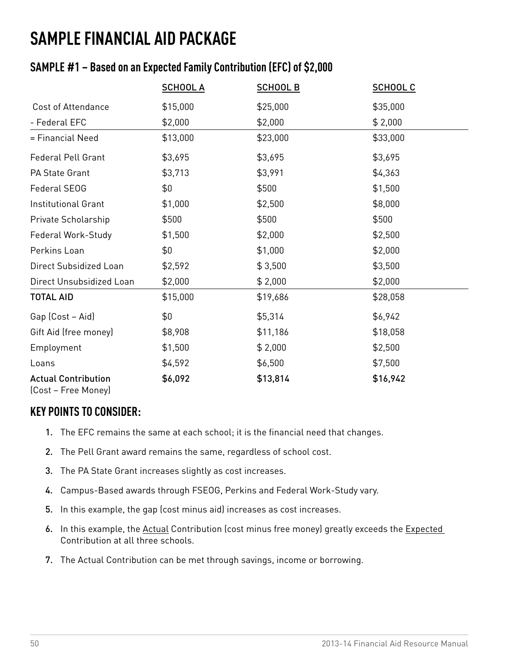## **SAMPLE FINANCIAL AID PACKAGE**

## **SAMPLE #1 – Based on an Expected Family Contribution (EFC) of \$2,000**

|                                                   | <b>SCHOOL A</b> | <b>SCHOOL B</b> | <b>SCHOOL C</b> |
|---------------------------------------------------|-----------------|-----------------|-----------------|
| <b>Cost of Attendance</b>                         | \$15,000        | \$25,000        | \$35,000        |
| - Federal EFC                                     | \$2,000         | \$2,000         | \$2,000         |
| = Financial Need                                  | \$13,000        | \$23,000        | \$33,000        |
| <b>Federal Pell Grant</b>                         | \$3,695         | \$3,695         | \$3,695         |
| PA State Grant                                    | \$3,713         | \$3,991         | \$4,363         |
| Federal SEOG                                      | \$0             | \$500           | \$1,500         |
| Institutional Grant                               | \$1,000         | \$2,500         | \$8,000         |
| Private Scholarship                               | \$500           | \$500           | \$500           |
| Federal Work-Study                                | \$1,500         | \$2,000         | \$2,500         |
| Perkins Loan                                      | \$0             | \$1,000         | \$2,000         |
| Direct Subsidized Loan                            | \$2,592         | \$3,500         | \$3,500         |
| Direct Unsubsidized Loan                          | \$2,000         | \$2,000         | \$2,000         |
| <b>TOTAL AID</b>                                  | \$15,000        | \$19,686        | \$28,058        |
| Gap (Cost - Aid)                                  | \$0             | \$5,314         | \$6,942         |
| Gift Aid (free money)                             | \$8,908         | \$11,186        | \$18,058        |
| Employment                                        | \$1,500         | \$2,000         | \$2,500         |
| Loans                                             | \$4,592         | \$6,500         | \$7,500         |
| <b>Actual Contribution</b><br>(Cost – Free Money) | \$6,092         | \$13,814        | \$16,942        |

### **KEY POINTS TO CONSIDER:**

- 1. The EFC remains the same at each school; it is the financial need that changes.
- 2. The Pell Grant award remains the same, regardless of school cost.
- 3. The PA State Grant increases slightly as cost increases.
- 4. Campus-Based awards through FSEOG, Perkins and Federal Work-Study vary.
- 5. In this example, the gap (cost minus aid) increases as cost increases.
- 6. In this example, the Actual Contribution (cost minus free money) greatly exceeds the Expected Contribution at all three schools.
- 7. The Actual Contribution can be met through savings, income or borrowing.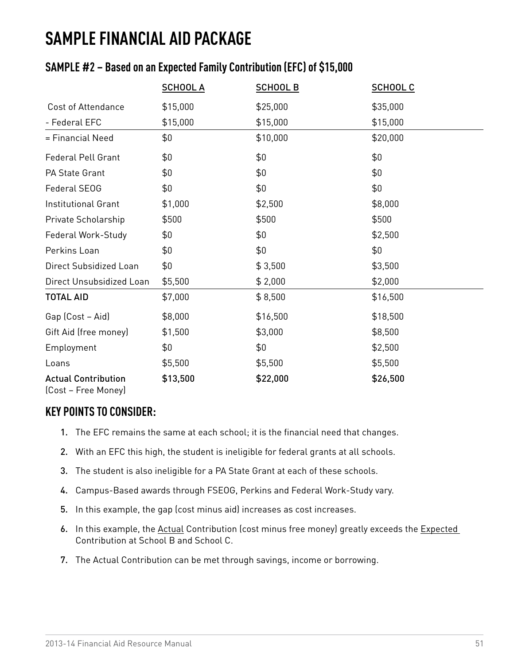## **SAMPLE FINANCIAL AID PACKAGE**

## **SAMPLE #2 – Based on an Expected Family Contribution (EFC) of \$15,000**

|                                                   | <b>SCHOOL A</b> | <b>SCHOOL B</b> | <b>SCHOOL C</b> |
|---------------------------------------------------|-----------------|-----------------|-----------------|
| <b>Cost of Attendance</b>                         | \$15,000        | \$25,000        | \$35,000        |
| - Federal EFC                                     | \$15,000        | \$15,000        | \$15,000        |
| = Financial Need                                  | \$0             | \$10,000        | \$20,000        |
| <b>Federal Pell Grant</b>                         | \$0             | \$0             | \$0             |
| PA State Grant                                    | \$0             | \$0             | \$0             |
| Federal SEOG                                      | \$0             | \$0             | \$0             |
| <b>Institutional Grant</b>                        | \$1,000         | \$2,500         | \$8,000         |
| Private Scholarship                               | \$500           | \$500           | \$500           |
| Federal Work-Study                                | \$0             | \$0             | \$2,500         |
| Perkins Loan                                      | \$0             | \$0             | \$0             |
| Direct Subsidized Loan                            | \$0             | \$3,500         | \$3,500         |
| Direct Unsubsidized Loan                          | \$5,500         | \$2,000         | \$2,000         |
| <b>TOTAL AID</b>                                  | \$7,000         | \$8,500         | \$16,500        |
| Gap (Cost - Aid)                                  | \$8,000         | \$16,500        | \$18,500        |
| Gift Aid (free money)                             | \$1,500         | \$3,000         | \$8,500         |
| Employment                                        | \$0             | \$0             | \$2,500         |
| Loans                                             | \$5,500         | \$5,500         | \$5,500         |
| <b>Actual Contribution</b><br>(Cost – Free Money) | \$13,500        | \$22,000        | \$26,500        |

### **KEY POINTS TO CONSIDER:**

- 1. The EFC remains the same at each school; it is the financial need that changes.
- 2. With an EFC this high, the student is ineligible for federal grants at all schools.
- 3. The student is also ineligible for a PA State Grant at each of these schools.
- 4. Campus-Based awards through FSEOG, Perkins and Federal Work-Study vary.
- 5. In this example, the gap (cost minus aid) increases as cost increases.
- 6. In this example, the Actual Contribution (cost minus free money) greatly exceeds the Expected Contribution at School B and School C.
- 7. The Actual Contribution can be met through savings, income or borrowing.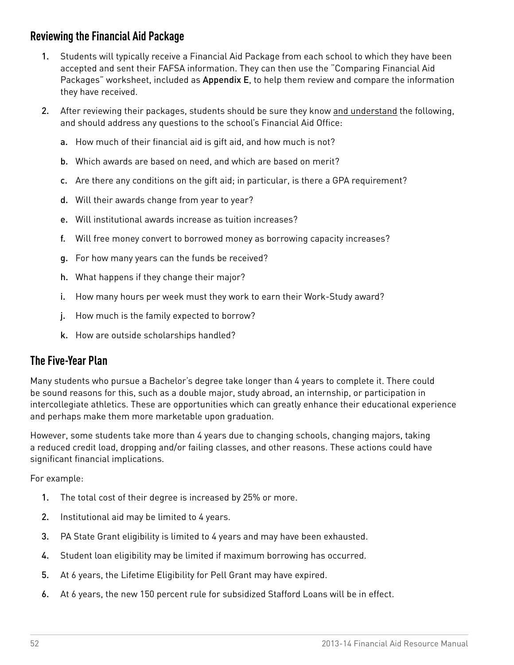## **Reviewing the Financial Aid Package**

- 1. Students will typically receive a Financial Aid Package from each school to which they have been accepted and sent their FAFSA information. They can then use the "Comparing Financial Aid Packages" worksheet, included as [Appendix E](#page-82-0), to help them review and compare the information they have received.
- 2. After reviewing their packages, students should be sure they know and understand the following, and should address any questions to the school's Financial Aid Office:
	- a. How much of their financial aid is gift aid, and how much is not?
	- b. Which awards are based on need, and which are based on merit?
	- c. Are there any conditions on the gift aid; in particular, is there a GPA requirement?
	- d. Will their awards change from year to year?
	- e. Will institutional awards increase as tuition increases?
	- f. Will free money convert to borrowed money as borrowing capacity increases?
	- g. For how many years can the funds be received?
	- h. What happens if they change their major?
	- i. How many hours per week must they work to earn their Work-Study award?
	- j. How much is the family expected to borrow?
	- k. How are outside scholarships handled?

#### **The Five-Year Plan**

Many students who pursue a Bachelor's degree take longer than 4 years to complete it. There could be sound reasons for this, such as a double major, study abroad, an internship, or participation in intercollegiate athletics. These are opportunities which can greatly enhance their educational experience and perhaps make them more marketable upon graduation.

However, some students take more than 4 years due to changing schools, changing majors, taking a reduced credit load, dropping and/or failing classes, and other reasons. These actions could have significant financial implications.

For example:

- 1. The total cost of their degree is increased by 25% or more.
- 2. Institutional aid may be limited to 4 years.
- 3. PA State Grant eligibility is limited to 4 years and may have been exhausted.
- 4. Student loan eligibility may be limited if maximum borrowing has occurred.
- 5. At 6 years, the Lifetime Eligibility for Pell Grant may have expired.
- 6. At 6 years, the new 150 percent rule for subsidized Stafford Loans will be in effect.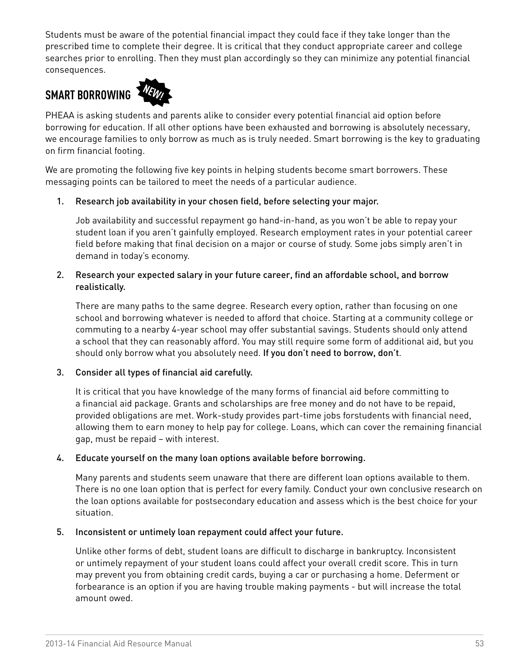Students must be aware of the potential financial impact they could face if they take longer than the prescribed time to complete their degree. It is critical that they conduct appropriate career and college searches prior to enrolling. Then they must plan accordingly so they can minimize any potential financial consequences.

## **SMART BORROWING**



PHEAA is asking students and parents alike to consider every potential financial aid option before borrowing for education. If all other options have been exhausted and borrowing is absolutely necessary, we encourage families to only borrow as much as is truly needed. Smart borrowing is the key to graduating on firm financial footing.

We are promoting the following five key points in helping students become smart borrowers. These messaging points can be tailored to meet the needs of a particular audience.

#### 1. Research job availability in your chosen field, before selecting your major.

Job availability and successful repayment go hand-in-hand, as you won't be able to repay your student loan if you aren't gainfully employed. Research employment rates in your potential career field before making that final decision on a major or course of study. Some jobs simply aren't in demand in today's economy.

#### 2. Research your expected salary in your future career, find an affordable school, and borrow realistically.

There are many paths to the same degree. Research every option, rather than focusing on one school and borrowing whatever is needed to afford that choice. Starting at a community college or commuting to a nearby 4-year school may offer substantial savings. Students should only attend a school that they can reasonably afford. You may still require some form of additional aid, but you should only borrow what you absolutely need. If you don't need to borrow, don't.

#### 3. Consider all types of financial aid carefully.

It is critical that you have knowledge of the many forms of financial aid before committing to a financial aid package. Grants and scholarships are free money and do not have to be repaid, provided obligations are met. Work-study provides part-time jobs forstudents with financial need, allowing them to earn money to help pay for college. Loans, which can cover the remaining financial gap, must be repaid – with interest.

#### 4. Educate yourself on the many loan options available before borrowing.

Many parents and students seem unaware that there are different loan options available to them. There is no one loan option that is perfect for every family. Conduct your own conclusive research on the loan options available for postsecondary education and assess which is the best choice for your situation.

#### 5. Inconsistent or untimely loan repayment could affect your future.

Unlike other forms of debt, student loans are difficult to discharge in bankruptcy. Inconsistent or untimely repayment of your student loans could affect your overall credit score. This in turn may prevent you from obtaining credit cards, buying a car or purchasing a home. Deferment or forbearance is an option if you are having trouble making payments - but will increase the total amount owed.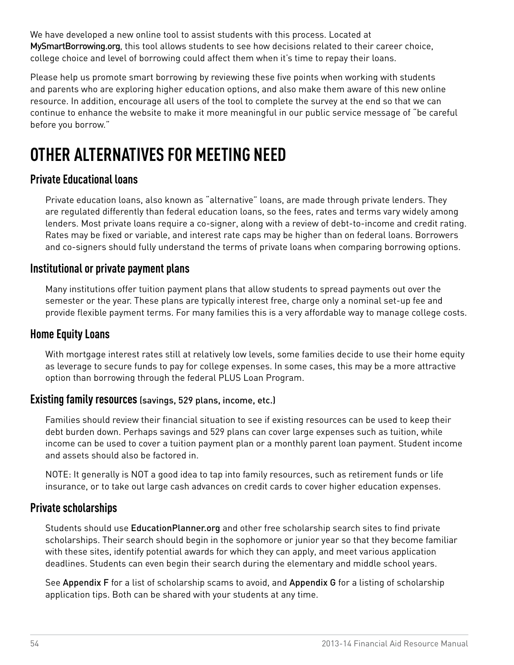We have developed a new online tool to assist students with this process. Located at [MySmartBorrowing](http://www.EducationPlanner.org/MySmartBorrowing).org, this tool allows students to see how decisions related to their career choice, college choice and level of borrowing could affect them when it's time to repay their loans.

Please help us promote smart borrowing by reviewing these five points when working with students and parents who are exploring higher education options, and also make them aware of this new online resource. In addition, encourage all users of the tool to complete the survey at the end so that we can continue to enhance the website to make it more meaningful in our public service message of "be careful before you borrow."

# **OTHER ALTERNATIVES FOR MEETING NEED**

#### **Private Educational loans**

Private education loans, also known as "alternative" loans, are made through private lenders. They are regulated differently than federal education loans, so the fees, rates and terms vary widely among lenders. Most private loans require a co-signer, along with a review of debt-to-income and credit rating. Rates may be fixed or variable, and interest rate caps may be higher than on federal loans. Borrowers and co-signers should fully understand the terms of private loans when comparing borrowing options.

#### **Institutional or private payment plans**

Many institutions offer tuition payment plans that allow students to spread payments out over the semester or the year. These plans are typically interest free, charge only a nominal set-up fee and provide flexible payment terms. For many families this is a very affordable way to manage college costs.

#### **Home Equity Loans**

With mortgage interest rates still at relatively low levels, some families decide to use their home equity as leverage to secure funds to pay for college expenses. In some cases, this may be a more attractive option than borrowing through the federal PLUS Loan Program.

#### **Existing family resources** (savings, 529 plans, income, etc.)

Families should review their financial situation to see if existing resources can be used to keep their debt burden down. Perhaps savings and 529 plans can cover large expenses such as tuition, while income can be used to cover a tuition payment plan or a monthly parent loan payment. Student income and assets should also be factored in.

NOTE: It generally is NOT a good idea to tap into family resources, such as retirement funds or life insurance, or to take out large cash advances on credit cards to cover higher education expenses.

#### **Private scholarships**

Students should use [EducationPlanner.org](http://www.EducationPlanner.org) and other free scholarship search sites to find private scholarships. Their search should begin in the sophomore or junior year so that they become familiar with these sites, identify potential awards for which they can apply, and meet various application deadlines. Students can even begin their search during the elementary and middle school years.

See [Appendix F](#page-83-0) for a list of scholarship scams to avoid, and [Appendix G](#page-84-0) for a listing of scholarship application tips. Both can be shared with your students at any time.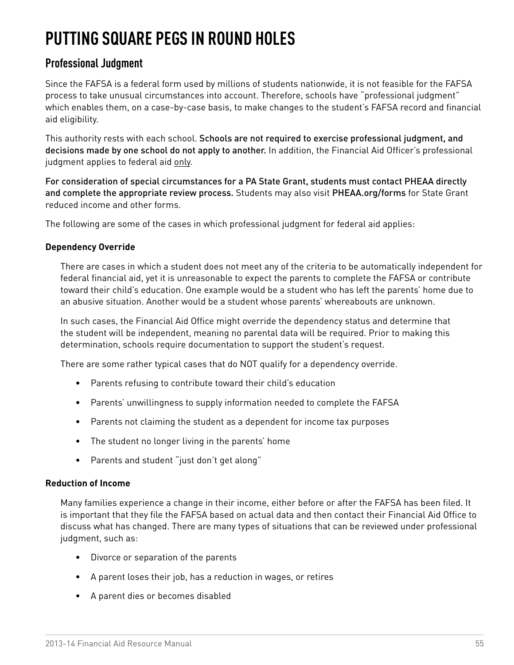# **PUTTING SQUARE PEGS IN ROUND HOLES**

#### **Professional Judgment**

Since the FAFSA is a federal form used by millions of students nationwide, it is not feasible for the FAFSA process to take unusual circumstances into account. Therefore, schools have "professional judgment" which enables them, on a case-by-case basis, to make changes to the student's FAFSA record and financial aid eligibility.

This authority rests with each school. Schools are not required to exercise professional judgment, and decisions made by one school do not apply to another. In addition, the Financial Aid Officer's professional judgment applies to federal aid only.

For consideration of special circumstances for a PA State Grant, students must contact PHEAA directly and complete the appropriate review process. Students may also visit [PHEAA.org/forms](http://www.PHEAA.org/forms) for State Grant reduced income and other forms.

The following are some of the cases in which professional judgment for federal aid applies:

#### **Dependency Override**

There are cases in which a student does not meet any of the criteria to be automatically independent for federal financial aid, yet it is unreasonable to expect the parents to complete the FAFSA or contribute toward their child's education. One example would be a student who has left the parents' home due to an abusive situation. Another would be a student whose parents' whereabouts are unknown.

In such cases, the Financial Aid Office might override the dependency status and determine that the student will be independent, meaning no parental data will be required. Prior to making this determination, schools require documentation to support the student's request.

There are some rather typical cases that do NOT qualify for a dependency override.

- • Parents refusing to contribute toward their child's education
- Parents' unwillingness to supply information needed to complete the FAFSA
- • Parents not claiming the student as a dependent for income tax purposes
- The student no longer living in the parents' home
- • Parents and student "just don't get along"

#### **Reduction of Income**

Many families experience a change in their income, either before or after the FAFSA has been filed. It is important that they file the FAFSA based on actual data and then contact their Financial Aid Office to discuss what has changed. There are many types of situations that can be reviewed under professional judgment, such as:

- • Divorce or separation of the parents
- • A parent loses their job, has a reduction in wages, or retires
- • A parent dies or becomes disabled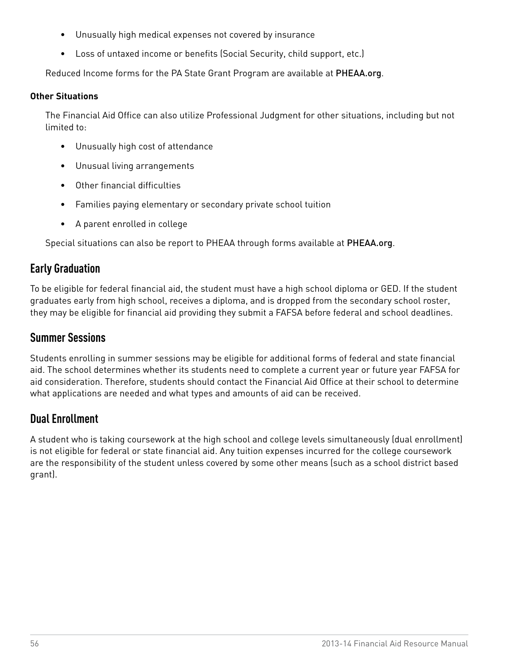- • Unusually high medical expenses not covered by insurance
- Loss of untaxed income or benefits (Social Security, child support, etc.)

Reduced Income forms for the PA State Grant Program are available at [PHEAA.org](http://www.PHEAA.org).

#### **Other Situations**

The Financial Aid Office can also utilize Professional Judgment for other situations, including but not limited to:

- • Unusually high cost of attendance
- • Unusual living arrangements
- • Other financial difficulties
- Families paying elementary or secondary private school tuition
- • A parent enrolled in college

Special situations can also be report to PHEAA through forms available at [PHEAA.org](http://www.PHEAA.org).

#### **Early Graduation**

To be eligible for federal financial aid, the student must have a high school diploma or GED. If the student graduates early from high school, receives a diploma, and is dropped from the secondary school roster, they may be eligible for financial aid providing they submit a FAFSA before federal and school deadlines.

#### **Summer Sessions**

Students enrolling in summer sessions may be eligible for additional forms of federal and state financial aid. The school determines whether its students need to complete a current year or future year FAFSA for aid consideration. Therefore, students should contact the Financial Aid Office at their school to determine what applications are needed and what types and amounts of aid can be received.

#### **Dual Enrollment**

A student who is taking coursework at the high school and college levels simultaneously (dual enrollment) is not eligible for federal or state financial aid. Any tuition expenses incurred for the college coursework are the responsibility of the student unless covered by some other means (such as a school district based grant).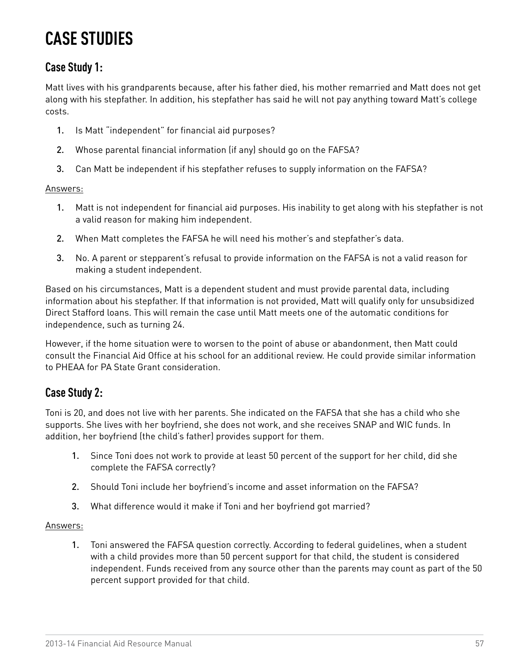## **CASE STUDIES**

### **Case Study 1:**

Matt lives with his grandparents because, after his father died, his mother remarried and Matt does not get along with his stepfather. In addition, his stepfather has said he will not pay anything toward Matt's college costs.

- 1. Is Matt "independent" for financial aid purposes?
- 2. Whose parental financial information (if any) should go on the FAFSA?
- 3. Can Matt be independent if his stepfather refuses to supply information on the FAFSA?

#### Answers:

- 1. Matt is not independent for financial aid purposes. His inability to get along with his stepfather is not a valid reason for making him independent.
- 2. When Matt completes the FAFSA he will need his mother's and stepfather's data.
- 3. No. A parent or stepparent's refusal to provide information on the FAFSA is not a valid reason for making a student independent.

Based on his circumstances, Matt is a dependent student and must provide parental data, including information about his stepfather. If that information is not provided, Matt will qualify only for unsubsidized Direct Stafford loans. This will remain the case until Matt meets one of the automatic conditions for independence, such as turning 24.

However, if the home situation were to worsen to the point of abuse or abandonment, then Matt could consult the Financial Aid Office at his school for an additional review. He could provide similar information to PHEAA for PA State Grant consideration.

#### **Case Study 2:**

Toni is 20, and does not live with her parents. She indicated on the FAFSA that she has a child who she supports. She lives with her boyfriend, she does not work, and she receives SNAP and WIC funds. In addition, her boyfriend (the child's father) provides support for them.

- 1. Since Toni does not work to provide at least 50 percent of the support for her child, did she complete the FAFSA correctly?
- 2. Should Toni include her boyfriend's income and asset information on the FAFSA?
- 3. What difference would it make if Toni and her boyfriend got married?

#### Answers:

1. Toni answered the FAFSA question correctly. According to federal guidelines, when a student with a child provides more than 50 percent support for that child, the student is considered independent. Funds received from any source other than the parents may count as part of the 50 percent support provided for that child.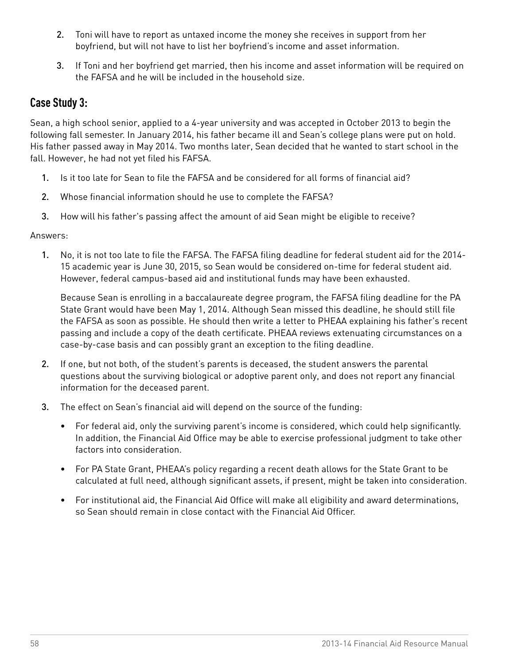- 2. Toni will have to report as untaxed income the money she receives in support from her boyfriend, but will not have to list her boyfriend's income and asset information.
- 3. If Toni and her boyfriend get married, then his income and asset information will be required on the FAFSA and he will be included in the household size.

#### **Case Study 3:**

Sean, a high school senior, applied to a 4-year university and was accepted in October 2013 to begin the following fall semester. In January 2014, his father became ill and Sean's college plans were put on hold. His father passed away in May 2014. Two months later, Sean decided that he wanted to start school in the fall. However, he had not yet filed his FAFSA.

- 1. Is it too late for Sean to file the FAFSA and be considered for all forms of financial aid?
- 2. Whose financial information should he use to complete the FAFSA?
- 3. How will his father's passing affect the amount of aid Sean might be eligible to receive?

#### Answers:

1. No, it is not too late to file the FAFSA. The FAFSA filing deadline for federal student aid for the 2014- 15 academic year is June 30, 2015, so Sean would be considered on-time for federal student aid. However, federal campus-based aid and institutional funds may have been exhausted.

Because Sean is enrolling in a baccalaureate degree program, the FAFSA filing deadline for the PA State Grant would have been May 1, 2014. Although Sean missed this deadline, he should still file the FAFSA as soon as possible. He should then write a letter to PHEAA explaining his father's recent passing and include a copy of the death certificate. PHEAA reviews extenuating circumstances on a case-by-case basis and can possibly grant an exception to the filing deadline.

- 2. If one, but not both, of the student's parents is deceased, the student answers the parental questions about the surviving biological or adoptive parent only, and does not report any financial information for the deceased parent.
- 3. The effect on Sean's financial aid will depend on the source of the funding:
	- • For federal aid, only the surviving parent's income is considered, which could help significantly. In addition, the Financial Aid Office may be able to exercise professional judgment to take other factors into consideration.
	- For PA State Grant, PHEAA's policy regarding a recent death allows for the State Grant to be calculated at full need, although significant assets, if present, might be taken into consideration.
	- • For institutional aid, the Financial Aid Office will make all eligibility and award determinations, so Sean should remain in close contact with the Financial Aid Officer.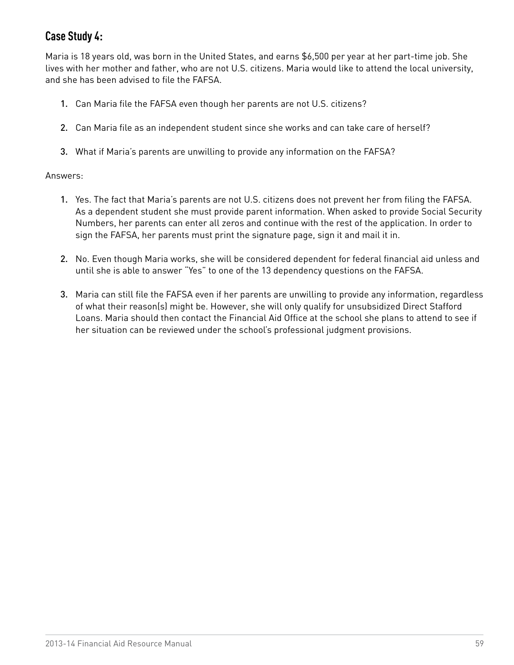## **Case Study 4:**

Maria is 18 years old, was born in the United States, and earns \$6,500 per year at her part-time job. She lives with her mother and father, who are not U.S. citizens. Maria would like to attend the local university, and she has been advised to file the FAFSA.

- 1. Can Maria file the FAFSA even though her parents are not U.S. citizens?
- 2. Can Maria file as an independent student since she works and can take care of herself?
- 3. What if Maria's parents are unwilling to provide any information on the FAFSA?

#### Answers:

- 1. Yes. The fact that Maria's parents are not U.S. citizens does not prevent her from filing the FAFSA. As a dependent student she must provide parent information. When asked to provide Social Security Numbers, her parents can enter all zeros and continue with the rest of the application. In order to sign the FAFSA, her parents must print the signature page, sign it and mail it in.
- 2. No. Even though Maria works, she will be considered dependent for federal financial aid unless and until she is able to answer "Yes" to one of the 13 dependency questions on the FAFSA.
- 3. Maria can still file the FAFSA even if her parents are unwilling to provide any information, regardless of what their reason(s) might be. However, she will only qualify for unsubsidized Direct Stafford Loans. Maria should then contact the Financial Aid Office at the school she plans to attend to see if her situation can be reviewed under the school's professional judgment provisions.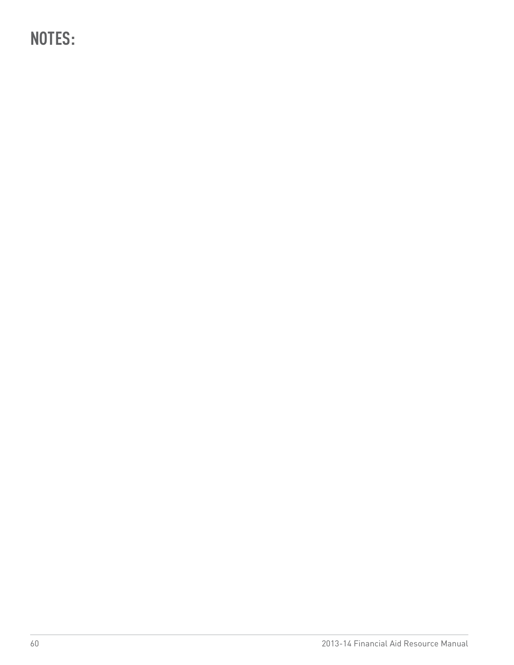**NOTES:**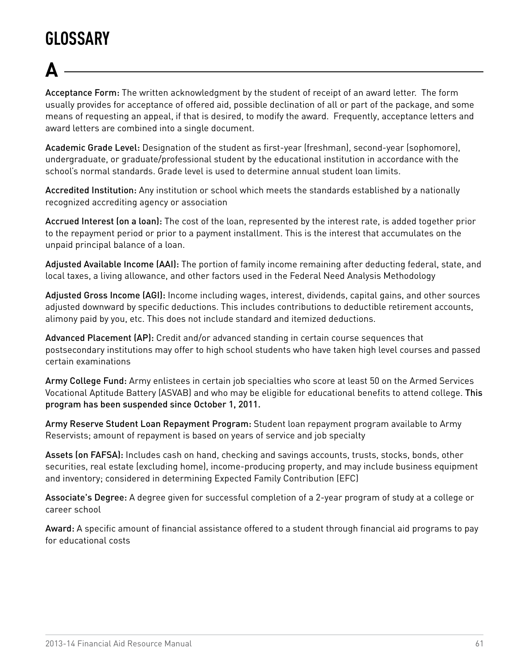# **GLOSSARY**

# **A**

Acceptance Form: The written acknowledgment by the student of receipt of an award letter. The form usually provides for acceptance of offered aid, possible declination of all or part of the package, and some means of requesting an appeal, if that is desired, to modify the award. Frequently, acceptance letters and award letters are combined into a single document.

Academic Grade Level: Designation of the student as first-year (freshman), second-year (sophomore), undergraduate, or graduate/professional student by the educational institution in accordance with the school's normal standards. Grade level is used to determine annual student loan limits.

Accredited Institution: Any institution or school which meets the standards established by a nationally recognized accrediting agency or association

Accrued Interest (on a loan): The cost of the loan, represented by the interest rate, is added together prior to the repayment period or prior to a payment installment. This is the interest that accumulates on the unpaid principal balance of a loan.

Adjusted Available Income (AAI): The portion of family income remaining after deducting federal, state, and local taxes, a living allowance, and other factors used in the Federal Need Analysis Methodology

Adjusted Gross Income (AGI): Income including wages, interest, dividends, capital gains, and other sources adjusted downward by specific deductions. This includes contributions to deductible retirement accounts, alimony paid by you, etc. This does not include standard and itemized deductions.

Advanced Placement (AP): Credit and/or advanced standing in certain course sequences that postsecondary institutions may offer to high school students who have taken high level courses and passed certain examinations

Army College Fund: Army enlistees in certain job specialties who score at least 50 on the Armed Services Vocational Aptitude Battery (ASVAB) and who may be eligible for educational benefits to attend college. This program has been suspended since October 1, 2011.

Army Reserve Student Loan Repayment Program: Student loan repayment program available to Army Reservists; amount of repayment is based on years of service and job specialty

Assets (on FAFSA): Includes cash on hand, checking and savings accounts, trusts, stocks, bonds, other securities, real estate (excluding home), income-producing property, and may include business equipment and inventory; considered in determining Expected Family Contribution (EFC)

Associate's Degree: A degree given for successful completion of a 2-year program of study at a college or career school

Award: A specific amount of financial assistance offered to a student through financial aid programs to pay for educational costs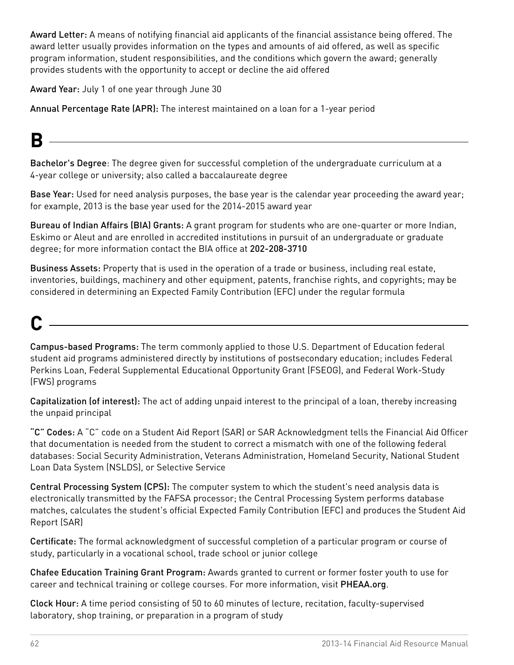Award Letter: A means of notifying financial aid applicants of the financial assistance being offered. The award letter usually provides information on the types and amounts of aid offered, as well as specific program information, student responsibilities, and the conditions which govern the award; generally provides students with the opportunity to accept or decline the aid offered

Award Year: July 1 of one year through June 30

Annual Percentage Rate (APR): The interest maintained on a loan for a 1-year period

# **B**

Bachelor's Degree: The degree given for successful completion of the undergraduate curriculum at a 4-year college or university; also called a baccalaureate degree

Base Year: Used for need analysis purposes, the base year is the calendar year proceeding the award year; for example, 2013 is the base year used for the 2014-2015 award year

Bureau of Indian Affairs (BIA) Grants: A grant program for students who are one-quarter or more Indian, Eskimo or Aleut and are enrolled in accredited institutions in pursuit of an undergraduate or graduate degree; for more information contact the BIA office at 202-208-3710

Business Assets: Property that is used in the operation of a trade or business, including real estate, inventories, buildings, machinery and other equipment, patents, franchise rights, and copyrights; may be considered in determining an Expected Family Contribution (EFC) under the regular formula

# **C**

Campus-based Programs: The term commonly applied to those U.S. Department of Education federal student aid programs administered directly by institutions of postsecondary education; includes Federal Perkins Loan, Federal Supplemental Educational Opportunity Grant (FSEOG), and Federal Work-Study (FWS) programs

Capitalization (of interest): The act of adding unpaid interest to the principal of a loan, thereby increasing the unpaid principal

"C" Codes: A "C" code on a Student Aid Report (SAR) or SAR Acknowledgment tells the Financial Aid Officer that documentation is needed from the student to correct a mismatch with one of the following federal databases: Social Security Administration, Veterans Administration, Homeland Security, National Student Loan Data System (NSLDS), or Selective Service

Central Processing System (CPS): The computer system to which the student's need analysis data is electronically transmitted by the FAFSA processor; the Central Processing System performs database matches, calculates the student's official Expected Family Contribution (EFC) and produces the Student Aid Report (SAR)

Certificate: The formal acknowledgment of successful completion of a particular program or course of study, particularly in a vocational school, trade school or junior college

Chafee Education Training Grant Program: Awards granted to current or former foster youth to use for career and technical training or college courses. For more information, visit [PHEAA.org](http://www.pheaa.org).

Clock Hour: A time period consisting of 50 to 60 minutes of lecture, recitation, faculty-supervised laboratory, shop training, or preparation in a program of study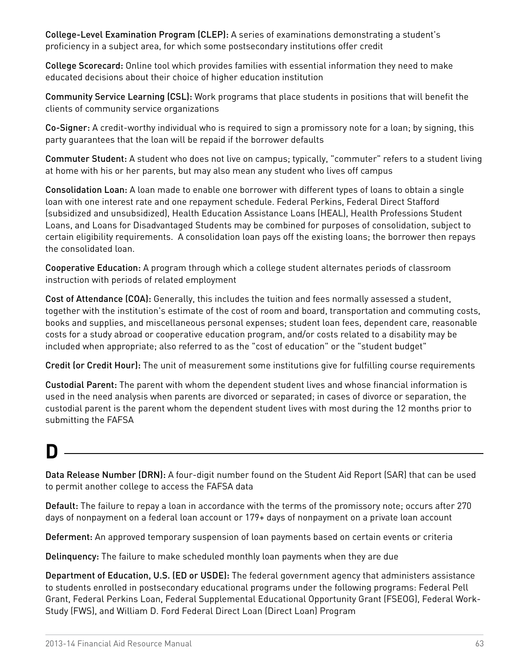College-Level Examination Program (CLEP): A series of examinations demonstrating a student's proficiency in a subject area, for which some postsecondary institutions offer credit

College Scorecard: Online tool which provides families with essential information they need to make educated decisions about their choice of higher education institution

Community Service Learning (CSL): Work programs that place students in positions that will benefit the clients of community service organizations

Co-Signer: A credit-worthy individual who is required to sign a promissory note for a loan; by signing, this party guarantees that the loan will be repaid if the borrower defaults

Commuter Student: A student who does not live on campus; typically, "commuter" refers to a student living at home with his or her parents, but may also mean any student who lives off campus

Consolidation Loan: A loan made to enable one borrower with different types of loans to obtain a single loan with one interest rate and one repayment schedule. Federal Perkins, Federal Direct Stafford (subsidized and unsubsidized), Health Education Assistance Loans (HEAL), Health Professions Student Loans, and Loans for Disadvantaged Students may be combined for purposes of consolidation, subject to certain eligibility requirements. A consolidation loan pays off the existing loans; the borrower then repays the consolidated loan.

Cooperative Education: A program through which a college student alternates periods of classroom instruction with periods of related employment

Cost of Attendance (COA): Generally, this includes the tuition and fees normally assessed a student, together with the institution's estimate of the cost of room and board, transportation and commuting costs, books and supplies, and miscellaneous personal expenses; student loan fees, dependent care, reasonable costs for a study abroad or cooperative education program, and/or costs related to a disability may be included when appropriate; also referred to as the "cost of education" or the "student budget"

Credit (or Credit Hour): The unit of measurement some institutions give for fulfilling course requirements

Custodial Parent: The parent with whom the dependent student lives and whose financial information is used in the need analysis when parents are divorced or separated; in cases of divorce or separation, the custodial parent is the parent whom the dependent student lives with most during the 12 months prior to submitting the FAFSA

## **D**

Data Release Number (DRN): A four-digit number found on the Student Aid Report (SAR) that can be used to permit another college to access the FAFSA data

Default: The failure to repay a loan in accordance with the terms of the promissory note; occurs after 270 days of nonpayment on a federal loan account or 179+ days of nonpayment on a private loan account

Deferment: An approved temporary suspension of loan payments based on certain events or criteria

Delinquency: The failure to make scheduled monthly loan payments when they are due

Department of Education, U.S. (ED or USDE): The federal government agency that administers assistance to students enrolled in postsecondary educational programs under the following programs: Federal Pell Grant, Federal Perkins Loan, Federal Supplemental Educational Opportunity Grant (FSEOG), Federal Work-Study (FWS), and William D. Ford Federal Direct Loan (Direct Loan) Program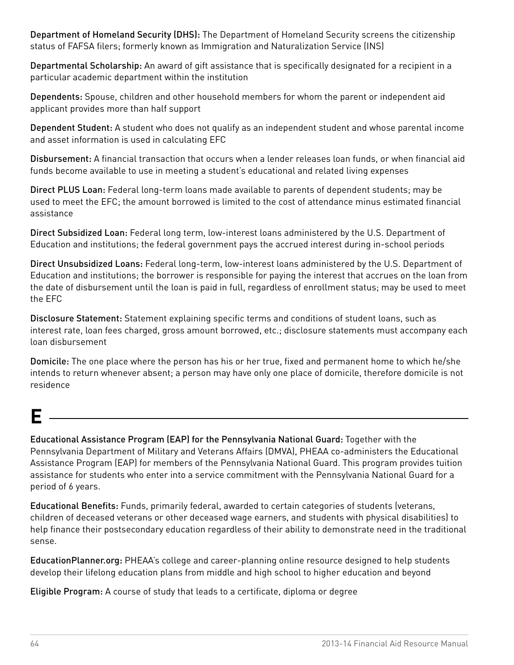Department of Homeland Security (DHS): The Department of Homeland Security screens the citizenship status of FAFSA filers; formerly known as Immigration and Naturalization Service (INS)

Departmental Scholarship: An award of gift assistance that is specifically designated for a recipient in a particular academic department within the institution

Dependents: Spouse, children and other household members for whom the parent or independent aid applicant provides more than half support

Dependent Student: A student who does not qualify as an independent student and whose parental income and asset information is used in calculating EFC

Disbursement: A financial transaction that occurs when a lender releases loan funds, or when financial aid funds become available to use in meeting a student's educational and related living expenses

Direct PLUS Loan: Federal long-term loans made available to parents of dependent students; may be used to meet the EFC; the amount borrowed is limited to the cost of attendance minus estimated financial assistance

Direct Subsidized Loan: Federal long term, low-interest loans administered by the U.S. Department of Education and institutions; the federal government pays the accrued interest during in-school periods

Direct Unsubsidized Loans: Federal long-term, low-interest loans administered by the U.S. Department of Education and institutions; the borrower is responsible for paying the interest that accrues on the loan from the date of disbursement until the loan is paid in full, regardless of enrollment status; may be used to meet the EFC

Disclosure Statement: Statement explaining specific terms and conditions of student loans, such as interest rate, loan fees charged, gross amount borrowed, etc.; disclosure statements must accompany each loan disbursement

Domicile: The one place where the person has his or her true, fixed and permanent home to which he/she intends to return whenever absent; a person may have only one place of domicile, therefore domicile is not residence

# **E**

Educational Assistance Program (EAP) for the Pennsylvania National Guard: Together with the Pennsylvania Department of Military and Veterans Affairs (DMVA), PHEAA co-administers the Educational Assistance Program (EAP) for members of the Pennsylvania National Guard. This program provides tuition assistance for students who enter into a service commitment with the Pennsylvania National Guard for a period of 6 years.

Educational Benefits: Funds, primarily federal, awarded to certain categories of students (veterans, children of deceased veterans or other deceased wage earners, and students with physical disabilities) to help finance their postsecondary education regardless of their ability to demonstrate need in the traditional sense.

EducationPlanner.org: PHEAA's college and career-planning online resource designed to help students develop their lifelong education plans from middle and high school to higher education and beyond

Eligible Program: A course of study that leads to a certificate, diploma or degree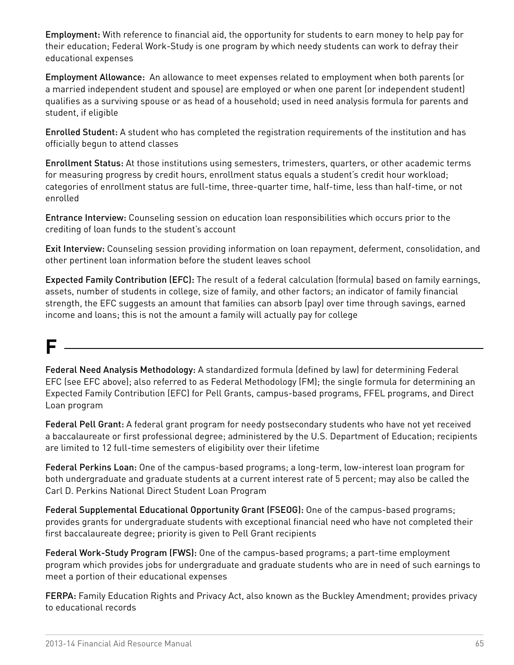Employment: With reference to financial aid, the opportunity for students to earn money to help pay for their education; Federal Work-Study is one program by which needy students can work to defray their educational expenses

Employment Allowance: An allowance to meet expenses related to employment when both parents (or a married independent student and spouse) are employed or when one parent (or independent student) qualifies as a surviving spouse or as head of a household; used in need analysis formula for parents and student, if eligible

Enrolled Student: A student who has completed the registration requirements of the institution and has officially begun to attend classes

Enrollment Status: At those institutions using semesters, trimesters, quarters, or other academic terms for measuring progress by credit hours, enrollment status equals a student's credit hour workload; categories of enrollment status are full-time, three-quarter time, half-time, less than half-time, or not enrolled

Entrance Interview: Counseling session on education loan responsibilities which occurs prior to the crediting of loan funds to the student's account

Exit Interview: Counseling session providing information on loan repayment, deferment, consolidation, and other pertinent loan information before the student leaves school

Expected Family Contribution (EFC): The result of a federal calculation (formula) based on family earnings, assets, number of students in college, size of family, and other factors; an indicator of family financial strength, the EFC suggests an amount that families can absorb (pay) over time through savings, earned income and loans; this is not the amount a family will actually pay for college

# **F**

Federal Need Analysis Methodology: A standardized formula (defined by law) for determining Federal EFC (see EFC above); also referred to as Federal Methodology (FM); the single formula for determining an Expected Family Contribution (EFC) for Pell Grants, campus-based programs, FFEL programs, and Direct Loan program

Federal Pell Grant: A federal grant program for needy postsecondary students who have not yet received a baccalaureate or first professional degree; administered by the U.S. Department of Education; recipients are limited to 12 full-time semesters of eligibility over their lifetime

Federal Perkins Loan: One of the campus-based programs; a long-term, low-interest loan program for both undergraduate and graduate students at a current interest rate of 5 percent; may also be called the Carl D. Perkins National Direct Student Loan Program

Federal Supplemental Educational Opportunity Grant (FSEOG): One of the campus-based programs; provides grants for undergraduate students with exceptional financial need who have not completed their first baccalaureate degree; priority is given to Pell Grant recipients

Federal Work-Study Program (FWS): One of the campus-based programs; a part-time employment program which provides jobs for undergraduate and graduate students who are in need of such earnings to meet a portion of their educational expenses

FERPA: Family Education Rights and Privacy Act, also known as the Buckley Amendment; provides privacy to educational records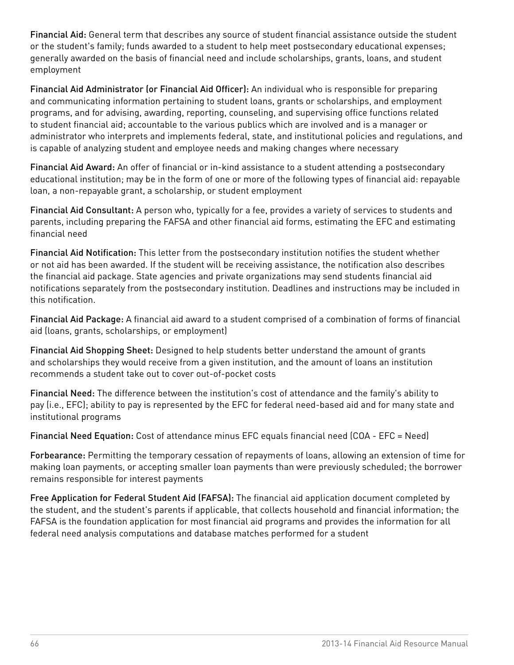Financial Aid: General term that describes any source of student financial assistance outside the student or the student's family; funds awarded to a student to help meet postsecondary educational expenses; generally awarded on the basis of financial need and include scholarships, grants, loans, and student employment

Financial Aid Administrator (or Financial Aid Officer): An individual who is responsible for preparing and communicating information pertaining to student loans, grants or scholarships, and employment programs, and for advising, awarding, reporting, counseling, and supervising office functions related to student financial aid; accountable to the various publics which are involved and is a manager or administrator who interprets and implements federal, state, and institutional policies and regulations, and is capable of analyzing student and employee needs and making changes where necessary

Financial Aid Award: An offer of financial or in-kind assistance to a student attending a postsecondary educational institution; may be in the form of one or more of the following types of financial aid: repayable loan, a non-repayable grant, a scholarship, or student employment

Financial Aid Consultant: A person who, typically for a fee, provides a variety of services to students and parents, including preparing the FAFSA and other financial aid forms, estimating the EFC and estimating financial need

Financial Aid Notification: This letter from the postsecondary institution notifies the student whether or not aid has been awarded. If the student will be receiving assistance, the notification also describes the financial aid package. State agencies and private organizations may send students financial aid notifications separately from the postsecondary institution. Deadlines and instructions may be included in this notification.

Financial Aid Package: A financial aid award to a student comprised of a combination of forms of financial aid (loans, grants, scholarships, or employment)

Financial Aid Shopping Sheet: Designed to help students better understand the amount of grants and scholarships they would receive from a given institution, and the amount of loans an institution recommends a student take out to cover out-of-pocket costs

Financial Need: The difference between the institution's cost of attendance and the family's ability to pay (i.e., EFC); ability to pay is represented by the EFC for federal need-based aid and for many state and institutional programs

Financial Need Equation: Cost of attendance minus EFC equals financial need (COA - EFC = Need)

Forbearance: Permitting the temporary cessation of repayments of loans, allowing an extension of time for making loan payments, or accepting smaller loan payments than were previously scheduled; the borrower remains responsible for interest payments

Free Application for Federal Student Aid (FAFSA): The financial aid application document completed by the student, and the student's parents if applicable, that collects household and financial information; the FAFSA is the foundation application for most financial aid programs and provides the information for all federal need analysis computations and database matches performed for a student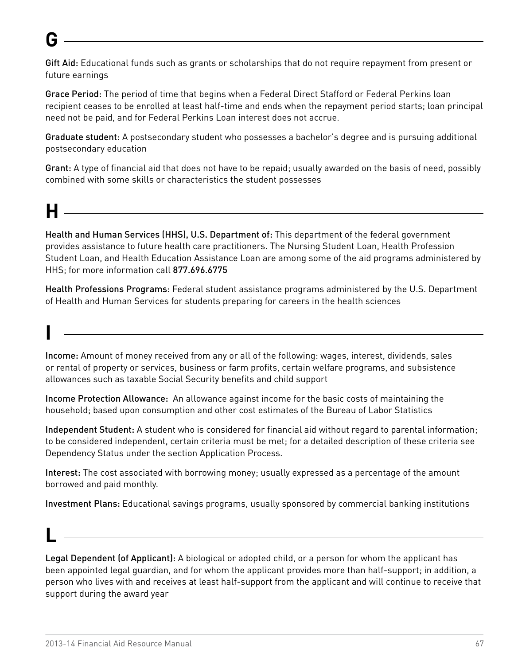# **G**

Gift Aid: Educational funds such as grants or scholarships that do not require repayment from present or future earnings

Grace Period: The period of time that begins when a Federal Direct Stafford or Federal Perkins loan recipient ceases to be enrolled at least half-time and ends when the repayment period starts; loan principal need not be paid, and for Federal Perkins Loan interest does not accrue.

Graduate student: A postsecondary student who possesses a bachelor's degree and is pursuing additional postsecondary education

Grant: A type of financial aid that does not have to be repaid; usually awarded on the basis of need, possibly combined with some skills or characteristics the student possesses

# **H**

**I**

**L**

Health and Human Services (HHS), U.S. Department of: This department of the federal government provides assistance to future health care practitioners. The Nursing Student Loan, Health Profession Student Loan, and Health Education Assistance Loan are among some of the aid programs administered by HHS; for more information call 877.696.6775

Health Professions Programs: Federal student assistance programs administered by the U.S. Department of Health and Human Services for students preparing for careers in the health sciences

Income: Amount of money received from any or all of the following: wages, interest, dividends, sales or rental of property or services, business or farm profits, certain welfare programs, and subsistence allowances such as taxable Social Security benefits and child support

Income Protection Allowance: An allowance against income for the basic costs of maintaining the household; based upon consumption and other cost estimates of the Bureau of Labor Statistics

Independent Student: A student who is considered for financial aid without regard to parental information; to be considered independent, certain criteria must be met; for a detailed description of these criteria see Dependency Status under the section Application Process.

Interest: The cost associated with borrowing money; usually expressed as a percentage of the amount borrowed and paid monthly.

Investment Plans: Educational savings programs, usually sponsored by commercial banking institutions

Legal Dependent (of Applicant): A biological or adopted child, or a person for whom the applicant has been appointed legal guardian, and for whom the applicant provides more than half-support; in addition, a person who lives with and receives at least half-support from the applicant and will continue to receive that support during the award year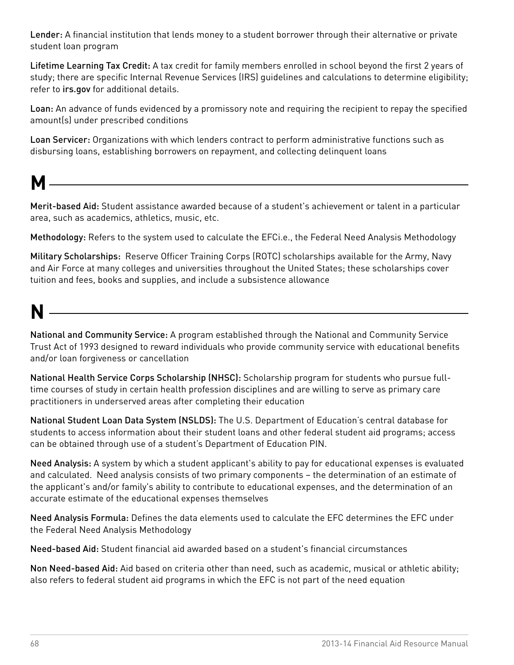Lender: A financial institution that lends money to a student borrower through their alternative or private student loan program

Lifetime Learning Tax Credit: A tax credit for family members enrolled in school beyond the first 2 years of study; there are specific Internal Revenue Services (IRS) guidelines and calculations to determine eligibility; refer to [irs.gov](http://www.irs.gov) for additional details.

Loan: An advance of funds evidenced by a promissory note and requiring the recipient to repay the specified amount(s) under prescribed conditions

Loan Servicer: Organizations with which lenders contract to perform administrative functions such as disbursing loans, establishing borrowers on repayment, and collecting delinquent loans

**M**

Merit-based Aid: Student assistance awarded because of a student's achievement or talent in a particular area, such as academics, athletics, music, etc.

Methodology: Refers to the system used to calculate the EFCi.e., the Federal Need Analysis Methodology

Military Scholarships: Reserve Officer Training Corps (ROTC) scholarships available for the Army, Navy and Air Force at many colleges and universities throughout the United States; these scholarships cover tuition and fees, books and supplies, and include a subsistence allowance

# **N**

National and Community Service: A program established through the National and Community Service Trust Act of 1993 designed to reward individuals who provide community service with educational benefits and/or loan forgiveness or cancellation

National Health Service Corps Scholarship (NHSC): Scholarship program for students who pursue fulltime courses of study in certain health profession disciplines and are willing to serve as primary care practitioners in underserved areas after completing their education

National Student Loan Data System (NSLDS): The U.S. Department of Education's central database for students to access information about their student loans and other federal student aid programs; access can be obtained through use of a student's Department of Education PIN.

Need Analysis: A system by which a student applicant's ability to pay for educational expenses is evaluated and calculated. Need analysis consists of two primary components – the determination of an estimate of the applicant's and/or family's ability to contribute to educational expenses, and the determination of an accurate estimate of the educational expenses themselves

Need Analysis Formula: Defines the data elements used to calculate the EFC determines the EFC under the Federal Need Analysis Methodology

Need-based Aid: Student financial aid awarded based on a student's financial circumstances

Non Need-based Aid: Aid based on criteria other than need, such as academic, musical or athletic ability; also refers to federal student aid programs in which the EFC is not part of the need equation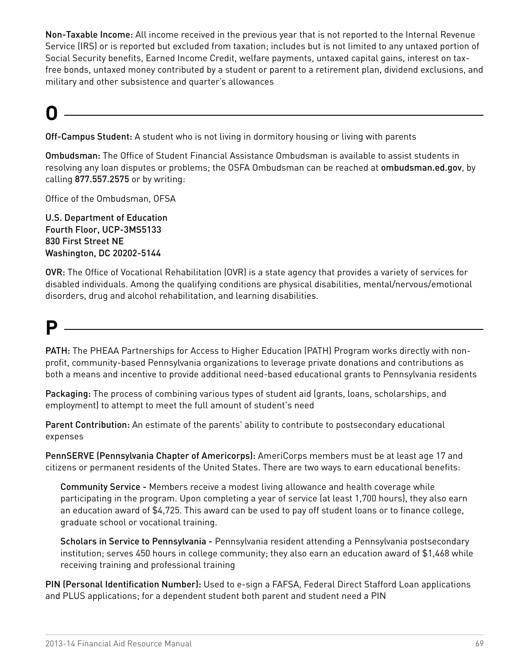Non-Taxable Income: All income received in the previous year that is not reported to the Internal Revenue Service (IRS) or is reported but excluded from taxation; includes but is not limited to any untaxed portion of Social Security benefits, Earned Income Credit, welfare payments, untaxed capital gains, interest on taxfree bonds, untaxed money contributed by a student or parent to a retirement plan, dividend exclusions, and military and other subsistence and quarter's allowances

# **O**

Off-Campus Student: A student who is not living in dormitory housing or living with parents

Ombudsman: The Office of Student Financial Assistance Ombudsman is available to assist students in resolving any loan disputes or problems; the OSFA Ombudsman can be reached at [ombudsman.ed.gov](http://www.ombudsman.ed.gov), by calling 877.557.2575 or by writing:

Office of the Ombudsman, OFSA

U.S. Department of Education Fourth Floor, UCP-3MS5133 830 First Street NE Washington, DC 20202-5144

OVR: The Office of Vocational Rehabilitation (OVR) is a state agency that provides a variety of services for disabled individuals. Among the qualifying conditions are physical disabilities, mental/nervous/emotional disorders, drug and alcohol rehabilitation, and learning disabilities.

## **P**

PATH: The PHEAA Partnerships for Access to Higher Education (PATH) Program works directly with nonprofit, community-based Pennsylvania organizations to leverage private donations and contributions as both a means and incentive to provide additional need-based educational grants to Pennsylvania residents

Packaging: The process of combining various types of student aid (grants, loans, scholarships, and employment) to attempt to meet the full amount of student's need

Parent Contribution: An estimate of the parents' ability to contribute to postsecondary educational expenses

PennSERVE (Pennsylvania Chapter of Americorps): AmeriCorps members must be at least age 17 and citizens or permanent residents of the United States. There are two ways to earn educational benefits:

Community Service - Members receive a modest living allowance and health coverage while participating in the program. Upon completing a year of service (at least 1,700 hours), they also earn an education award of \$4,725. This award can be used to pay off student loans or to finance college, graduate school or vocational training.

Scholars in Service to Pennsylvania - Pennsylvania resident attending a Pennsylvania postsecondary institution; serves 450 hours in college community; they also earn an education award of \$1,468 while receiving training and professional training

PIN (Personal Identification Number): Used to e-sign a FAFSA, Federal Direct Stafford Loan applications and PLUS applications; for a dependent student both parent and student need a PIN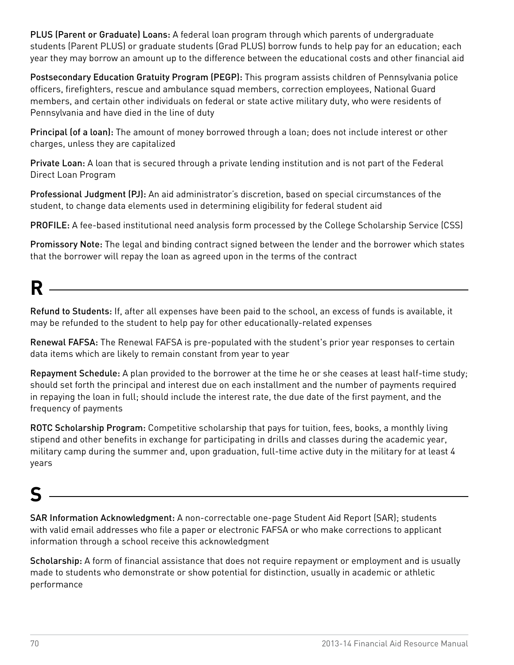PLUS (Parent or Graduate) Loans: A federal loan program through which parents of undergraduate students (Parent PLUS) or graduate students (Grad PLUS) borrow funds to help pay for an education; each year they may borrow an amount up to the difference between the educational costs and other financial aid

Postsecondary Education Gratuity Program (PEGP): This program assists children of Pennsylvania police officers, firefighters, rescue and ambulance squad members, correction employees, National Guard members, and certain other individuals on federal or state active military duty, who were residents of Pennsylvania and have died in the line of duty

Principal (of a loan): The amount of money borrowed through a loan; does not include interest or other charges, unless they are capitalized

Private Loan: A loan that is secured through a private lending institution and is not part of the Federal Direct Loan Program

Professional Judgment (PJ): An aid administrator's discretion, based on special circumstances of the student, to change data elements used in determining eligibility for federal student aid

PROFILE: A fee-based institutional need analysis form processed by the College Scholarship Service (CSS)

Promissory Note: The legal and binding contract signed between the lender and the borrower which states that the borrower will repay the loan as agreed upon in the terms of the contract

# **R**

Refund to Students: If, after all expenses have been paid to the school, an excess of funds is available, it may be refunded to the student to help pay for other educationally-related expenses

Renewal FAFSA: The Renewal FAFSA is pre-populated with the student's prior year responses to certain data items which are likely to remain constant from year to year

Repayment Schedule: A plan provided to the borrower at the time he or she ceases at least half-time study; should set forth the principal and interest due on each installment and the number of payments required in repaying the loan in full; should include the interest rate, the due date of the first payment, and the frequency of payments

ROTC Scholarship Program: Competitive scholarship that pays for tuition, fees, books, a monthly living stipend and other benefits in exchange for participating in drills and classes during the academic year, military camp during the summer and, upon graduation, full-time active duty in the military for at least 4 years

## **S**

SAR Information Acknowledgment: A non-correctable one-page Student Aid Report (SAR); students with valid email addresses who file a paper or electronic FAFSA or who make corrections to applicant information through a school receive this acknowledgment

Scholarship: A form of financial assistance that does not require repayment or employment and is usually made to students who demonstrate or show potential for distinction, usually in academic or athletic performance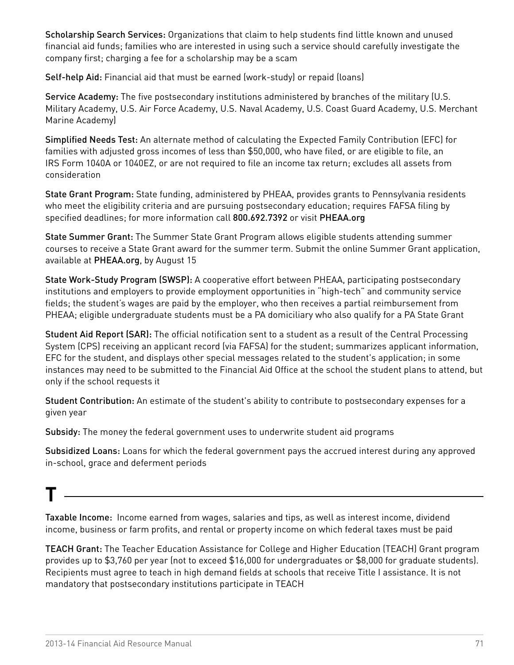Scholarship Search Services: Organizations that claim to help students find little known and unused financial aid funds; families who are interested in using such a service should carefully investigate the company first; charging a fee for a scholarship may be a scam

Self-help Aid: Financial aid that must be earned (work-study) or repaid (loans)

Service Academy: The five postsecondary institutions administered by branches of the military (U.S. Military Academy, U.S. Air Force Academy, U.S. Naval Academy, U.S. Coast Guard Academy, U.S. Merchant Marine Academy)

Simplified Needs Test: An alternate method of calculating the Expected Family Contribution (EFC) for families with adjusted gross incomes of less than \$50,000, who have filed, or are eligible to file, an IRS Form 1040A or 1040EZ, or are not required to file an income tax return; excludes all assets from consideration

State Grant Program: State funding, administered by PHEAA, provides grants to Pennsylvania residents who meet the eligibility criteria and are pursuing postsecondary education; requires FAFSA filing by specified deadlines; for more information call 800.692.7392 or visit [PHEAA.org](http://www.PHEAA.org)

State Summer Grant: The Summer State Grant Program allows eligible students attending summer courses to receive a State Grant award for the summer term. Submit the online Summer Grant application, available at [PHEAA.org](http://www.PHEAA.org), by August 15

State Work-Study Program (SWSP): A cooperative effort between PHEAA, participating postsecondary institutions and employers to provide employment opportunities in "high-tech" and community service fields; the student's wages are paid by the employer, who then receives a partial reimbursement from PHEAA; eligible undergraduate students must be a PA domiciliary who also qualify for a PA State Grant

Student Aid Report (SAR): The official notification sent to a student as a result of the Central Processing System (CPS) receiving an applicant record (via FAFSA) for the student; summarizes applicant information, EFC for the student, and displays other special messages related to the student's application; in some instances may need to be submitted to the Financial Aid Office at the school the student plans to attend, but only if the school requests it

Student Contribution: An estimate of the student's ability to contribute to postsecondary expenses for a given year

Subsidy: The money the federal government uses to underwrite student aid programs

Subsidized Loans: Loans for which the federal government pays the accrued interest during any approved in-school, grace and deferment periods

### **T**

Taxable Income: Income earned from wages, salaries and tips, as well as interest income, dividend income, business or farm profits, and rental or property income on which federal taxes must be paid

TEACH Grant: The Teacher Education Assistance for College and Higher Education (TEACH) Grant program provides up to \$3,760 per year (not to exceed \$16,000 for undergraduates or \$8,000 for graduate students). Recipients must agree to teach in high demand fields at schools that receive Title I assistance. It is not mandatory that postsecondary institutions participate in TEACH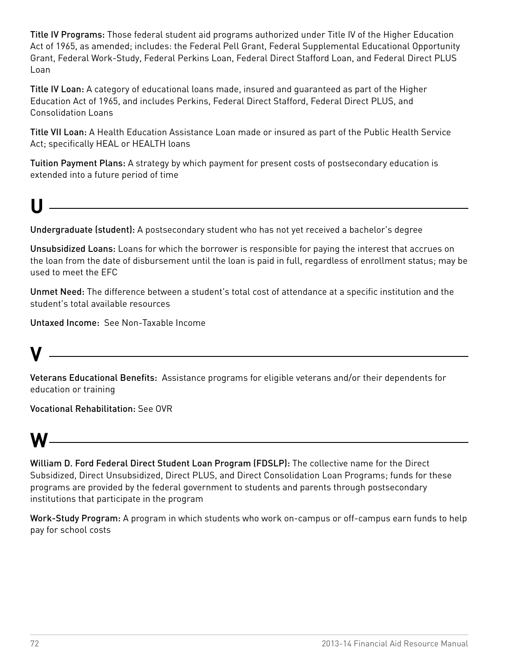Title IV Programs: Those federal student aid programs authorized under Title IV of the Higher Education Act of 1965, as amended; includes: the Federal Pell Grant, Federal Supplemental Educational Opportunity Grant, Federal Work-Study, Federal Perkins Loan, Federal Direct Stafford Loan, and Federal Direct PLUS Loan

Title IV Loan: A category of educational loans made, insured and guaranteed as part of the Higher Education Act of 1965, and includes Perkins, Federal Direct Stafford, Federal Direct PLUS, and Consolidation Loans

Title VII Loan: A Health Education Assistance Loan made or insured as part of the Public Health Service Act; specifically HEAL or HEALTH loans

Tuition Payment Plans: A strategy by which payment for present costs of postsecondary education is extended into a future period of time

# **U**

Undergraduate (student): A postsecondary student who has not yet received a bachelor's degree

<u>and the contract of the contract of the contract of the contract of the contract of the contract of the contract of</u>

Unsubsidized Loans: Loans for which the borrower is responsible for paying the interest that accrues on the loan from the date of disbursement until the loan is paid in full, regardless of enrollment status; may be used to meet the EFC

Unmet Need: The difference between a student's total cost of attendance at a specific institution and the student's total available resources

Untaxed Income: See Non-Taxable Income

## **V**

Veterans Educational Benefits: Assistance programs for eligible veterans and/or their dependents for education or training

Vocational Rehabilitation: See OVR

### **W**

William D. Ford Federal Direct Student Loan Program (FDSLP): The collective name for the Direct Subsidized, Direct Unsubsidized, Direct PLUS, and Direct Consolidation Loan Programs; funds for these programs are provided by the federal government to students and parents through postsecondary institutions that participate in the program

Work-Study Program: A program in which students who work on-campus or off-campus earn funds to help pay for school costs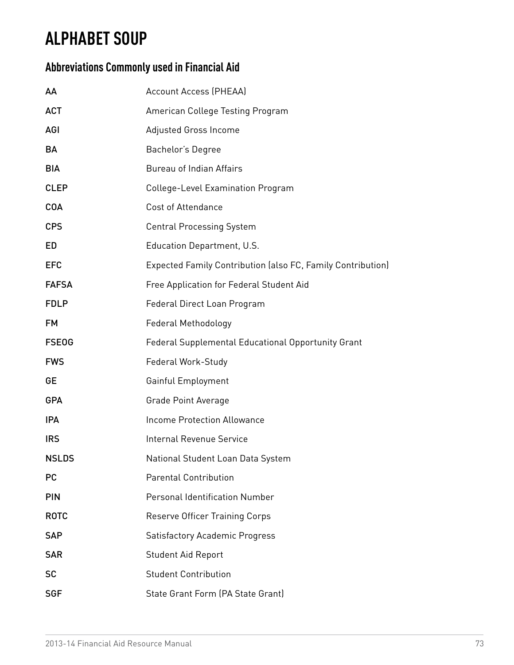### **ALPHABET SOUP**

### **Abbreviations Commonly used in Financial Aid**

| AA           | <b>Account Access (PHEAA)</b>                               |  |  |
|--------------|-------------------------------------------------------------|--|--|
| <b>ACT</b>   | American College Testing Program                            |  |  |
| <b>AGI</b>   | Adjusted Gross Income                                       |  |  |
| BA           | Bachelor's Degree                                           |  |  |
| <b>BIA</b>   | <b>Bureau of Indian Affairs</b>                             |  |  |
| <b>CLEP</b>  | College-Level Examination Program                           |  |  |
| <b>COA</b>   | <b>Cost of Attendance</b>                                   |  |  |
| <b>CPS</b>   | <b>Central Processing System</b>                            |  |  |
| ED           | Education Department, U.S.                                  |  |  |
| <b>EFC</b>   | Expected Family Contribution (also FC, Family Contribution) |  |  |
| <b>FAFSA</b> | Free Application for Federal Student Aid                    |  |  |
| <b>FDLP</b>  | Federal Direct Loan Program                                 |  |  |
| <b>FM</b>    | Federal Methodology                                         |  |  |
| <b>FSEOG</b> | Federal Supplemental Educational Opportunity Grant          |  |  |
| <b>FWS</b>   | Federal Work-Study                                          |  |  |
| GE           | Gainful Employment                                          |  |  |
| <b>GPA</b>   | <b>Grade Point Average</b>                                  |  |  |
| <b>IPA</b>   | <b>Income Protection Allowance</b>                          |  |  |
| <b>IRS</b>   | <b>Internal Revenue Service</b>                             |  |  |
| <b>NSLDS</b> | National Student Loan Data System                           |  |  |
| <b>PC</b>    | <b>Parental Contribution</b>                                |  |  |
| <b>PIN</b>   | <b>Personal Identification Number</b>                       |  |  |
| <b>ROTC</b>  | Reserve Officer Training Corps                              |  |  |
| <b>SAP</b>   | <b>Satisfactory Academic Progress</b>                       |  |  |
| <b>SAR</b>   | <b>Student Aid Report</b>                                   |  |  |
| <b>SC</b>    | <b>Student Contribution</b>                                 |  |  |
| <b>SGF</b>   | State Grant Form (PA State Grant)                           |  |  |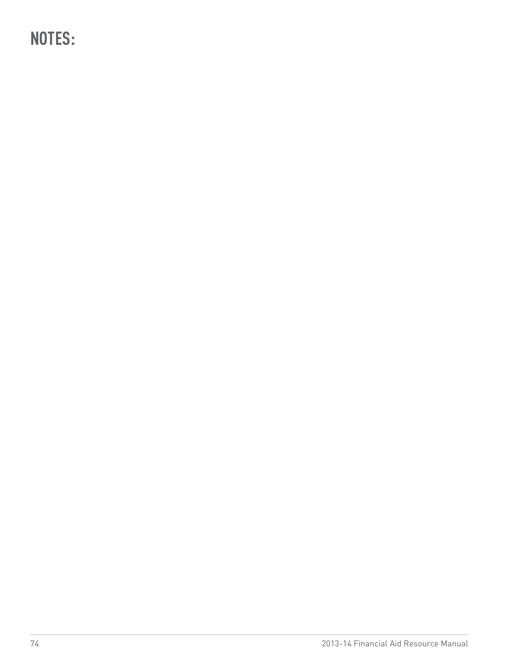**NOTES:**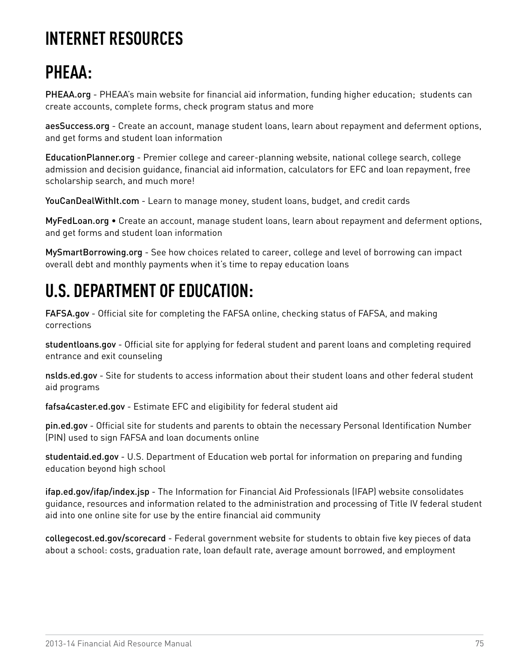## **INTERNET RESOURCES**

# **PHEAA:**

[PHEAA.org](http://www.pheaa.org/) - PHEAA's main website for financial aid information, funding higher education; students can create accounts, complete forms, check program status and more

[aesSuccess.org](http://www.aessuccess.org/) - Create an account, manage student loans, learn about repayment and deferment options, and get forms and student loan information

[EducationPlanner.org](http://www.educationplanner.org) - Premier college and career-planning website, national college search, college admission and decision guidance, financial aid information, calculators for EFC and loan repayment, free scholarship search, and much more!

[YouCanDealWithIt.com](http://www.youcandealwithit.com/) - Learn to manage money, student loans, budget, and credit cards

[MyFedLoan.org](http://www.myfedloan.org) • Create an account, manage student loans, learn about repayment and deferment options, and get forms and student loan information

[MySmartBorrowing.org](http://www.MySmartBorrowing.org) - See how choices related to career, college and level of borrowing can impact overall debt and monthly payments when it's time to repay education loans

### **U.S. DEPARTMENT OF EDUCATION:**

[FAFSA.gov](http://www.fafsa.gov) - Official site for completing the FAFSA online, checking status of FAFSA, and making corrections

[studentloans.gov](http://www.studentloans.gov) - Official site for applying for federal student and parent loans and completing required entrance and exit counseling

[nslds.ed.gov](http://www.nslds.ed.gov) - Site for students to access information about their student loans and other federal student aid programs

[fafsa4caster.ed.gov](http://www.fafsa4caster.ed.gov) - Estimate EFC and eligibility for federal student aid

[pin.ed.gov](http://www.pin.ed.gov) - Official site for students and parents to obtain the necessary Personal Identification Number (PIN) used to sign FAFSA and loan documents online

[studentaid.ed.gov](http://studentaid.ed.gov) - U.S. Department of Education web portal for information on preparing and funding education beyond high school

[ifap.ed.gov/ifap/index.jsp](http://ifap.ed.gov/ifap/index.jsp) - The Information for Financial Aid Professionals (IFAP) website consolidates guidance, resources and information related to the administration and processing of Title IV federal student aid into one online site for use by the entire financial aid community

[collegecost.ed.gov/scorecard](http://collegecost.ed.gov/scorecard) - Federal government website for students to obtain five key pieces of data about a school: costs, graduation rate, loan default rate, average amount borrowed, and employment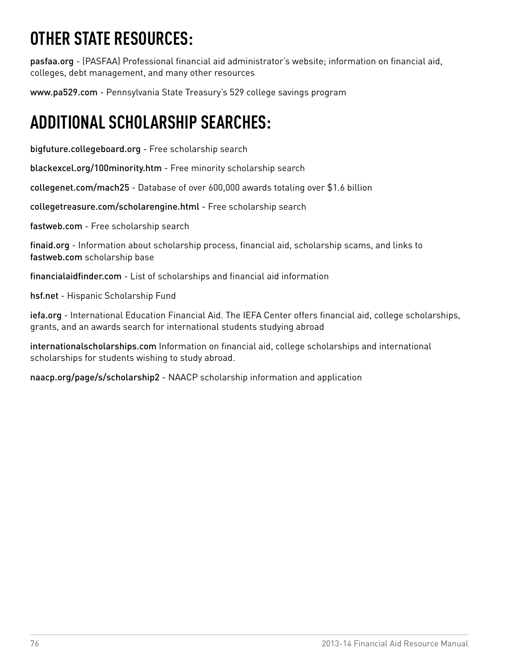# **OTHER STATE RESOURCES:**

[pasfaa.org](http://www.pasfaa.org) - (PASFAA) Professional financial aid administrator's website; information on financial aid, colleges, debt management, and many other resources

[www.pa529.com](http://www.pa529.com) - Pennsylvania State Treasury's 529 college savings program

## **ADDITIONAL SCHOLARSHIP SEARCHES:**

[bigfuture.collegeboard.org](http://www.bigfuture.collegeboard.org) - Free scholarship search

[blackexcel.org/100minority.htm](http://www.blackexcel.org/100minority.htm) - Free minority scholarship search

[collegenet.com/mach25](http://www.collegenet.com/mach25) - Database of over 600,000 awards totaling over \$1.6 billion

[collegetreasure.com/scholarengine.html](http://www.collegetreasure.com/scholarengine.html) - Free scholarship search

[fastweb.com](http://www.fastweb.com) - Free scholarship search

[finaid.org](http://www.finaid.org) - Information about scholarship process, financial aid, scholarship scams, and links to fastweb.com scholarship base

[financialaidfinder.com](http://www.financialaidfinder.com) - List of scholarships and financial aid information

[hsf.net](http://www.hsf.net) - Hispanic Scholarship Fund

[iefa.org](http://www.iefa.org) - International Education Financial Aid. The IEFA Center offers financial aid, college scholarships, grants, and an awards search for international students studying abroad

[internationalscholarships.com](http://www.internationalscholarships.com) Information on financial aid, college scholarships and international scholarships for students wishing to study abroad.

[naacp.org/page/s/scholarship2](http://www.naacp.org/page/s/scholarship2) - NAACP scholarship information and application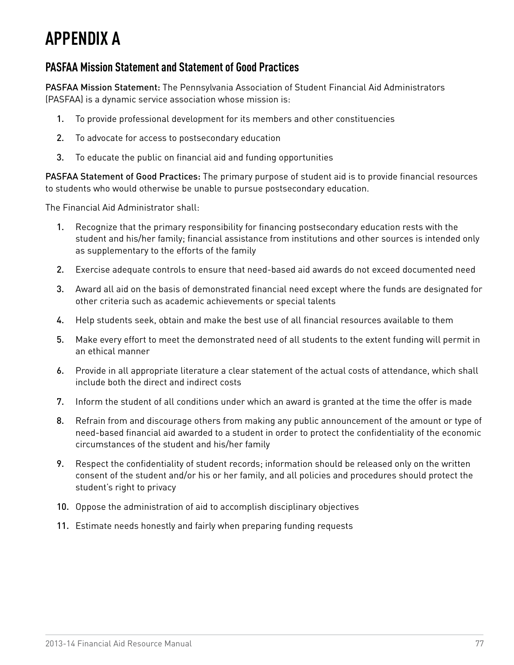### **APPENDIX A**

### **PASFAA Mission Statement and Statement of Good Practices**

PASFAA Mission Statement: The Pennsylvania Association of Student Financial Aid Administrators (PASFAA) is a dynamic service association whose mission is:

- 1. To provide professional development for its members and other constituencies
- 2. To advocate for access to postsecondary education
- 3. To educate the public on financial aid and funding opportunities

PASFAA Statement of Good Practices: The primary purpose of student aid is to provide financial resources to students who would otherwise be unable to pursue postsecondary education.

The Financial Aid Administrator shall:

- 1. Recognize that the primary responsibility for financing postsecondary education rests with the student and his/her family; financial assistance from institutions and other sources is intended only as supplementary to the efforts of the family
- 2. Exercise adequate controls to ensure that need-based aid awards do not exceed documented need
- 3. Award all aid on the basis of demonstrated financial need except where the funds are designated for other criteria such as academic achievements or special talents
- 4. Help students seek, obtain and make the best use of all financial resources available to them
- 5. Make every effort to meet the demonstrated need of all students to the extent funding will permit in an ethical manner
- 6. Provide in all appropriate literature a clear statement of the actual costs of attendance, which shall include both the direct and indirect costs
- 7. Inform the student of all conditions under which an award is granted at the time the offer is made
- 8. Refrain from and discourage others from making any public announcement of the amount or type of need-based financial aid awarded to a student in order to protect the confidentiality of the economic circumstances of the student and his/her family
- 9. Respect the confidentiality of student records; information should be released only on the written consent of the student and/or his or her family, and all policies and procedures should protect the student's right to privacy
- 10. Oppose the administration of aid to accomplish disciplinary objectives
- 11. Estimate needs honestly and fairly when preparing funding requests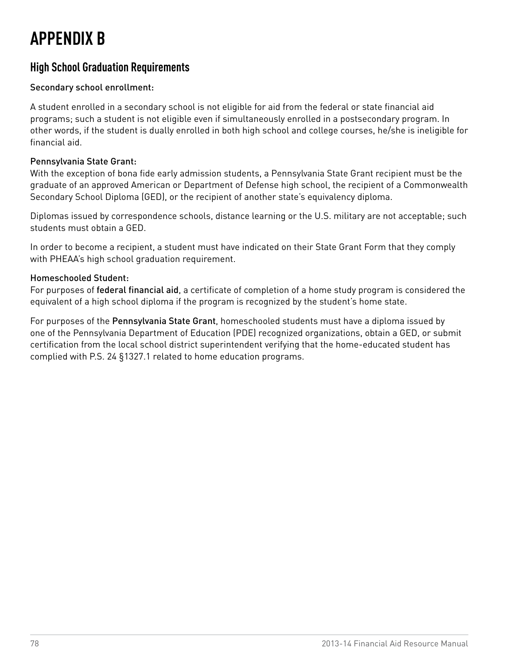# **APPENDIX B**

### **High School Graduation Requirements**

#### Secondary school enrollment:

A student enrolled in a secondary school is not eligible for aid from the federal or state financial aid programs; such a student is not eligible even if simultaneously enrolled in a postsecondary program. In other words, if the student is dually enrolled in both high school and college courses, he/she is ineligible for financial aid.

#### Pennsylvania State Grant:

With the exception of bona fide early admission students, a Pennsylvania State Grant recipient must be the graduate of an approved American or Department of Defense high school, the recipient of a Commonwealth Secondary School Diploma (GED), or the recipient of another state's equivalency diploma.

Diplomas issued by correspondence schools, distance learning or the U.S. military are not acceptable; such students must obtain a GED.

In order to become a recipient, a student must have indicated on their State Grant Form that they comply with PHEAA's high school graduation requirement.

#### Homeschooled Student:

For purposes of federal financial aid, a certificate of completion of a home study program is considered the equivalent of a high school diploma if the program is recognized by the student's home state.

For purposes of the Pennsylvania State Grant, homeschooled students must have a diploma issued by one of the Pennsylvania Department of Education (PDE) recognized organizations, obtain a GED, or submit certification from the local school district superintendent verifying that the home-educated student has complied with P.S. 24 §1327.1 related to home education programs.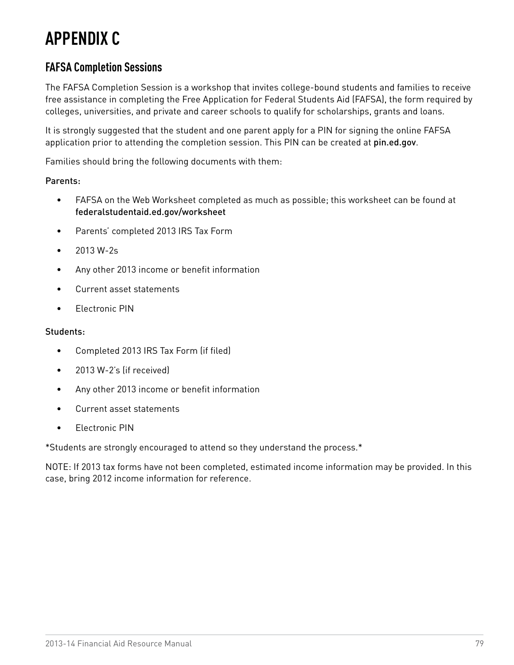## **APPENDIX C**

### **FAFSA Completion Sessions**

The FAFSA Completion Session is a workshop that invites college-bound students and families to receive free assistance in completing the Free Application for Federal Students Aid (FAFSA), the form required by colleges, universities, and private and career schools to qualify for scholarships, grants and loans.

It is strongly suggested that the student and one parent apply for a PIN for signing the online FAFSA application prior to attending the completion session. This PIN can be created at [pin.ed.gov](http://www.pin.ed.gov).

Families should bring the following documents with them:

#### Parents:

- • FAFSA on the Web Worksheet completed as much as possible; this worksheet can be found at [federalstudentaid.ed.gov/worksheet](http://www.federalstudentaid.ed.gov/worksheet)
- • Parents' completed 2013 IRS Tax Form
- • 2013 W-2s
- • Any other 2013 income or benefit information
- • Current asset statements
- • Electronic PIN

#### Students:

- • Completed 2013 IRS Tax Form (if filed)
- 2013 W-2's (if received)
- • Any other 2013 income or benefit information
- • Current asset statements
- • Electronic PIN

\*Students are strongly encouraged to attend so they understand the process.\*

NOTE: If 2013 tax forms have not been completed, estimated income information may be provided. In this case, bring 2012 income information for reference.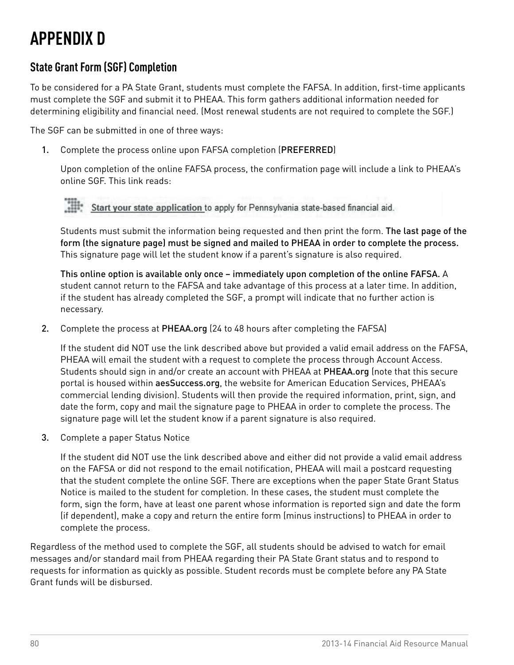# **APPENDIX D**

### **State Grant Form (SGF) Completion**

To be considered for a PA State Grant, students must complete the FAFSA. In addition, first-time applicants must complete the SGF and submit it to PHEAA. This form gathers additional information needed for determining eligibility and financial need. (Most renewal students are not required to complete the SGF.)

The SGF can be submitted in one of three ways:

1. Complete the process online upon FAFSA completion (PREFERRED)

Upon completion of the online FAFSA process, the confirmation page will include a link to PHEAA's online SGF. This link reads:

*>>> "Optional feature – Start your state application – Click here if you want to apply for Pennsylvania state-based financial aid."*

Students must submit the information being requested and then print the form. The last page of the form (the signature page) must be signed and mailed to PHEAA in order to complete the process. This signature page will let the student know if a parent's signature is also required.

This online option is available only once – immediately upon completion of the online FAFSA. A student cannot return to the FAFSA and take advantage of this process at a later time. In addition, if the student has already completed the SGF, a prompt will indicate that no further action is necessary.

2. Complete the process at [PHEAA.org](http://www.pheaa.org) (24 to 48 hours after completing the FAFSA)

If the student did NOT use the link described above but provided a valid email address on the FAFSA, PHEAA will email the student with a request to complete the process through Account Access. Students should sign in and/or create an account with PHEAA at [PHEAA.org](http://PHEAA.org) (note that this secure portal is housed within [aesSuccess.org](http://www.aessuccess.org), the website for American Education Services, PHEAA's commercial lending division). Students will then provide the required information, print, sign, and date the form, copy and mail the signature page to PHEAA in order to complete the process. The signature page will let the student know if a parent signature is also required.

3. Complete a paper Status Notice

If the student did NOT use the link described above and either did not provide a valid email address on the FAFSA or did not respond to the email notification, PHEAA will mail a postcard requesting that the student complete the online SGF. There are exceptions when the paper State Grant Status Notice is mailed to the student for completion. In these cases, the student must complete the form, sign the form, have at least one parent whose information is reported sign and date the form (if dependent), make a copy and return the entire form (minus instructions) to PHEAA in order to complete the process.

Regardless of the method used to complete the SGF, all students should be advised to watch for email messages and/or standard mail from PHEAA regarding their PA State Grant status and to respond to requests for information as quickly as possible. Student records must be complete before any PA State Grant funds will be disbursed.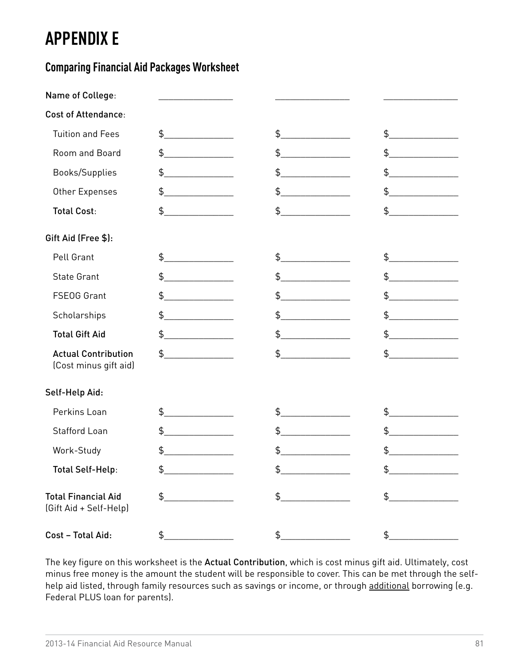## **APPENDIX E**

### **Comparing Financial Aid Packages Worksheet**

| Name of College:                                     |                                                           |                |                                               |
|------------------------------------------------------|-----------------------------------------------------------|----------------|-----------------------------------------------|
| <b>Cost of Attendance:</b>                           |                                                           |                |                                               |
| <b>Tuition and Fees</b>                              | $\updownarrow$                                            | $\frac{4}{5}$  | $\frac{1}{2}$                                 |
| Room and Board                                       | \$                                                        | \$             | \$                                            |
| Books/Supplies                                       | \$                                                        | \$             | \$<br><u> 1990 - Johann Barnett, f</u>        |
| Other Expenses                                       | \$                                                        | \$             | \$<br><u> 1990 - Johann Barn, mars et al.</u> |
| <b>Total Cost:</b>                                   | \$                                                        | $\frac{1}{2}$  | $\frac{1}{2}$                                 |
| Gift Aid (Free \$):                                  |                                                           |                |                                               |
| Pell Grant                                           | $\begin{array}{c} \updownarrow \\ \downarrow \end{array}$ | $\updownarrow$ | $\updownarrow$                                |
| <b>State Grant</b>                                   | \$                                                        | \$             | \$                                            |
| FSE0G Grant                                          | \$                                                        | \$             | \$<br><u>and the state of the sta</u>         |
| Scholarships                                         | \$<br><u> 1999 - Jan Jawa</u>                             | \$             | \$                                            |
| <b>Total Gift Aid</b>                                | \$                                                        | $\frac{1}{2}$  | \$                                            |
| <b>Actual Contribution</b><br>(Cost minus gift aid)  | $\updownarrow$                                            | $\updownarrow$ | $\updownarrow$                                |
| Self-Help Aid:                                       |                                                           |                |                                               |
| Perkins Loan                                         | \$                                                        | \$             | \$                                            |
| <b>Stafford Loan</b>                                 | \$                                                        | \$             | \$                                            |
| Work-Study                                           | \$                                                        | \$             | \$                                            |
| <b>Total Self-Help:</b>                              | \$                                                        | \$             | \$                                            |
| <b>Total Financial Aid</b><br>(Gift Aid + Self-Help) | \$                                                        | $\frac{1}{2}$  | \$                                            |
| Cost - Total Aid:                                    | \$                                                        | $\frac{1}{2}$  | \$                                            |

The key figure on this worksheet is the Actual Contribution, which is cost minus gift aid. Ultimately, cost minus free money is the amount the student will be responsible to cover. This can be met through the selfhelp aid listed, through family resources such as savings or income, or through additional borrowing (e.g. Federal PLUS loan for parents).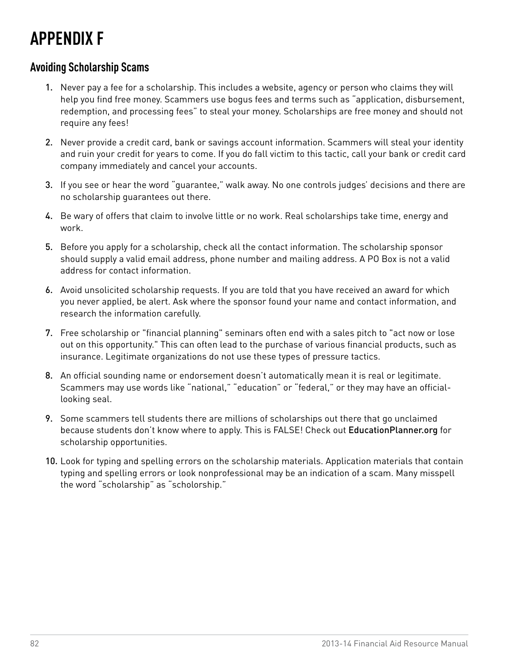## **APPENDIX F**

### **Avoiding Scholarship Scams**

- 1. Never pay a fee for a scholarship. This includes a website, agency or person who claims they will help you find free money. Scammers use bogus fees and terms such as "application, disbursement, redemption, and processing fees" to steal your money. Scholarships are free money and should not require any fees!
- 2. Never provide a credit card, bank or savings account information. Scammers will steal your identity and ruin your credit for years to come. If you do fall victim to this tactic, call your bank or credit card company immediately and cancel your accounts.
- 3. If you see or hear the word "guarantee," walk away. No one controls judges' decisions and there are no scholarship guarantees out there.
- 4. Be wary of offers that claim to involve little or no work. Real scholarships take time, energy and work.
- 5. Before you apply for a scholarship, check all the contact information. The scholarship sponsor should supply a valid email address, phone number and mailing address. A PO Box is not a valid address for contact information.
- 6. Avoid unsolicited scholarship requests. If you are told that you have received an award for which you never applied, be alert. Ask where the sponsor found your name and contact information, and research the information carefully.
- 7. Free scholarship or "financial planning" seminars often end with a sales pitch to "act now or lose out on this opportunity." This can often lead to the purchase of various financial products, such as insurance. Legitimate organizations do not use these types of pressure tactics.
- 8. An official sounding name or endorsement doesn't automatically mean it is real or legitimate. Scammers may use words like "national," "education" or "federal," or they may have an officiallooking seal.
- 9. Some scammers tell students there are millions of scholarships out there that go unclaimed because students don't know where to apply. This is FALSE! Check out [EducationPlanner.org](http://www.educationplanner.org) for scholarship opportunities.
- 10. Look for typing and spelling errors on the scholarship materials. Application materials that contain typing and spelling errors or look nonprofessional may be an indication of a scam. Many misspell the word "scholarship" as "scholorship."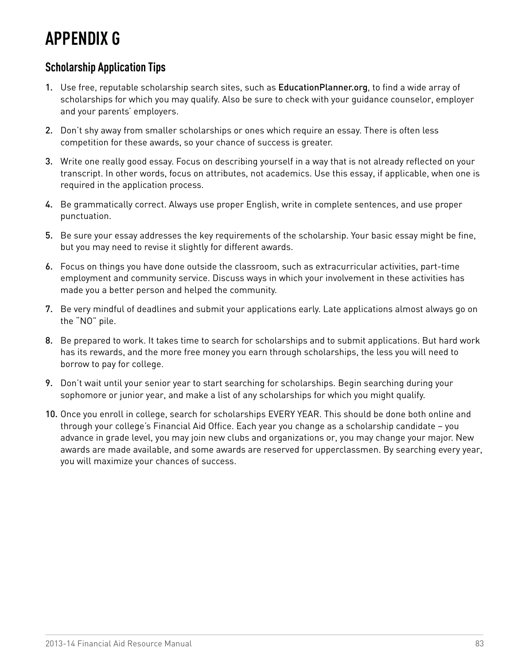## **APPENDIX G**

### **Scholarship Application Tips**

- 1. Use free, reputable scholarship search sites, such as [EducationPlanner.org](http://www.EducationPlanner.com), to find a wide array of scholarships for which you may qualify. Also be sure to check with your guidance counselor, employer and your parents' employers.
- 2. Don't shy away from smaller scholarships or ones which require an essay. There is often less competition for these awards, so your chance of success is greater.
- 3. Write one really good essay. Focus on describing yourself in a way that is not already reflected on your transcript. In other words, focus on attributes, not academics. Use this essay, if applicable, when one is required in the application process.
- 4. Be grammatically correct. Always use proper English, write in complete sentences, and use proper punctuation.
- 5. Be sure your essay addresses the key requirements of the scholarship. Your basic essay might be fine, but you may need to revise it slightly for different awards.
- 6. Focus on things you have done outside the classroom, such as extracurricular activities, part-time employment and community service. Discuss ways in which your involvement in these activities has made you a better person and helped the community.
- 7. Be very mindful of deadlines and submit your applications early. Late applications almost always go on the "NO" pile.
- 8. Be prepared to work. It takes time to search for scholarships and to submit applications. But hard work has its rewards, and the more free money you earn through scholarships, the less you will need to borrow to pay for college.
- 9. Don't wait until your senior year to start searching for scholarships. Begin searching during your sophomore or junior year, and make a list of any scholarships for which you might qualify.
- 10. Once you enroll in college, search for scholarships EVERY YEAR. This should be done both online and through your college's Financial Aid Office. Each year you change as a scholarship candidate – you advance in grade level, you may join new clubs and organizations or, you may change your major. New awards are made available, and some awards are reserved for upperclassmen. By searching every year, you will maximize your chances of success.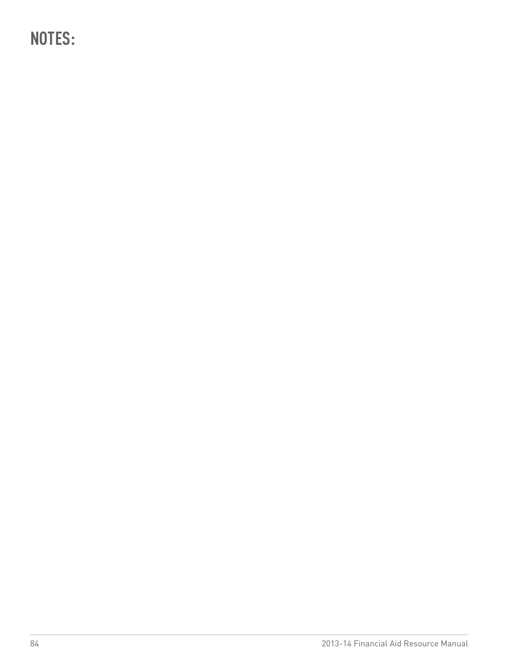**NOTES:**